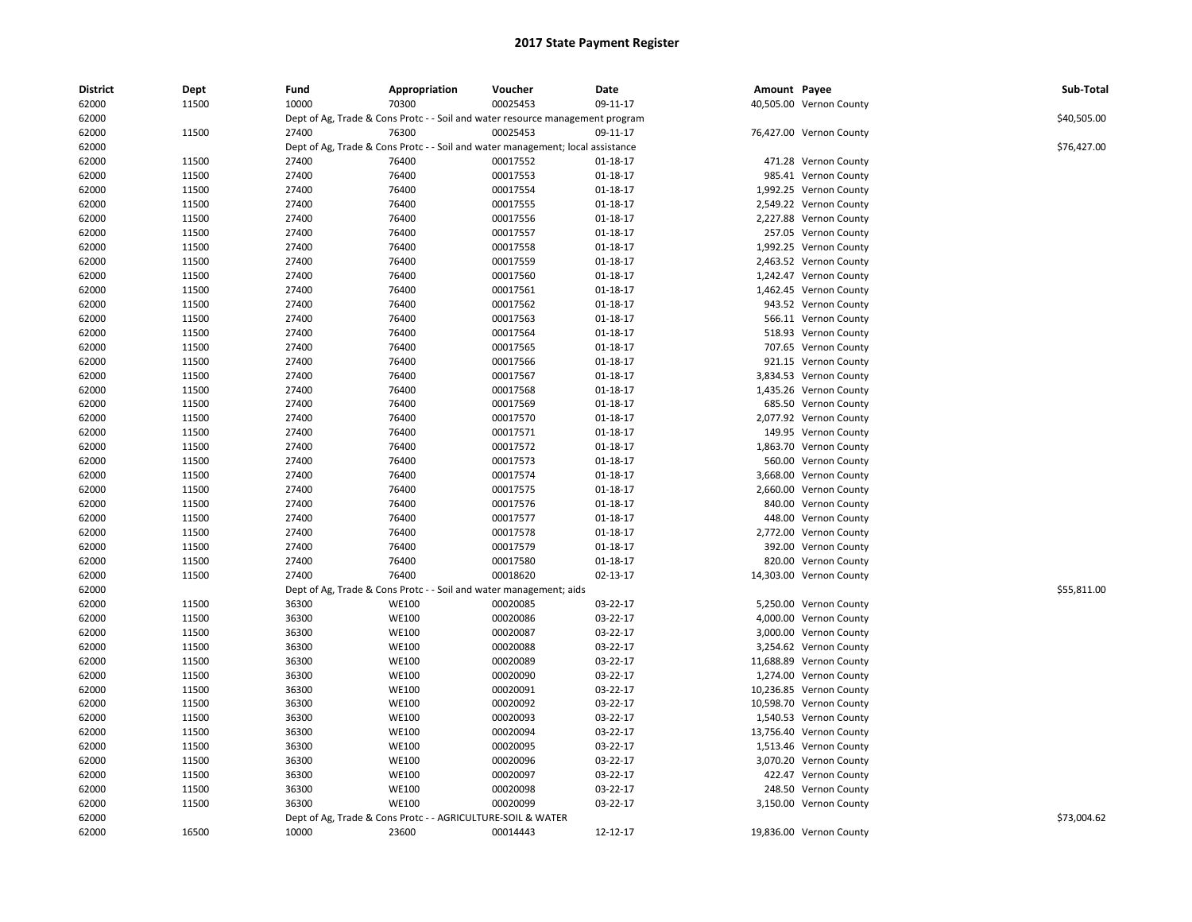| <b>District</b> | Dept  | Fund  | Appropriation                                                                  | Voucher  | Date           | Amount Payee |                         | Sub-Total   |
|-----------------|-------|-------|--------------------------------------------------------------------------------|----------|----------------|--------------|-------------------------|-------------|
| 62000           | 11500 | 10000 | 70300                                                                          | 00025453 | 09-11-17       |              | 40,505.00 Vernon County |             |
| 62000           |       |       | Dept of Ag, Trade & Cons Protc - - Soil and water resource management program  |          |                |              |                         | \$40,505.00 |
| 62000           | 11500 | 27400 | 76300                                                                          | 00025453 | 09-11-17       |              | 76,427.00 Vernon County |             |
| 62000           |       |       | Dept of Ag, Trade & Cons Protc - - Soil and water management; local assistance |          |                |              |                         | \$76,427.00 |
| 62000           | 11500 | 27400 | 76400                                                                          | 00017552 | 01-18-17       |              | 471.28 Vernon County    |             |
| 62000           | 11500 | 27400 | 76400                                                                          | 00017553 | $01 - 18 - 17$ |              | 985.41 Vernon County    |             |
| 62000           | 11500 | 27400 | 76400                                                                          | 00017554 | 01-18-17       |              | 1,992.25 Vernon County  |             |
| 62000           | 11500 | 27400 | 76400                                                                          | 00017555 | 01-18-17       |              | 2,549.22 Vernon County  |             |
| 62000           | 11500 | 27400 | 76400                                                                          | 00017556 | 01-18-17       |              | 2,227.88 Vernon County  |             |
| 62000           | 11500 | 27400 | 76400                                                                          | 00017557 | 01-18-17       |              | 257.05 Vernon County    |             |
| 62000           | 11500 | 27400 | 76400                                                                          | 00017558 | $01 - 18 - 17$ |              | 1,992.25 Vernon County  |             |
| 62000           | 11500 | 27400 | 76400                                                                          | 00017559 | 01-18-17       |              | 2,463.52 Vernon County  |             |
| 62000           | 11500 | 27400 | 76400                                                                          | 00017560 | 01-18-17       |              | 1,242.47 Vernon County  |             |
| 62000           | 11500 | 27400 | 76400                                                                          | 00017561 | 01-18-17       |              | 1,462.45 Vernon County  |             |
| 62000           | 11500 | 27400 | 76400                                                                          | 00017562 | 01-18-17       |              | 943.52 Vernon County    |             |
| 62000           | 11500 | 27400 | 76400                                                                          | 00017563 | 01-18-17       |              | 566.11 Vernon County    |             |
| 62000           | 11500 | 27400 | 76400                                                                          | 00017564 | 01-18-17       |              | 518.93 Vernon County    |             |
| 62000           | 11500 | 27400 | 76400                                                                          | 00017565 | 01-18-17       |              | 707.65 Vernon County    |             |
| 62000           | 11500 | 27400 | 76400                                                                          | 00017566 | 01-18-17       |              | 921.15 Vernon County    |             |
| 62000           | 11500 | 27400 | 76400                                                                          | 00017567 | 01-18-17       |              | 3,834.53 Vernon County  |             |
| 62000           | 11500 | 27400 | 76400                                                                          | 00017568 | 01-18-17       |              | 1,435.26 Vernon County  |             |
| 62000           | 11500 | 27400 | 76400                                                                          | 00017569 | 01-18-17       |              | 685.50 Vernon County    |             |
| 62000           | 11500 | 27400 | 76400                                                                          | 00017570 | $01 - 18 - 17$ |              | 2,077.92 Vernon County  |             |
| 62000           | 11500 | 27400 | 76400                                                                          | 00017571 | 01-18-17       |              | 149.95 Vernon County    |             |
| 62000           | 11500 | 27400 | 76400                                                                          | 00017572 | 01-18-17       |              | 1,863.70 Vernon County  |             |
| 62000           | 11500 | 27400 | 76400                                                                          | 00017573 | 01-18-17       |              | 560.00 Vernon County    |             |
| 62000           | 11500 | 27400 | 76400                                                                          | 00017574 | $01 - 18 - 17$ |              | 3,668.00 Vernon County  |             |
| 62000           | 11500 | 27400 | 76400                                                                          | 00017575 | $01 - 18 - 17$ |              | 2,660.00 Vernon County  |             |
| 62000           | 11500 | 27400 | 76400                                                                          | 00017576 | 01-18-17       |              | 840.00 Vernon County    |             |
| 62000           | 11500 | 27400 | 76400                                                                          | 00017577 | 01-18-17       |              | 448.00 Vernon County    |             |
| 62000           | 11500 | 27400 | 76400                                                                          | 00017578 | 01-18-17       |              | 2,772.00 Vernon County  |             |
| 62000           | 11500 | 27400 | 76400                                                                          | 00017579 | $01 - 18 - 17$ |              | 392.00 Vernon County    |             |
| 62000           | 11500 | 27400 | 76400                                                                          | 00017580 | 01-18-17       |              | 820.00 Vernon County    |             |
| 62000           | 11500 | 27400 | 76400                                                                          | 00018620 | 02-13-17       |              | 14,303.00 Vernon County |             |
| 62000           |       |       | Dept of Ag, Trade & Cons Protc - - Soil and water management; aids             |          |                |              |                         | \$55,811.00 |
| 62000           | 11500 | 36300 | <b>WE100</b>                                                                   | 00020085 | 03-22-17       |              | 5,250.00 Vernon County  |             |
| 62000           | 11500 | 36300 | <b>WE100</b>                                                                   | 00020086 | 03-22-17       |              | 4,000.00 Vernon County  |             |
| 62000           | 11500 | 36300 | <b>WE100</b>                                                                   | 00020087 | 03-22-17       |              | 3,000.00 Vernon County  |             |
| 62000           | 11500 | 36300 | WE100                                                                          | 00020088 | 03-22-17       |              | 3,254.62 Vernon County  |             |
| 62000           | 11500 | 36300 | WE100                                                                          | 00020089 | 03-22-17       |              | 11,688.89 Vernon County |             |
| 62000           | 11500 | 36300 | WE100                                                                          | 00020090 | 03-22-17       |              | 1,274.00 Vernon County  |             |
| 62000           | 11500 | 36300 | WE100                                                                          | 00020091 | 03-22-17       |              | 10,236.85 Vernon County |             |
| 62000           | 11500 | 36300 | WE100                                                                          | 00020092 | 03-22-17       |              | 10,598.70 Vernon County |             |
| 62000           | 11500 | 36300 | WE100                                                                          | 00020093 | 03-22-17       |              | 1,540.53 Vernon County  |             |
| 62000           | 11500 | 36300 | WE100                                                                          | 00020094 | 03-22-17       |              | 13,756.40 Vernon County |             |
| 62000           | 11500 | 36300 | WE100                                                                          | 00020095 | 03-22-17       |              | 1,513.46 Vernon County  |             |
| 62000           | 11500 | 36300 | WE100                                                                          | 00020096 | 03-22-17       |              | 3,070.20 Vernon County  |             |
| 62000           | 11500 | 36300 | <b>WE100</b>                                                                   | 00020097 | 03-22-17       |              | 422.47 Vernon County    |             |
| 62000           | 11500 | 36300 | WE100                                                                          | 00020098 | 03-22-17       |              | 248.50 Vernon County    |             |
| 62000           | 11500 | 36300 | WE100                                                                          | 00020099 | 03-22-17       |              | 3,150.00 Vernon County  |             |
| 62000           |       |       | Dept of Ag, Trade & Cons Protc - - AGRICULTURE-SOIL & WATER                    |          |                |              |                         | \$73,004.62 |
| 62000           | 16500 | 10000 | 23600                                                                          | 00014443 | 12-12-17       |              | 19,836.00 Vernon County |             |
|                 |       |       |                                                                                |          |                |              |                         |             |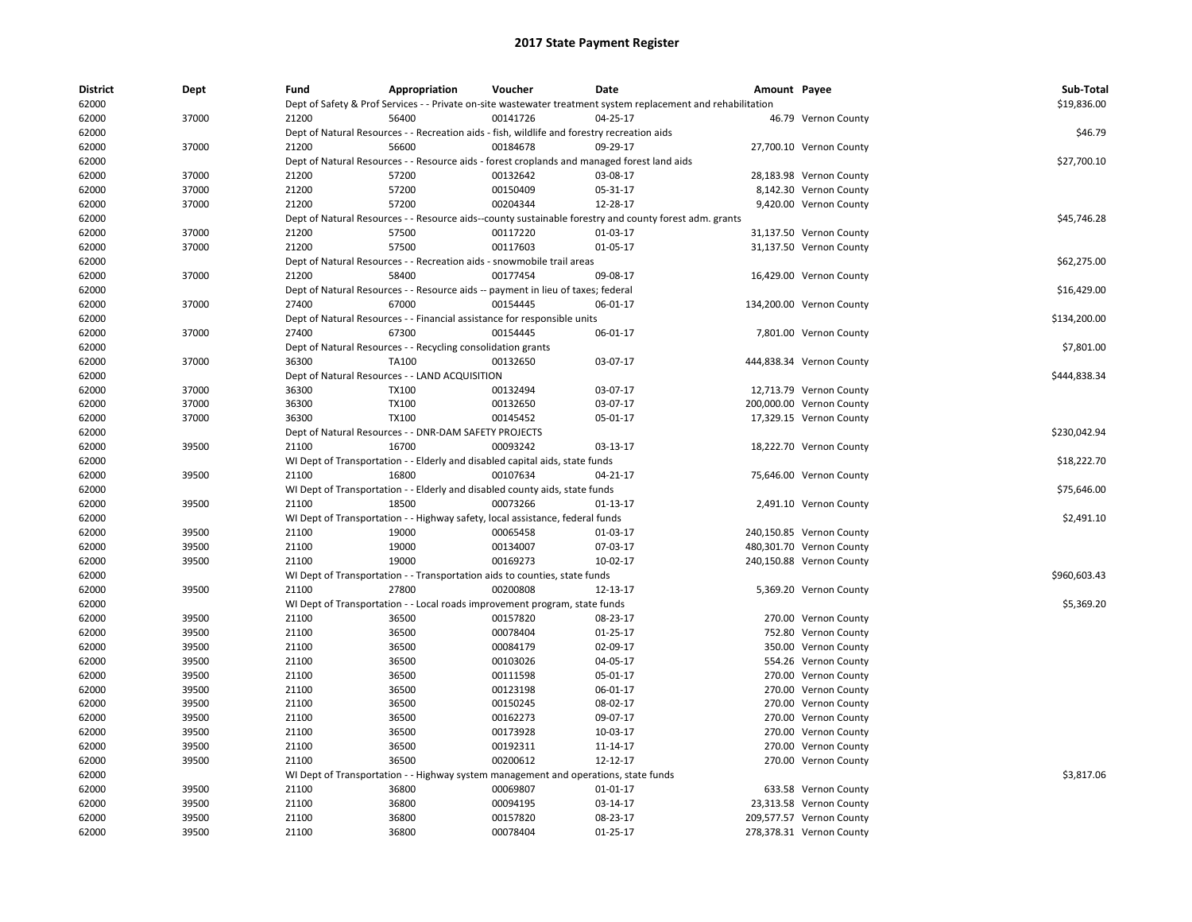| <b>District</b> | Dept  | Fund  | Appropriation                                                                                                 | Voucher  | Date           | Amount Payee |                          | Sub-Total    |
|-----------------|-------|-------|---------------------------------------------------------------------------------------------------------------|----------|----------------|--------------|--------------------------|--------------|
| 62000           |       |       | Dept of Safety & Prof Services - - Private on-site wastewater treatment system replacement and rehabilitation |          |                |              |                          | \$19,836.00  |
| 62000           | 37000 | 21200 | 56400                                                                                                         | 00141726 | 04-25-17       |              | 46.79 Vernon County      |              |
| 62000           |       |       | Dept of Natural Resources - - Recreation aids - fish, wildlife and forestry recreation aids                   |          |                |              |                          | \$46.79      |
| 62000           | 37000 | 21200 | 56600                                                                                                         | 00184678 | 09-29-17       |              | 27,700.10 Vernon County  |              |
| 62000           |       |       | Dept of Natural Resources - - Resource aids - forest croplands and managed forest land aids                   |          |                |              |                          | \$27,700.10  |
| 62000           | 37000 | 21200 | 57200                                                                                                         | 00132642 | 03-08-17       |              | 28,183.98 Vernon County  |              |
| 62000           | 37000 | 21200 | 57200                                                                                                         | 00150409 | 05-31-17       |              | 8,142.30 Vernon County   |              |
| 62000           | 37000 | 21200 | 57200                                                                                                         | 00204344 | 12-28-17       |              | 9,420.00 Vernon County   |              |
| 62000           |       |       | Dept of Natural Resources - - Resource aids--county sustainable forestry and county forest adm. grants        |          |                |              |                          | \$45,746.28  |
| 62000           | 37000 | 21200 | 57500                                                                                                         | 00117220 | 01-03-17       |              | 31,137.50 Vernon County  |              |
| 62000           | 37000 | 21200 | 57500                                                                                                         | 00117603 | 01-05-17       |              | 31,137.50 Vernon County  |              |
| 62000           |       |       | Dept of Natural Resources - - Recreation aids - snowmobile trail areas                                        |          |                |              |                          | \$62,275.00  |
| 62000           | 37000 | 21200 | 58400                                                                                                         | 00177454 | 09-08-17       |              | 16,429.00 Vernon County  |              |
| 62000           |       |       | Dept of Natural Resources - - Resource aids -- payment in lieu of taxes; federal                              |          |                |              |                          | \$16,429.00  |
| 62000           | 37000 | 27400 | 67000                                                                                                         | 00154445 | 06-01-17       |              | 134,200.00 Vernon County |              |
| 62000           |       |       | Dept of Natural Resources - - Financial assistance for responsible units                                      |          |                |              |                          | \$134,200.00 |
| 62000           | 37000 | 27400 | 67300                                                                                                         | 00154445 | 06-01-17       |              | 7,801.00 Vernon County   |              |
| 62000           |       |       | Dept of Natural Resources - - Recycling consolidation grants                                                  |          |                |              |                          | \$7,801.00   |
| 62000           | 37000 | 36300 | TA100                                                                                                         | 00132650 | 03-07-17       |              | 444,838.34 Vernon County |              |
| 62000           |       |       | Dept of Natural Resources - - LAND ACQUISITION                                                                |          |                |              |                          | \$444,838.34 |
| 62000           | 37000 | 36300 | <b>TX100</b>                                                                                                  | 00132494 | 03-07-17       |              | 12,713.79 Vernon County  |              |
| 62000           | 37000 | 36300 | <b>TX100</b>                                                                                                  | 00132650 | 03-07-17       |              | 200,000.00 Vernon County |              |
| 62000           | 37000 | 36300 | <b>TX100</b>                                                                                                  | 00145452 | 05-01-17       |              | 17,329.15 Vernon County  |              |
| 62000           |       |       | Dept of Natural Resources - - DNR-DAM SAFETY PROJECTS                                                         |          |                |              |                          | \$230.042.94 |
| 62000           | 39500 | 21100 | 16700                                                                                                         | 00093242 | 03-13-17       |              | 18,222.70 Vernon County  |              |
| 62000           |       |       | WI Dept of Transportation - - Elderly and disabled capital aids, state funds                                  |          |                |              |                          | \$18,222.70  |
|                 |       |       | 16800                                                                                                         | 00107634 |                |              |                          |              |
| 62000           | 39500 | 21100 |                                                                                                               |          | 04-21-17       |              | 75,646.00 Vernon County  |              |
| 62000           |       |       | WI Dept of Transportation - - Elderly and disabled county aids, state funds                                   |          |                |              |                          | \$75,646.00  |
| 62000           | 39500 | 21100 | 18500                                                                                                         | 00073266 | $01-13-17$     |              | 2,491.10 Vernon County   |              |
| 62000           |       |       | WI Dept of Transportation - - Highway safety, local assistance, federal funds                                 |          |                |              |                          | \$2,491.10   |
| 62000           | 39500 | 21100 | 19000                                                                                                         | 00065458 | 01-03-17       |              | 240,150.85 Vernon County |              |
| 62000           | 39500 | 21100 | 19000                                                                                                         | 00134007 | 07-03-17       |              | 480,301.70 Vernon County |              |
| 62000           | 39500 | 21100 | 19000                                                                                                         | 00169273 | 10-02-17       |              | 240,150.88 Vernon County |              |
| 62000           |       |       | WI Dept of Transportation - - Transportation aids to counties, state funds                                    |          |                |              |                          | \$960,603.43 |
| 62000           | 39500 | 21100 | 27800                                                                                                         | 00200808 | 12-13-17       |              | 5,369.20 Vernon County   |              |
| 62000           |       |       | WI Dept of Transportation - - Local roads improvement program, state funds                                    |          |                |              |                          | \$5,369.20   |
| 62000           | 39500 | 21100 | 36500                                                                                                         | 00157820 | 08-23-17       |              | 270.00 Vernon County     |              |
| 62000           | 39500 | 21100 | 36500                                                                                                         | 00078404 | $01 - 25 - 17$ |              | 752.80 Vernon County     |              |
| 62000           | 39500 | 21100 | 36500                                                                                                         | 00084179 | 02-09-17       |              | 350.00 Vernon County     |              |
| 62000           | 39500 | 21100 | 36500                                                                                                         | 00103026 | 04-05-17       |              | 554.26 Vernon County     |              |
| 62000           | 39500 | 21100 | 36500                                                                                                         | 00111598 | 05-01-17       |              | 270.00 Vernon County     |              |
| 62000           | 39500 | 21100 | 36500                                                                                                         | 00123198 | 06-01-17       |              | 270.00 Vernon County     |              |
| 62000           | 39500 | 21100 | 36500                                                                                                         | 00150245 | 08-02-17       |              | 270.00 Vernon County     |              |
| 62000           | 39500 | 21100 | 36500                                                                                                         | 00162273 | 09-07-17       |              | 270.00 Vernon County     |              |
| 62000           | 39500 | 21100 | 36500                                                                                                         | 00173928 | 10-03-17       |              | 270.00 Vernon County     |              |
| 62000           | 39500 | 21100 | 36500                                                                                                         | 00192311 | 11-14-17       |              | 270.00 Vernon County     |              |
| 62000           | 39500 | 21100 | 36500                                                                                                         | 00200612 | 12-12-17       |              | 270.00 Vernon County     |              |
| 62000           |       |       | WI Dept of Transportation - - Highway system management and operations, state funds                           |          |                |              |                          | \$3,817.06   |
| 62000           | 39500 | 21100 | 36800                                                                                                         | 00069807 | 01-01-17       |              | 633.58 Vernon County     |              |
| 62000           | 39500 | 21100 | 36800                                                                                                         | 00094195 | 03-14-17       |              | 23,313.58 Vernon County  |              |
| 62000           | 39500 | 21100 | 36800                                                                                                         | 00157820 | 08-23-17       |              | 209,577.57 Vernon County |              |
| 62000           | 39500 | 21100 | 36800                                                                                                         | 00078404 | $01 - 25 - 17$ |              | 278,378.31 Vernon County |              |
|                 |       |       |                                                                                                               |          |                |              |                          |              |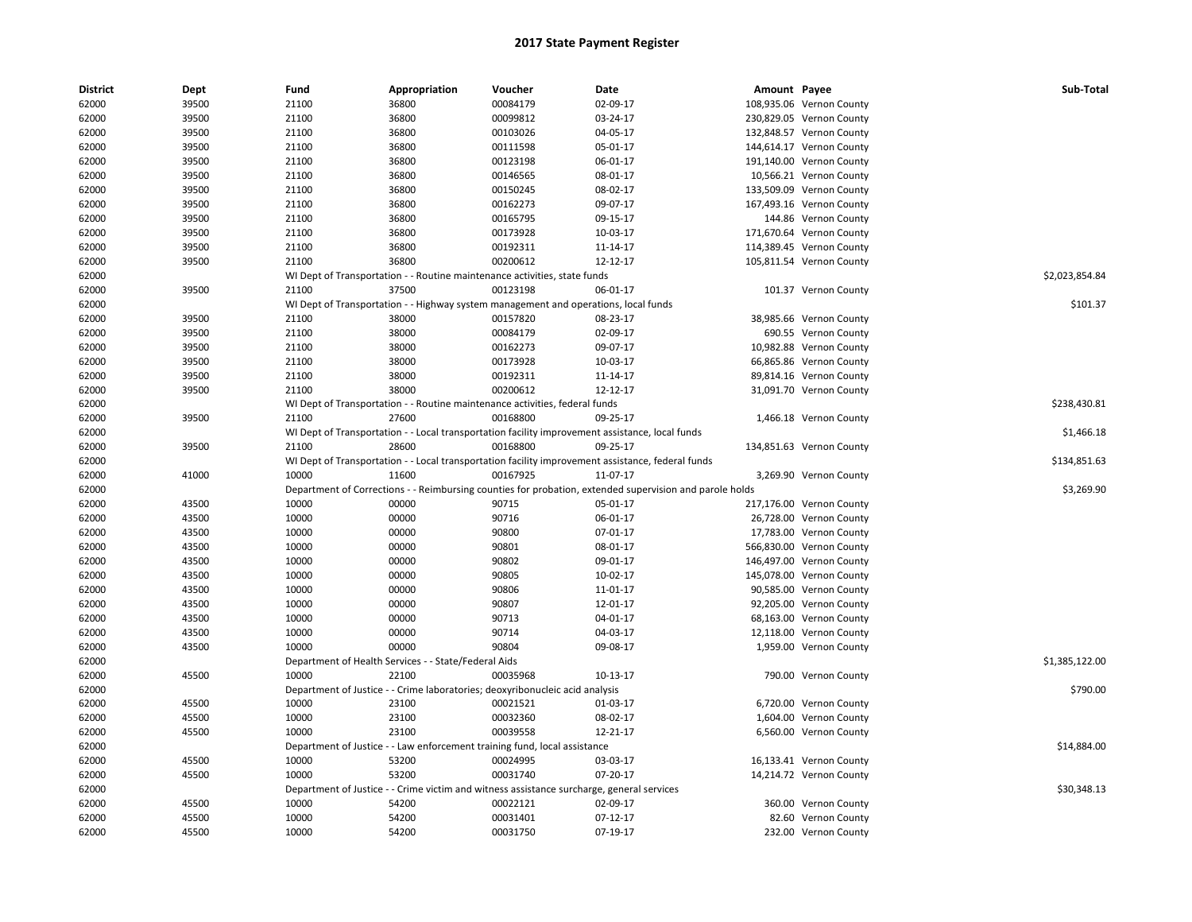| <b>District</b> | Dept  | Fund  | Appropriation                                        | Voucher                                                                                   | Date                                                                                                    | Amount Payee |                          | Sub-Total      |
|-----------------|-------|-------|------------------------------------------------------|-------------------------------------------------------------------------------------------|---------------------------------------------------------------------------------------------------------|--------------|--------------------------|----------------|
| 62000           | 39500 | 21100 | 36800                                                | 00084179                                                                                  | 02-09-17                                                                                                |              | 108,935.06 Vernon County |                |
| 62000           | 39500 | 21100 | 36800                                                | 00099812                                                                                  | 03-24-17                                                                                                |              | 230,829.05 Vernon County |                |
| 62000           | 39500 | 21100 | 36800                                                | 00103026                                                                                  | 04-05-17                                                                                                |              | 132,848.57 Vernon County |                |
| 62000           | 39500 | 21100 | 36800                                                | 00111598                                                                                  | 05-01-17                                                                                                |              | 144,614.17 Vernon County |                |
| 62000           | 39500 | 21100 | 36800                                                | 00123198                                                                                  | 06-01-17                                                                                                |              | 191,140.00 Vernon County |                |
| 62000           | 39500 | 21100 | 36800                                                | 00146565                                                                                  | 08-01-17                                                                                                |              | 10,566.21 Vernon County  |                |
| 62000           | 39500 | 21100 | 36800                                                | 00150245                                                                                  | 08-02-17                                                                                                |              | 133,509.09 Vernon County |                |
| 62000           | 39500 | 21100 | 36800                                                | 00162273                                                                                  | 09-07-17                                                                                                |              | 167,493.16 Vernon County |                |
| 62000           | 39500 | 21100 | 36800                                                | 00165795                                                                                  | 09-15-17                                                                                                |              | 144.86 Vernon County     |                |
| 62000           | 39500 | 21100 | 36800                                                | 00173928                                                                                  | 10-03-17                                                                                                |              | 171,670.64 Vernon County |                |
| 62000           | 39500 | 21100 | 36800                                                | 00192311                                                                                  | 11-14-17                                                                                                |              | 114,389.45 Vernon County |                |
| 62000           | 39500 | 21100 | 36800                                                | 00200612                                                                                  | 12-12-17                                                                                                |              | 105,811.54 Vernon County |                |
| 62000           |       |       |                                                      | WI Dept of Transportation - - Routine maintenance activities, state funds                 |                                                                                                         |              |                          | \$2.023.854.84 |
| 62000           | 39500 | 21100 | 37500                                                | 00123198                                                                                  | 06-01-17                                                                                                |              | 101.37 Vernon County     |                |
| 62000           |       |       |                                                      | WI Dept of Transportation - - Highway system management and operations, local funds       |                                                                                                         |              |                          | \$101.37       |
| 62000           | 39500 | 21100 | 38000                                                | 00157820                                                                                  | 08-23-17                                                                                                |              | 38,985.66 Vernon County  |                |
| 62000           | 39500 | 21100 | 38000                                                | 00084179                                                                                  | 02-09-17                                                                                                |              | 690.55 Vernon County     |                |
| 62000           | 39500 | 21100 | 38000                                                | 00162273                                                                                  | 09-07-17                                                                                                |              | 10,982.88 Vernon County  |                |
| 62000           | 39500 | 21100 | 38000                                                | 00173928                                                                                  | 10-03-17                                                                                                |              | 66,865.86 Vernon County  |                |
| 62000           | 39500 | 21100 | 38000                                                | 00192311                                                                                  | 11-14-17                                                                                                |              | 89,814.16 Vernon County  |                |
| 62000           | 39500 | 21100 | 38000                                                | 00200612                                                                                  | 12-12-17                                                                                                |              | 31,091.70 Vernon County  |                |
| 62000           |       |       |                                                      | WI Dept of Transportation - - Routine maintenance activities, federal funds               |                                                                                                         |              |                          | \$238,430.81   |
| 62000           | 39500 | 21100 | 27600                                                | 00168800                                                                                  | 09-25-17                                                                                                |              | 1,466.18 Vernon County   |                |
| 62000           |       |       |                                                      |                                                                                           | WI Dept of Transportation - - Local transportation facility improvement assistance, local funds         |              |                          | \$1,466.18     |
| 62000           | 39500 | 21100 | 28600                                                | 00168800                                                                                  | 09-25-17                                                                                                |              | 134,851.63 Vernon County |                |
| 62000           |       |       |                                                      |                                                                                           | WI Dept of Transportation - - Local transportation facility improvement assistance, federal funds       |              |                          | \$134,851.63   |
| 62000           | 41000 | 10000 | 11600                                                | 00167925                                                                                  | 11-07-17                                                                                                |              | 3,269.90 Vernon County   |                |
| 62000           |       |       |                                                      |                                                                                           | Department of Corrections - - Reimbursing counties for probation, extended supervision and parole holds |              |                          | \$3,269.90     |
| 62000           | 43500 | 10000 | 00000                                                | 90715                                                                                     | 05-01-17                                                                                                |              | 217,176.00 Vernon County |                |
| 62000           | 43500 | 10000 | 00000                                                | 90716                                                                                     | 06-01-17                                                                                                |              | 26,728.00 Vernon County  |                |
| 62000           | 43500 | 10000 | 00000                                                | 90800                                                                                     | 07-01-17                                                                                                |              | 17,783.00 Vernon County  |                |
| 62000           | 43500 | 10000 | 00000                                                | 90801                                                                                     | 08-01-17                                                                                                |              | 566,830.00 Vernon County |                |
| 62000           | 43500 | 10000 | 00000                                                | 90802                                                                                     | 09-01-17                                                                                                |              | 146,497.00 Vernon County |                |
| 62000           | 43500 | 10000 | 00000                                                | 90805                                                                                     | 10-02-17                                                                                                |              | 145,078.00 Vernon County |                |
| 62000           | 43500 | 10000 | 00000                                                | 90806                                                                                     | 11-01-17                                                                                                |              | 90,585.00 Vernon County  |                |
| 62000           | 43500 | 10000 | 00000                                                | 90807                                                                                     | 12-01-17                                                                                                |              | 92,205.00 Vernon County  |                |
| 62000           | 43500 | 10000 | 00000                                                | 90713                                                                                     | 04-01-17                                                                                                |              | 68,163.00 Vernon County  |                |
| 62000           | 43500 | 10000 | 00000                                                | 90714                                                                                     | 04-03-17                                                                                                |              | 12,118.00 Vernon County  |                |
| 62000           | 43500 | 10000 | 00000                                                | 90804                                                                                     | 09-08-17                                                                                                |              | 1,959.00 Vernon County   |                |
| 62000           |       |       | Department of Health Services - - State/Federal Aids |                                                                                           |                                                                                                         |              |                          | \$1,385,122.00 |
| 62000           | 45500 | 10000 | 22100                                                | 00035968                                                                                  | 10-13-17                                                                                                |              | 790.00 Vernon County     |                |
| 62000           |       |       |                                                      | Department of Justice - - Crime laboratories; deoxyribonucleic acid analysis              |                                                                                                         |              |                          | \$790.00       |
| 62000           | 45500 | 10000 | 23100                                                | 00021521                                                                                  | 01-03-17                                                                                                |              | 6,720.00 Vernon County   |                |
| 62000           | 45500 | 10000 | 23100                                                | 00032360                                                                                  | 08-02-17                                                                                                |              | 1,604.00 Vernon County   |                |
| 62000           | 45500 | 10000 | 23100                                                | 00039558                                                                                  | 12-21-17                                                                                                |              | 6,560.00 Vernon County   |                |
| 62000           |       |       |                                                      | Department of Justice - - Law enforcement training fund, local assistance                 |                                                                                                         |              |                          | \$14,884.00    |
| 62000           | 45500 | 10000 | 53200                                                | 00024995                                                                                  | 03-03-17                                                                                                |              | 16,133.41 Vernon County  |                |
| 62000           | 45500 | 10000 | 53200                                                | 00031740                                                                                  | 07-20-17                                                                                                |              | 14,214.72 Vernon County  |                |
| 62000           |       |       |                                                      | Department of Justice - - Crime victim and witness assistance surcharge, general services |                                                                                                         |              |                          | \$30,348.13    |
| 62000           | 45500 | 10000 | 54200                                                | 00022121                                                                                  | 02-09-17                                                                                                |              | 360.00 Vernon County     |                |
| 62000           | 45500 | 10000 | 54200                                                | 00031401                                                                                  | 07-12-17                                                                                                |              | 82.60 Vernon County      |                |
| 62000           | 45500 | 10000 | 54200                                                | 00031750                                                                                  | 07-19-17                                                                                                |              | 232.00 Vernon County     |                |
|                 |       |       |                                                      |                                                                                           |                                                                                                         |              |                          |                |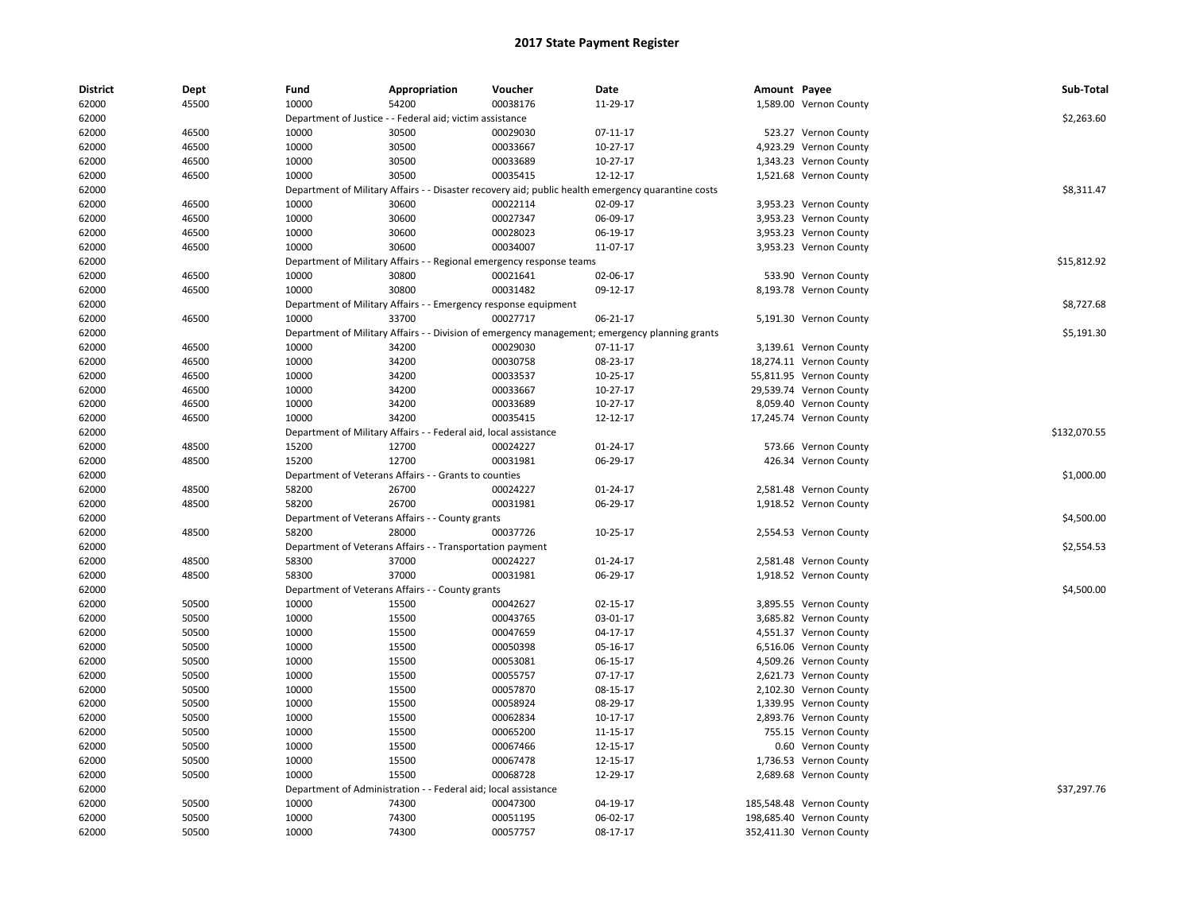| <b>District</b> | Dept  | Fund                             | Appropriation                                                    | Voucher                             | Date                                                                                           | Amount Payee |                          | Sub-Total    |
|-----------------|-------|----------------------------------|------------------------------------------------------------------|-------------------------------------|------------------------------------------------------------------------------------------------|--------------|--------------------------|--------------|
| 62000           | 45500 | 10000                            | 54200                                                            | 00038176                            | 11-29-17                                                                                       |              | 1,589.00 Vernon County   |              |
| 62000           |       |                                  | Department of Justice - - Federal aid; victim assistance         |                                     |                                                                                                |              |                          | \$2,263.60   |
| 62000           | 46500 | 10000                            | 30500                                                            | 00029030                            | 07-11-17                                                                                       |              | 523.27 Vernon County     |              |
| 62000           | 46500 | 10000                            | 30500                                                            | 00033667                            | 10-27-17                                                                                       |              | 4,923.29 Vernon County   |              |
| 62000           | 46500 | 10000                            | 30500                                                            | 00033689                            | 10-27-17                                                                                       |              | 1,343.23 Vernon County   |              |
| 62000           | 46500 | 10000                            | 30500                                                            | 00035415                            | 12-12-17                                                                                       |              | 1,521.68 Vernon County   |              |
| 62000           |       | Department of Military Affairs   |                                                                  |                                     | - Disaster recovery aid; public health emergency quarantine costs                              |              |                          | \$8,311.47   |
| 62000           | 46500 | 10000                            | 30600                                                            | 00022114                            | 02-09-17                                                                                       |              | 3,953.23 Vernon County   |              |
| 62000           | 46500 | 10000                            | 30600                                                            | 00027347                            | 06-09-17                                                                                       |              | 3,953.23 Vernon County   |              |
| 62000           | 46500 | 10000                            | 30600                                                            | 00028023                            | 06-19-17                                                                                       |              | 3,953.23 Vernon County   |              |
| 62000           | 46500 | 10000                            | 30600                                                            | 00034007                            | 11-07-17                                                                                       |              | 3,953.23 Vernon County   |              |
| 62000           |       | Department of Military Affairs - |                                                                  | - Regional emergency response teams |                                                                                                |              |                          | \$15,812.92  |
| 62000           | 46500 | 10000                            | 30800                                                            | 00021641                            | 02-06-17                                                                                       |              | 533.90 Vernon County     |              |
| 62000           | 46500 | 10000                            | 30800                                                            | 00031482                            | 09-12-17                                                                                       |              | 8,193.78 Vernon County   |              |
| 62000           |       |                                  | Department of Military Affairs - - Emergency response equipment  |                                     |                                                                                                |              |                          | \$8,727.68   |
| 62000           | 46500 | 10000                            | 33700                                                            | 00027717                            | 06-21-17                                                                                       |              | 5,191.30 Vernon County   |              |
| 62000           |       |                                  |                                                                  |                                     | Department of Military Affairs - - Division of emergency management; emergency planning grants |              |                          | \$5,191.30   |
| 62000           | 46500 | 10000                            | 34200                                                            | 00029030                            | 07-11-17                                                                                       |              | 3,139.61 Vernon County   |              |
| 62000           | 46500 | 10000                            | 34200                                                            | 00030758                            | 08-23-17                                                                                       |              | 18,274.11 Vernon County  |              |
| 62000           | 46500 | 10000                            | 34200                                                            | 00033537                            | 10-25-17                                                                                       |              | 55,811.95 Vernon County  |              |
| 62000           | 46500 | 10000                            | 34200                                                            | 00033667                            | $10-27-17$                                                                                     |              | 29,539.74 Vernon County  |              |
| 62000           | 46500 | 10000                            | 34200                                                            | 00033689                            | 10-27-17                                                                                       |              | 8,059.40 Vernon County   |              |
| 62000           | 46500 | 10000                            | 34200                                                            | 00035415                            | 12-12-17                                                                                       |              | 17,245.74 Vernon County  |              |
| 62000           |       |                                  | Department of Military Affairs - - Federal aid, local assistance |                                     |                                                                                                |              |                          | \$132,070.55 |
| 62000           | 48500 | 15200                            | 12700                                                            | 00024227                            | $01 - 24 - 17$                                                                                 |              | 573.66 Vernon County     |              |
| 62000           | 48500 | 15200                            | 12700                                                            | 00031981                            | 06-29-17                                                                                       |              | 426.34 Vernon County     |              |
| 62000           |       |                                  | Department of Veterans Affairs - - Grants to counties            |                                     |                                                                                                |              |                          | \$1,000.00   |
| 62000           | 48500 | 58200                            | 26700                                                            | 00024227                            | 01-24-17                                                                                       |              | 2,581.48 Vernon County   |              |
| 62000           | 48500 | 58200                            | 26700                                                            | 00031981                            | 06-29-17                                                                                       |              | 1,918.52 Vernon County   |              |
| 62000           |       |                                  | Department of Veterans Affairs - - County grants                 |                                     |                                                                                                |              |                          | \$4,500.00   |
| 62000           | 48500 | 58200                            | 28000                                                            | 00037726                            | 10-25-17                                                                                       |              | 2,554.53 Vernon County   |              |
| 62000           |       |                                  | Department of Veterans Affairs - - Transportation payment        |                                     |                                                                                                |              |                          | \$2,554.53   |
| 62000           | 48500 | 58300                            | 37000                                                            | 00024227                            | 01-24-17                                                                                       |              | 2,581.48 Vernon County   |              |
|                 |       |                                  |                                                                  |                                     |                                                                                                |              |                          |              |
| 62000           | 48500 | 58300                            | 37000                                                            | 00031981                            | 06-29-17                                                                                       |              | 1,918.52 Vernon County   |              |
| 62000           | 50500 | 10000                            | Department of Veterans Affairs - - County grants<br>15500        |                                     | 02-15-17                                                                                       |              |                          | \$4,500.00   |
| 62000           |       |                                  |                                                                  | 00042627                            |                                                                                                |              | 3,895.55 Vernon County   |              |
| 62000           | 50500 | 10000                            | 15500                                                            | 00043765                            | 03-01-17                                                                                       |              | 3,685.82 Vernon County   |              |
| 62000           | 50500 | 10000                            | 15500                                                            | 00047659                            | 04-17-17                                                                                       |              | 4,551.37 Vernon County   |              |
| 62000           | 50500 | 10000                            | 15500                                                            | 00050398                            | 05-16-17                                                                                       |              | 6,516.06 Vernon County   |              |
| 62000           | 50500 | 10000                            | 15500                                                            | 00053081                            | 06-15-17                                                                                       |              | 4,509.26 Vernon County   |              |
| 62000           | 50500 | 10000                            | 15500                                                            | 00055757                            | 07-17-17                                                                                       |              | 2,621.73 Vernon County   |              |
| 62000           | 50500 | 10000                            | 15500                                                            | 00057870                            | 08-15-17                                                                                       |              | 2,102.30 Vernon County   |              |
| 62000           | 50500 | 10000                            | 15500                                                            | 00058924                            | 08-29-17                                                                                       |              | 1,339.95 Vernon County   |              |
| 62000           | 50500 | 10000                            | 15500                                                            | 00062834                            | 10-17-17                                                                                       |              | 2,893.76 Vernon County   |              |
| 62000           | 50500 | 10000                            | 15500                                                            | 00065200                            | 11-15-17                                                                                       |              | 755.15 Vernon County     |              |
| 62000           | 50500 | 10000                            | 15500                                                            | 00067466                            | 12-15-17                                                                                       |              | 0.60 Vernon County       |              |
| 62000           | 50500 | 10000                            | 15500                                                            | 00067478                            | 12-15-17                                                                                       |              | 1,736.53 Vernon County   |              |
| 62000           | 50500 | 10000                            | 15500                                                            | 00068728                            | 12-29-17                                                                                       |              | 2,689.68 Vernon County   |              |
| 62000           |       | Department of Administration     |                                                                  | - Federal aid; local assistance     |                                                                                                |              |                          | \$37,297.76  |
| 62000           | 50500 | 10000                            | 74300                                                            | 00047300                            | 04-19-17                                                                                       |              | 185,548.48 Vernon County |              |
| 62000           | 50500 | 10000                            | 74300                                                            | 00051195                            | 06-02-17                                                                                       |              | 198,685.40 Vernon County |              |
| 62000           | 50500 | 10000                            | 74300                                                            | 00057757                            | 08-17-17                                                                                       |              | 352,411.30 Vernon County |              |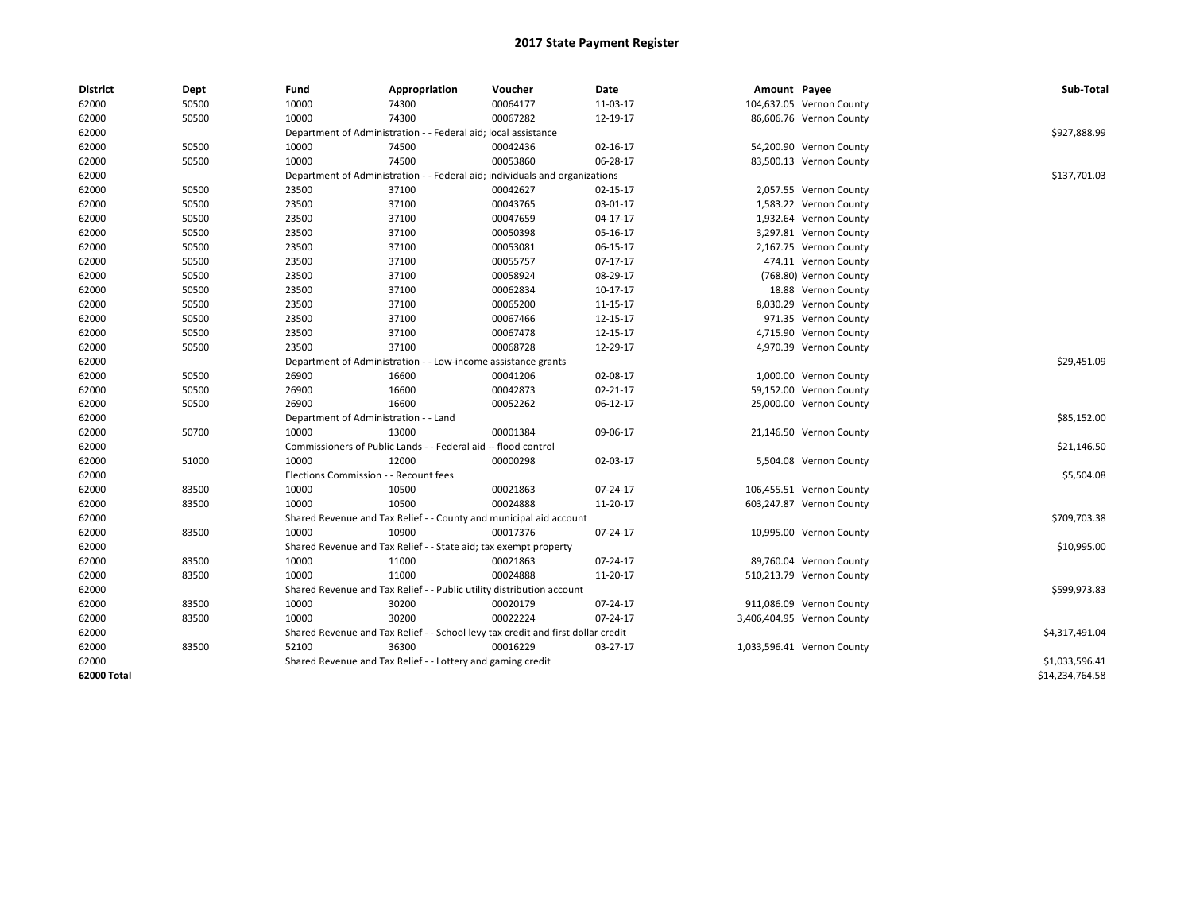| <b>District</b> | Dept  | Fund                                                          | Appropriation                                                                    | Voucher     | Date     | Amount Payee |                            | Sub-Total       |
|-----------------|-------|---------------------------------------------------------------|----------------------------------------------------------------------------------|-------------|----------|--------------|----------------------------|-----------------|
| 62000           | 50500 | 10000                                                         | 74300                                                                            | 00064177    | 11-03-17 |              | 104,637.05 Vernon County   |                 |
| 62000           | 50500 | 10000                                                         | 74300                                                                            | 00067282    | 12-19-17 |              | 86,606.76 Vernon County    |                 |
| 62000           |       |                                                               | Department of Administration - - Federal aid; local assistance                   |             |          |              |                            | \$927,888.99    |
| 62000           | 50500 | 10000                                                         | 74500                                                                            | 00042436    | 02-16-17 |              | 54,200.90 Vernon County    |                 |
| 62000           | 50500 | 10000                                                         | 74500                                                                            | 00053860    | 06-28-17 |              | 83,500.13 Vernon County    |                 |
| 62000           |       |                                                               | Department of Administration - - Federal aid; individuals and organizations      |             |          |              |                            | \$137,701.03    |
| 62000           | 50500 | 23500                                                         | 37100                                                                            | 00042627    | 02-15-17 |              | 2,057.55 Vernon County     |                 |
| 62000           | 50500 | 23500                                                         | 37100                                                                            | 00043765    | 03-01-17 |              | 1,583.22 Vernon County     |                 |
| 62000           | 50500 | 23500                                                         | 37100                                                                            | 00047659    | 04-17-17 |              | 1,932.64 Vernon County     |                 |
| 62000           | 50500 | 23500                                                         | 37100                                                                            | 00050398    | 05-16-17 |              | 3,297.81 Vernon County     |                 |
| 62000           | 50500 | 23500                                                         | 37100                                                                            | 00053081    | 06-15-17 |              | 2,167.75 Vernon County     |                 |
| 62000           | 50500 | 23500                                                         | 37100                                                                            | 00055757    | 07-17-17 |              | 474.11 Vernon County       |                 |
| 62000           | 50500 | 23500                                                         | 37100                                                                            | 00058924    | 08-29-17 |              | (768.80) Vernon County     |                 |
| 62000           | 50500 | 23500                                                         | 37100                                                                            | 00062834    | 10-17-17 |              | 18.88 Vernon County        |                 |
| 62000           | 50500 | 23500                                                         | 37100                                                                            | 00065200    | 11-15-17 |              | 8,030.29 Vernon County     |                 |
| 62000           | 50500 | 23500                                                         | 37100                                                                            | 00067466    | 12-15-17 |              | 971.35 Vernon County       |                 |
| 62000           | 50500 | 23500                                                         | 37100                                                                            | 00067478    | 12-15-17 |              | 4,715.90 Vernon County     |                 |
| 62000           | 50500 | 23500                                                         | 37100                                                                            | 00068728    | 12-29-17 |              | 4,970.39 Vernon County     |                 |
| 62000           |       | Department of Administration - - Low-income assistance grants |                                                                                  | \$29,451.09 |          |              |                            |                 |
| 62000           | 50500 | 26900                                                         | 16600                                                                            | 00041206    | 02-08-17 |              | 1,000.00 Vernon County     |                 |
| 62000           | 50500 | 26900                                                         | 16600                                                                            | 00042873    | 02-21-17 |              | 59,152.00 Vernon County    |                 |
| 62000           | 50500 | 26900                                                         | 16600                                                                            | 00052262    | 06-12-17 |              | 25,000.00 Vernon County    |                 |
| 62000           |       | Department of Administration - - Land                         |                                                                                  |             |          |              |                            | \$85,152.00     |
| 62000           | 50700 | 10000                                                         | 13000                                                                            | 00001384    | 09-06-17 |              | 21,146.50 Vernon County    |                 |
| 62000           |       |                                                               | Commissioners of Public Lands - - Federal aid -- flood control                   |             |          |              |                            | \$21,146.50     |
| 62000           | 51000 | 10000                                                         | 12000                                                                            | 00000298    | 02-03-17 |              | 5,504.08 Vernon County     |                 |
| 62000           |       | Elections Commission - - Recount fees                         |                                                                                  |             |          |              |                            | \$5,504.08      |
| 62000           | 83500 | 10000                                                         | 10500                                                                            | 00021863    | 07-24-17 |              | 106,455.51 Vernon County   |                 |
| 62000           | 83500 | 10000                                                         | 10500                                                                            | 00024888    | 11-20-17 |              | 603,247.87 Vernon County   |                 |
| 62000           |       |                                                               | Shared Revenue and Tax Relief - - County and municipal aid account               |             |          |              |                            | \$709,703.38    |
| 62000           | 83500 | 10000                                                         | 10900                                                                            | 00017376    | 07-24-17 |              | 10,995.00 Vernon County    |                 |
| 62000           |       |                                                               | Shared Revenue and Tax Relief - - State aid; tax exempt property                 |             |          |              |                            | \$10,995.00     |
| 62000           | 83500 | 10000                                                         | 11000                                                                            | 00021863    | 07-24-17 |              | 89,760.04 Vernon County    |                 |
| 62000           | 83500 | 10000                                                         | 11000                                                                            | 00024888    | 11-20-17 |              | 510,213.79 Vernon County   |                 |
| 62000           |       |                                                               | Shared Revenue and Tax Relief - - Public utility distribution account            |             |          |              |                            | \$599,973.83    |
| 62000           | 83500 | 10000                                                         | 30200                                                                            | 00020179    | 07-24-17 |              | 911,086.09 Vernon County   |                 |
| 62000           | 83500 | 10000                                                         | 30200                                                                            | 00022224    | 07-24-17 |              | 3,406,404.95 Vernon County |                 |
| 62000           |       |                                                               | Shared Revenue and Tax Relief - - School levy tax credit and first dollar credit |             |          |              |                            | \$4,317,491.04  |
| 62000           | 83500 | 52100                                                         | 36300                                                                            | 00016229    | 03-27-17 |              | 1,033,596.41 Vernon County |                 |
| 62000           |       |                                                               | Shared Revenue and Tax Relief - - Lottery and gaming credit                      |             |          |              |                            | \$1,033,596.41  |
| 62000 Total     |       |                                                               |                                                                                  |             |          |              |                            | \$14,234,764.58 |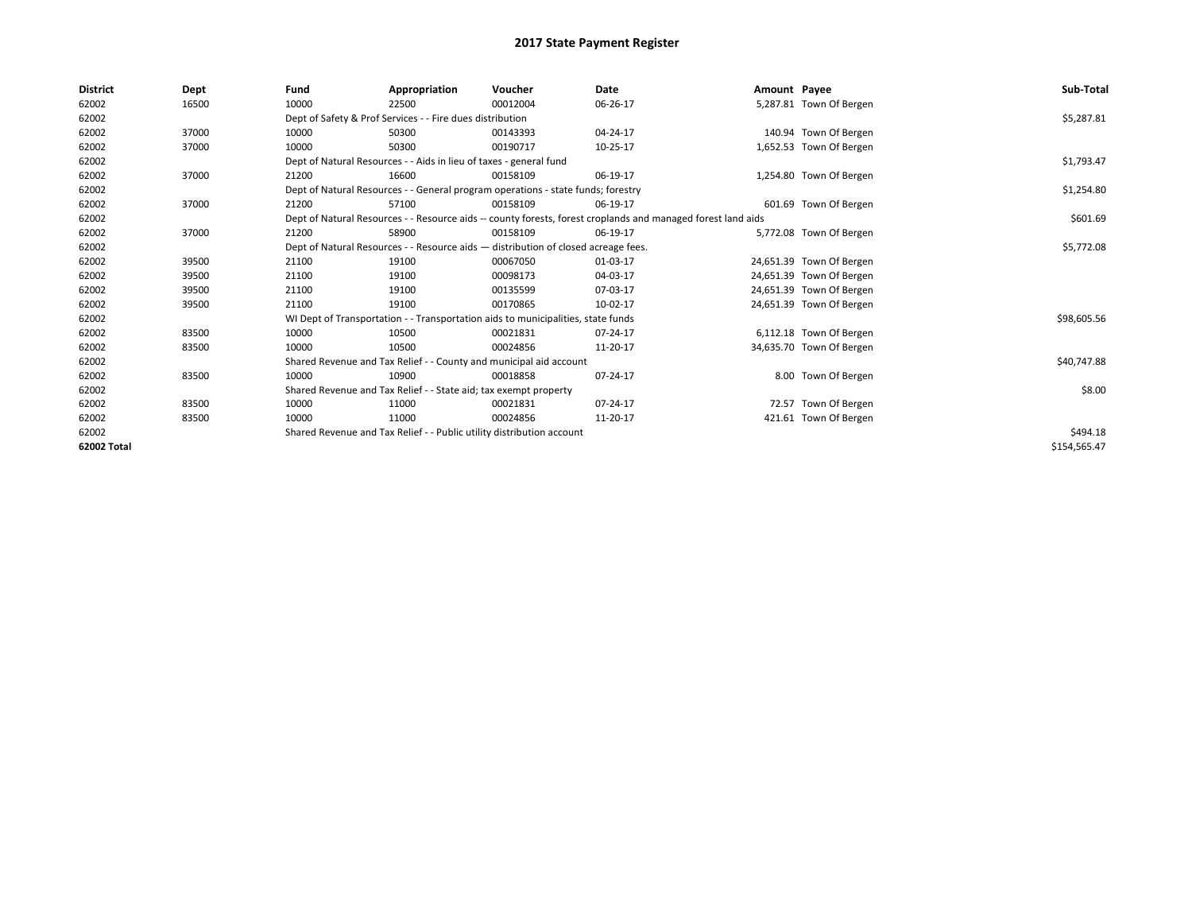| <b>District</b> | Dept  | Fund  | Appropriation                                                                                                | Voucher  | Date       | Amount Payee |                          | Sub-Total    |
|-----------------|-------|-------|--------------------------------------------------------------------------------------------------------------|----------|------------|--------------|--------------------------|--------------|
| 62002           | 16500 | 10000 | 22500                                                                                                        | 00012004 | 06-26-17   |              | 5,287.81 Town Of Bergen  |              |
| 62002           |       |       | Dept of Safety & Prof Services - - Fire dues distribution                                                    |          |            |              |                          | \$5,287.81   |
| 62002           | 37000 | 10000 | 50300                                                                                                        | 00143393 | 04-24-17   |              | 140.94 Town Of Bergen    |              |
| 62002           | 37000 | 10000 | 50300                                                                                                        | 00190717 | 10-25-17   |              | 1,652.53 Town Of Bergen  |              |
| 62002           |       |       | Dept of Natural Resources - - Aids in lieu of taxes - general fund                                           |          |            |              |                          | \$1,793.47   |
| 62002           | 37000 | 21200 | 16600                                                                                                        | 00158109 | 06-19-17   |              | 1,254.80 Town Of Bergen  |              |
| 62002           |       |       | Dept of Natural Resources - - General program operations - state funds; forestry                             |          |            |              |                          | \$1,254.80   |
| 62002           | 37000 | 21200 | 57100                                                                                                        | 00158109 | 06-19-17   |              | 601.69 Town Of Bergen    |              |
| 62002           |       |       | Dept of Natural Resources - - Resource aids -- county forests, forest croplands and managed forest land aids |          | \$601.69   |              |                          |              |
| 62002           | 37000 | 21200 | 58900                                                                                                        | 00158109 | 06-19-17   |              | 5,772.08 Town Of Bergen  |              |
| 62002           |       |       | Dept of Natural Resources - - Resource aids - distribution of closed acreage fees.                           |          | \$5,772.08 |              |                          |              |
| 62002           | 39500 | 21100 | 19100                                                                                                        | 00067050 | 01-03-17   |              | 24,651.39 Town Of Bergen |              |
| 62002           | 39500 | 21100 | 19100                                                                                                        | 00098173 | 04-03-17   |              | 24,651.39 Town Of Bergen |              |
| 62002           | 39500 | 21100 | 19100                                                                                                        | 00135599 | 07-03-17   |              | 24,651.39 Town Of Bergen |              |
| 62002           | 39500 | 21100 | 19100                                                                                                        | 00170865 | 10-02-17   |              | 24,651.39 Town Of Bergen |              |
| 62002           |       |       | WI Dept of Transportation - - Transportation aids to municipalities, state funds                             |          |            |              |                          | \$98,605.56  |
| 62002           | 83500 | 10000 | 10500                                                                                                        | 00021831 | 07-24-17   |              | 6,112.18 Town Of Bergen  |              |
| 62002           | 83500 | 10000 | 10500                                                                                                        | 00024856 | 11-20-17   |              | 34,635.70 Town Of Bergen |              |
| 62002           |       |       | Shared Revenue and Tax Relief - - County and municipal aid account                                           |          |            |              |                          | \$40,747.88  |
| 62002           | 83500 | 10000 | 10900                                                                                                        | 00018858 | 07-24-17   |              | 8.00 Town Of Bergen      |              |
| 62002           |       |       | Shared Revenue and Tax Relief - - State aid; tax exempt property                                             |          |            |              |                          | \$8.00       |
| 62002           | 83500 | 10000 | 11000                                                                                                        | 00021831 | 07-24-17   |              | 72.57 Town Of Bergen     |              |
| 62002           | 83500 | 10000 | 11000                                                                                                        | 00024856 | 11-20-17   |              | 421.61 Town Of Bergen    |              |
| 62002           |       |       | Shared Revenue and Tax Relief - - Public utility distribution account                                        |          |            |              |                          | \$494.18     |
| 62002 Total     |       |       |                                                                                                              |          |            |              |                          | \$154,565.47 |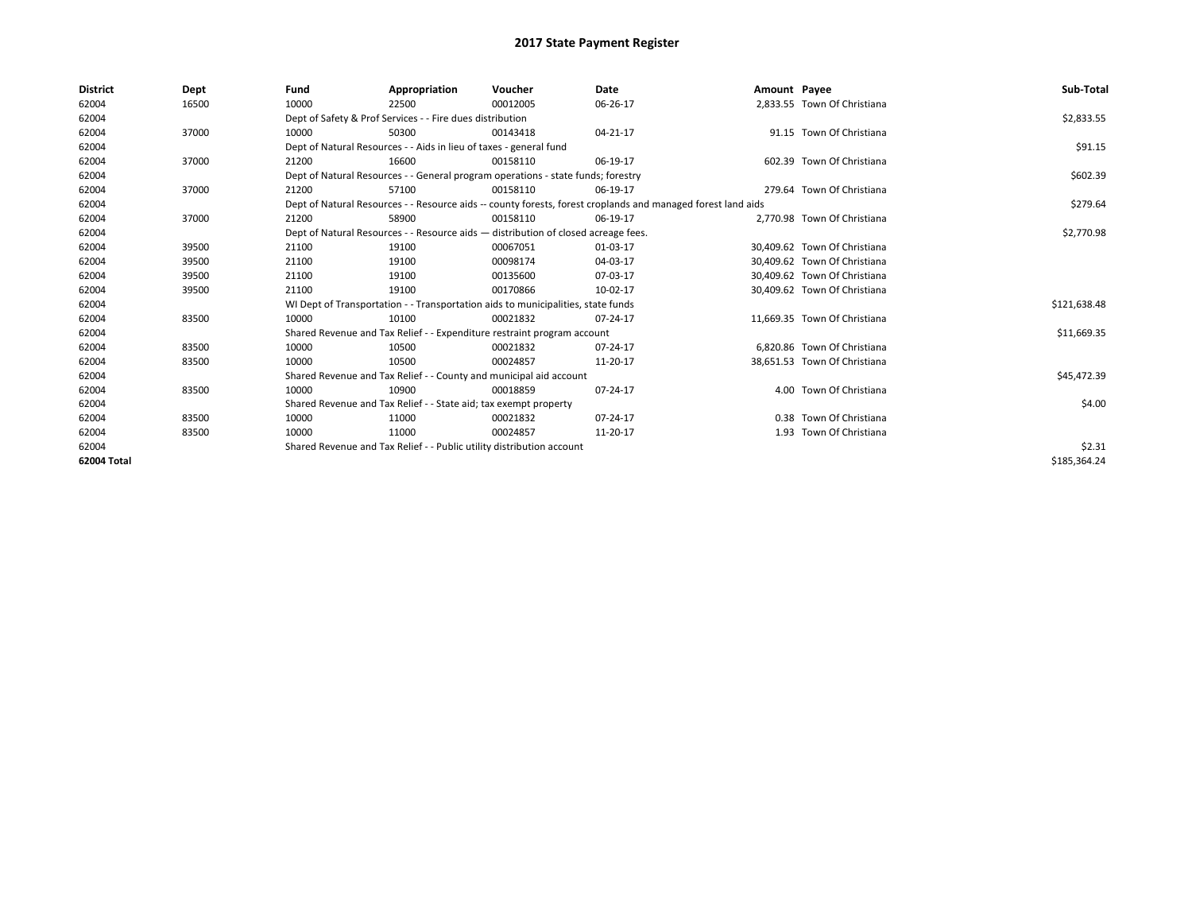| <b>District</b> | Dept  | Fund                                                                  | Appropriation                                                                                                | Voucher  | <b>Date</b> | Amount Payee |                              | Sub-Total    |
|-----------------|-------|-----------------------------------------------------------------------|--------------------------------------------------------------------------------------------------------------|----------|-------------|--------------|------------------------------|--------------|
| 62004           | 16500 | 10000                                                                 | 22500                                                                                                        | 00012005 | 06-26-17    |              | 2,833.55 Town Of Christiana  |              |
| 62004           |       |                                                                       | Dept of Safety & Prof Services - - Fire dues distribution                                                    |          |             |              |                              | \$2,833.55   |
| 62004           | 37000 | 10000                                                                 | 50300                                                                                                        | 00143418 | 04-21-17    |              | 91.15 Town Of Christiana     |              |
| 62004           |       |                                                                       | Dept of Natural Resources - - Aids in lieu of taxes - general fund                                           |          |             |              |                              | \$91.15      |
| 62004           | 37000 | 21200                                                                 | 16600                                                                                                        | 00158110 | 06-19-17    |              | 602.39 Town Of Christiana    |              |
| 62004           |       |                                                                       | Dept of Natural Resources - - General program operations - state funds; forestry                             |          | \$602.39    |              |                              |              |
| 62004           | 37000 | 21200                                                                 | 57100                                                                                                        | 00158110 | 06-19-17    |              | 279.64 Town Of Christiana    |              |
| 62004           |       |                                                                       | Dept of Natural Resources - - Resource aids -- county forests, forest croplands and managed forest land aids |          | \$279.64    |              |                              |              |
| 62004           | 37000 | 21200                                                                 | 58900                                                                                                        | 00158110 | 06-19-17    |              | 2.770.98 Town Of Christiana  |              |
| 62004           |       |                                                                       | Dept of Natural Resources - - Resource aids - distribution of closed acreage fees.                           |          |             |              |                              | \$2,770.98   |
| 62004           | 39500 | 21100                                                                 | 19100                                                                                                        | 00067051 | 01-03-17    |              | 30.409.62 Town Of Christiana |              |
| 62004           | 39500 | 21100                                                                 | 19100                                                                                                        | 00098174 | 04-03-17    |              | 30,409.62 Town Of Christiana |              |
| 62004           | 39500 | 21100                                                                 | 19100                                                                                                        | 00135600 | 07-03-17    |              | 30,409.62 Town Of Christiana |              |
| 62004           | 39500 | 21100                                                                 | 19100                                                                                                        | 00170866 | 10-02-17    |              | 30,409.62 Town Of Christiana |              |
| 62004           |       |                                                                       | WI Dept of Transportation - - Transportation aids to municipalities, state funds                             |          |             |              |                              | \$121,638.48 |
| 62004           | 83500 | 10000                                                                 | 10100                                                                                                        | 00021832 | 07-24-17    |              | 11.669.35 Town Of Christiana |              |
| 62004           |       |                                                                       | Shared Revenue and Tax Relief - - Expenditure restraint program account                                      |          |             |              |                              | \$11,669.35  |
| 62004           | 83500 | 10000                                                                 | 10500                                                                                                        | 00021832 | 07-24-17    |              | 6.820.86 Town Of Christiana  |              |
| 62004           | 83500 | 10000                                                                 | 10500                                                                                                        | 00024857 | 11-20-17    |              | 38,651.53 Town Of Christiana |              |
| 62004           |       |                                                                       | Shared Revenue and Tax Relief - - County and municipal aid account                                           |          |             |              |                              | \$45,472.39  |
| 62004           | 83500 | 10000                                                                 | 10900                                                                                                        | 00018859 | 07-24-17    |              | 4.00 Town Of Christiana      |              |
| 62004           |       | Shared Revenue and Tax Relief - - State aid; tax exempt property      |                                                                                                              | \$4.00   |             |              |                              |              |
| 62004           | 83500 | 10000                                                                 | 11000                                                                                                        | 00021832 | 07-24-17    |              | 0.38 Town Of Christiana      |              |
| 62004           | 83500 | 10000                                                                 | 11000                                                                                                        | 00024857 | 11-20-17    |              | 1.93 Town Of Christiana      |              |
| 62004           |       | Shared Revenue and Tax Relief - - Public utility distribution account |                                                                                                              | \$2.31   |             |              |                              |              |
| 62004 Total     |       |                                                                       |                                                                                                              |          |             |              |                              | \$185,364.24 |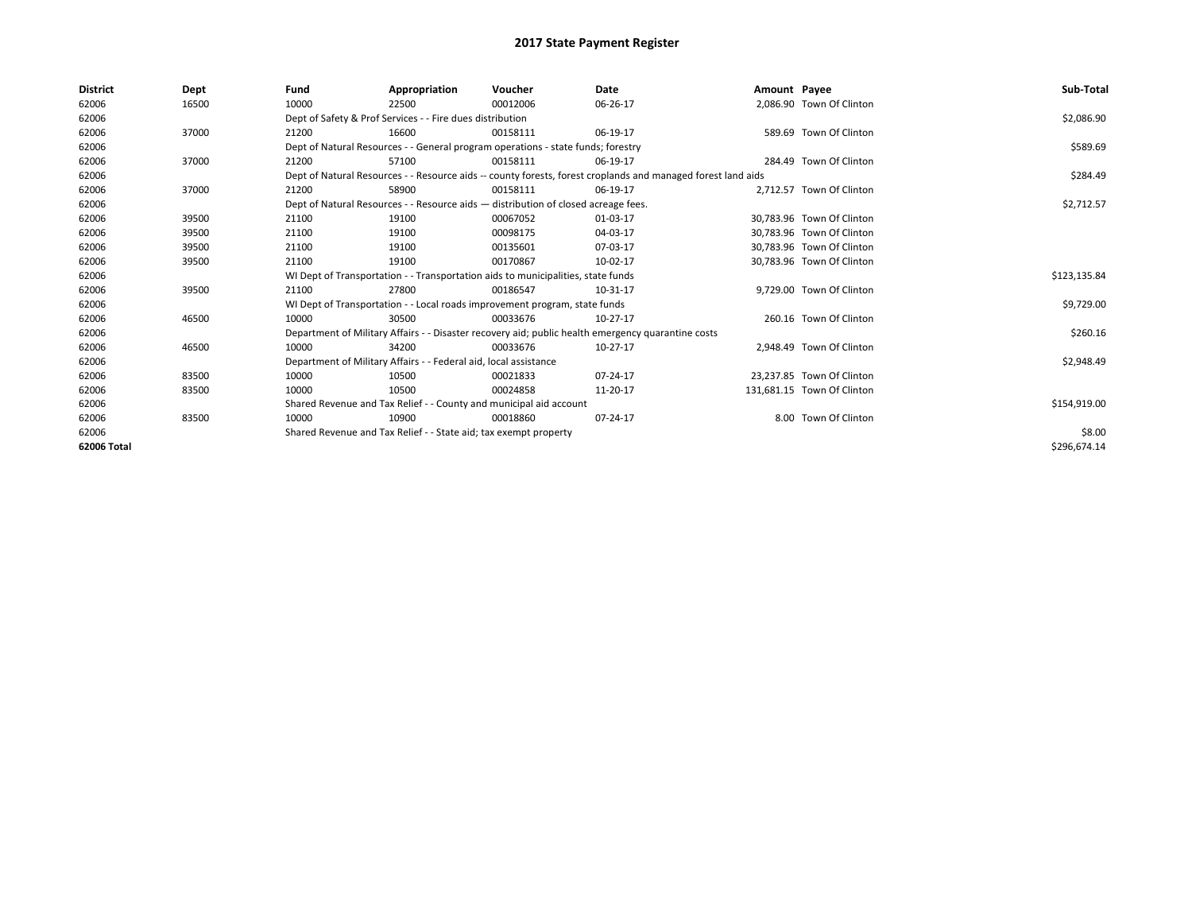| <b>District</b> | Dept  | Fund  | Appropriation                                                                                                | Voucher  | Date           | Amount Payee |                            | Sub-Total    |  |  |
|-----------------|-------|-------|--------------------------------------------------------------------------------------------------------------|----------|----------------|--------------|----------------------------|--------------|--|--|
| 62006           | 16500 | 10000 | 22500                                                                                                        | 00012006 | 06-26-17       |              | 2,086.90 Town Of Clinton   |              |  |  |
| 62006           |       |       | Dept of Safety & Prof Services - - Fire dues distribution                                                    |          |                |              |                            | \$2,086.90   |  |  |
| 62006           | 37000 | 21200 | 16600                                                                                                        | 00158111 | 06-19-17       |              | 589.69 Town Of Clinton     |              |  |  |
| 62006           |       |       | Dept of Natural Resources - - General program operations - state funds; forestry                             |          |                |              |                            | \$589.69     |  |  |
| 62006           | 37000 | 21200 | 57100                                                                                                        | 00158111 | 06-19-17       |              | 284.49 Town Of Clinton     |              |  |  |
| 62006           |       |       | Dept of Natural Resources - - Resource aids -- county forests, forest croplands and managed forest land aids |          |                |              |                            | \$284.49     |  |  |
| 62006           | 37000 | 21200 | 58900                                                                                                        | 00158111 | 06-19-17       |              | 2.712.57 Town Of Clinton   |              |  |  |
| 62006           |       |       | Dept of Natural Resources - - Resource aids - distribution of closed acreage fees.                           |          | \$2,712.57     |              |                            |              |  |  |
| 62006           | 39500 | 21100 | 19100                                                                                                        | 00067052 | 01-03-17       |              | 30,783.96 Town Of Clinton  |              |  |  |
| 62006           | 39500 | 21100 | 19100                                                                                                        | 00098175 | 04-03-17       |              | 30.783.96 Town Of Clinton  |              |  |  |
| 62006           | 39500 | 21100 | 19100                                                                                                        | 00135601 | 07-03-17       |              | 30,783.96 Town Of Clinton  |              |  |  |
| 62006           | 39500 | 21100 | 19100                                                                                                        | 00170867 | 10-02-17       |              | 30,783.96 Town Of Clinton  |              |  |  |
| 62006           |       |       | WI Dept of Transportation - - Transportation aids to municipalities, state funds                             |          |                |              |                            |              |  |  |
| 62006           | 39500 | 21100 | 27800                                                                                                        | 00186547 | 10-31-17       |              | 9,729.00 Town Of Clinton   |              |  |  |
| 62006           |       |       | WI Dept of Transportation - - Local roads improvement program, state funds                                   |          |                |              |                            | \$9,729.00   |  |  |
| 62006           | 46500 | 10000 | 30500                                                                                                        | 00033676 | 10-27-17       |              | 260.16 Town Of Clinton     |              |  |  |
| 62006           |       |       | Department of Military Affairs - - Disaster recovery aid; public health emergency quarantine costs           |          |                |              |                            | \$260.16     |  |  |
| 62006           | 46500 | 10000 | 34200                                                                                                        | 00033676 | 10-27-17       |              | 2,948.49 Town Of Clinton   |              |  |  |
| 62006           |       |       | Department of Military Affairs - - Federal aid, local assistance                                             |          |                |              |                            | \$2,948.49   |  |  |
| 62006           | 83500 | 10000 | 10500                                                                                                        | 00021833 | $07 - 24 - 17$ |              | 23,237.85 Town Of Clinton  |              |  |  |
| 62006           | 83500 | 10000 | 10500                                                                                                        | 00024858 | 11-20-17       |              | 131,681.15 Town Of Clinton |              |  |  |
| 62006           |       |       | Shared Revenue and Tax Relief - - County and municipal aid account                                           |          |                |              |                            |              |  |  |
| 62006           | 83500 | 10000 | 10900                                                                                                        | 00018860 | 07-24-17       |              | 8.00 Town Of Clinton       |              |  |  |
| 62006           |       |       | Shared Revenue and Tax Relief - - State aid; tax exempt property                                             |          |                |              |                            | \$8.00       |  |  |
| 62006 Total     |       |       |                                                                                                              |          |                |              |                            | \$296,674.14 |  |  |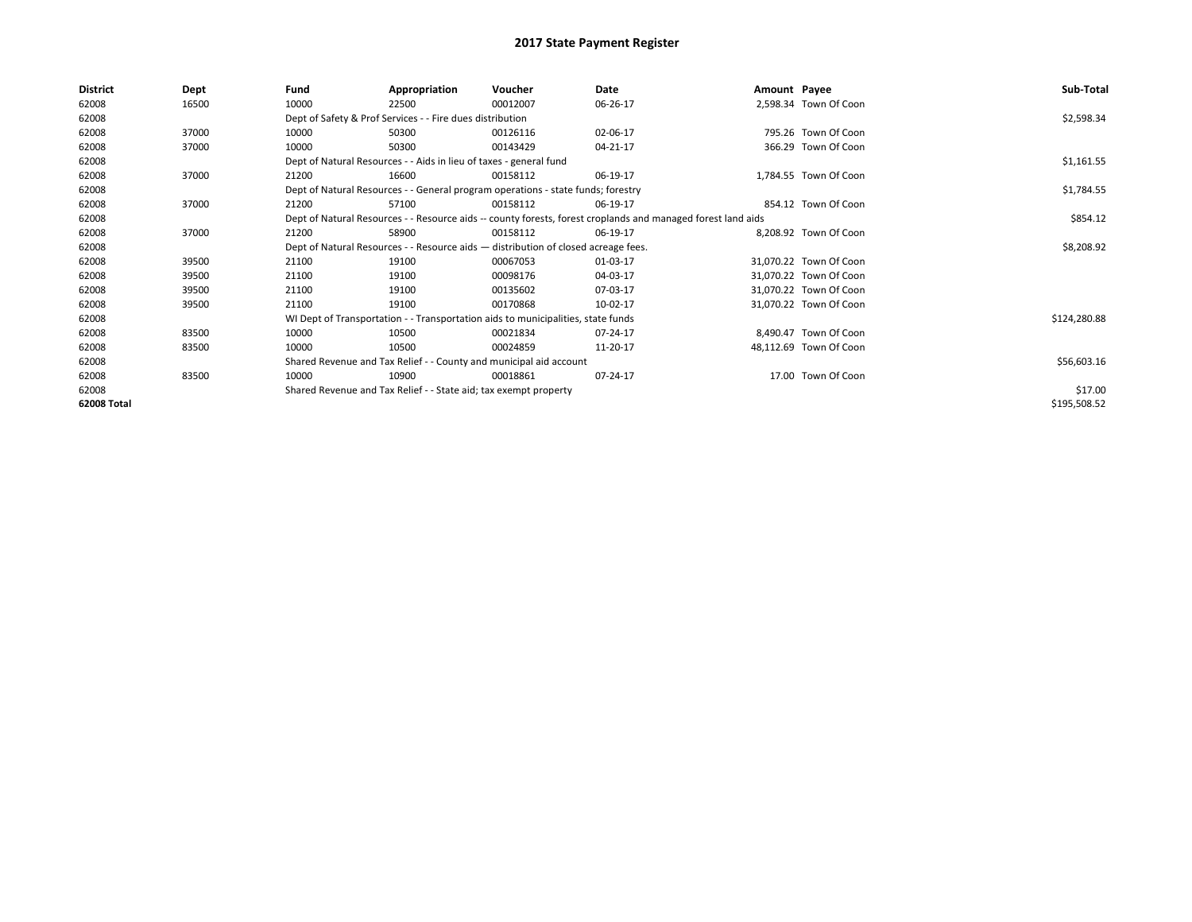| District           | Dept  | Fund  | Appropriation                                                                                                | Voucher  | Date           | Amount Payee |                        | Sub-Total    |  |  |  |
|--------------------|-------|-------|--------------------------------------------------------------------------------------------------------------|----------|----------------|--------------|------------------------|--------------|--|--|--|
| 62008              | 16500 | 10000 | 22500                                                                                                        | 00012007 | 06-26-17       |              | 2,598.34 Town Of Coon  |              |  |  |  |
| 62008              |       |       | Dept of Safety & Prof Services - - Fire dues distribution                                                    |          |                |              |                        | \$2,598.34   |  |  |  |
| 62008              | 37000 | 10000 | 50300                                                                                                        | 00126116 | 02-06-17       |              | 795.26 Town Of Coon    |              |  |  |  |
| 62008              | 37000 | 10000 | 50300                                                                                                        | 00143429 | 04-21-17       |              | 366.29 Town Of Coon    |              |  |  |  |
| 62008              |       |       | Dept of Natural Resources - - Aids in lieu of taxes - general fund                                           |          |                |              |                        | \$1,161.55   |  |  |  |
| 62008              | 37000 | 21200 | 16600                                                                                                        | 00158112 | 06-19-17       |              | 1,784.55 Town Of Coon  |              |  |  |  |
| 62008              |       |       | Dept of Natural Resources - - General program operations - state funds; forestry                             |          | \$1,784.55     |              |                        |              |  |  |  |
| 62008              | 37000 | 21200 | 57100                                                                                                        | 00158112 | 06-19-17       |              | 854.12 Town Of Coon    |              |  |  |  |
| 62008              |       |       | Dept of Natural Resources - - Resource aids -- county forests, forest croplands and managed forest land aids |          | \$854.12       |              |                        |              |  |  |  |
| 62008              | 37000 | 21200 | 58900                                                                                                        | 00158112 | 06-19-17       |              | 8,208.92 Town Of Coon  |              |  |  |  |
| 62008              |       |       | Dept of Natural Resources - - Resource aids - distribution of closed acreage fees.                           |          |                |              |                        |              |  |  |  |
| 62008              | 39500 | 21100 | 19100                                                                                                        | 00067053 | 01-03-17       |              | 31,070.22 Town Of Coon |              |  |  |  |
| 62008              | 39500 | 21100 | 19100                                                                                                        | 00098176 | 04-03-17       |              | 31,070.22 Town Of Coon |              |  |  |  |
| 62008              | 39500 | 21100 | 19100                                                                                                        | 00135602 | 07-03-17       |              | 31,070.22 Town Of Coon |              |  |  |  |
| 62008              | 39500 | 21100 | 19100                                                                                                        | 00170868 | 10-02-17       |              | 31,070.22 Town Of Coon |              |  |  |  |
| 62008              |       |       | WI Dept of Transportation - - Transportation aids to municipalities, state funds                             |          |                |              |                        | \$124,280.88 |  |  |  |
| 62008              | 83500 | 10000 | 10500                                                                                                        | 00021834 | 07-24-17       |              | 8,490.47 Town Of Coon  |              |  |  |  |
| 62008              | 83500 | 10000 | 10500                                                                                                        | 00024859 | 11-20-17       |              | 48,112.69 Town Of Coon |              |  |  |  |
| 62008              |       |       | Shared Revenue and Tax Relief - - County and municipal aid account                                           |          |                |              |                        | \$56,603.16  |  |  |  |
| 62008              | 83500 | 10000 | 10900                                                                                                        | 00018861 | $07 - 24 - 17$ |              | 17.00 Town Of Coon     |              |  |  |  |
| 62008              |       |       | Shared Revenue and Tax Relief - - State aid; tax exempt property                                             |          |                |              |                        | \$17.00      |  |  |  |
| <b>62008 Total</b> |       |       |                                                                                                              |          |                |              |                        | \$195,508.52 |  |  |  |
|                    |       |       |                                                                                                              |          |                |              |                        |              |  |  |  |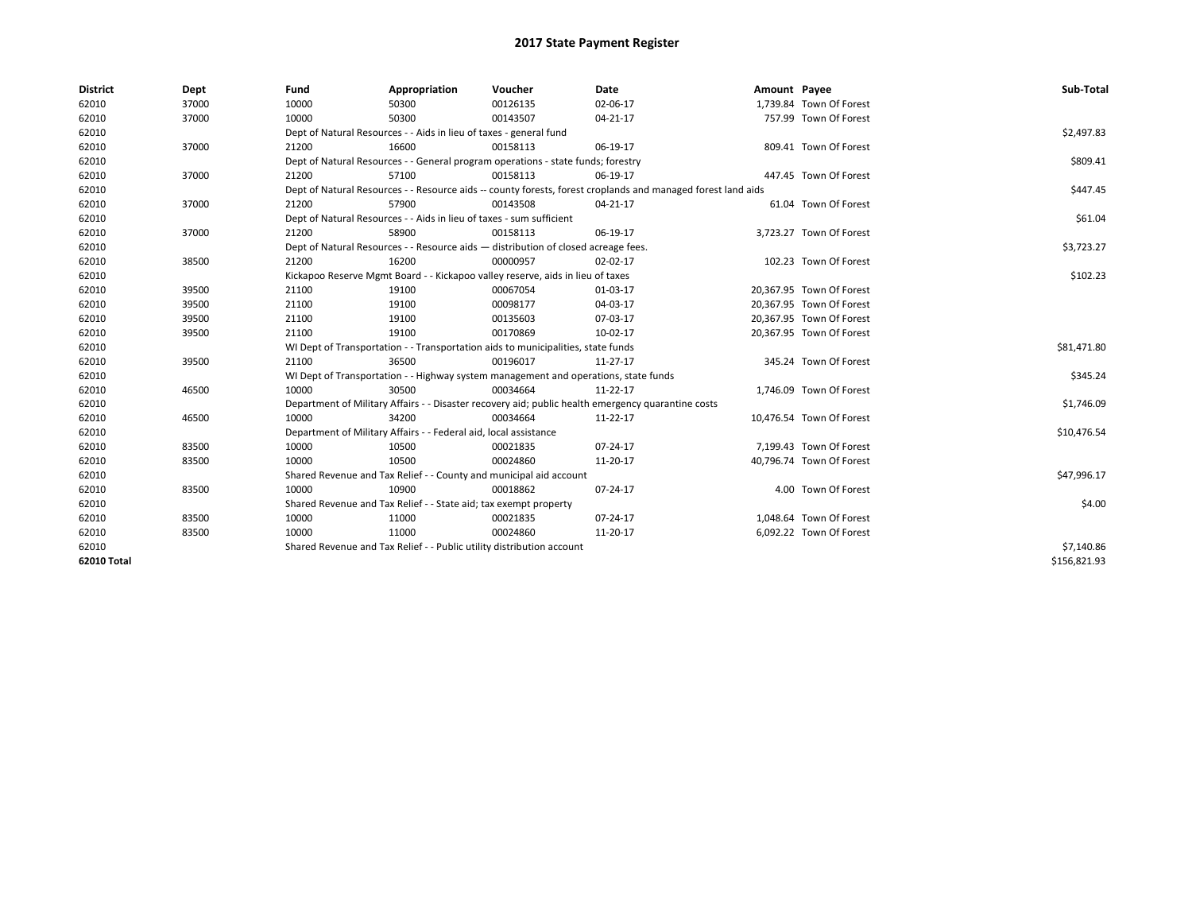| <b>District</b> | Dept  | Fund                                                                               | Appropriation                                                                                                | Voucher    | Date                                                                                               | Amount Payee |                          | Sub-Total    |  |  |
|-----------------|-------|------------------------------------------------------------------------------------|--------------------------------------------------------------------------------------------------------------|------------|----------------------------------------------------------------------------------------------------|--------------|--------------------------|--------------|--|--|
| 62010           | 37000 | 10000                                                                              | 50300                                                                                                        | 00126135   | 02-06-17                                                                                           |              | 1,739.84 Town Of Forest  |              |  |  |
| 62010           | 37000 | 10000                                                                              | 50300                                                                                                        | 00143507   | 04-21-17                                                                                           |              | 757.99 Town Of Forest    |              |  |  |
| 62010           |       |                                                                                    | Dept of Natural Resources - - Aids in lieu of taxes - general fund                                           |            |                                                                                                    |              |                          | \$2,497.83   |  |  |
| 62010           | 37000 | 21200                                                                              | 16600                                                                                                        | 00158113   | 06-19-17                                                                                           |              | 809.41 Town Of Forest    |              |  |  |
| 62010           |       |                                                                                    | Dept of Natural Resources - - General program operations - state funds; forestry                             |            |                                                                                                    |              |                          | \$809.41     |  |  |
| 62010           | 37000 | 21200                                                                              | 57100                                                                                                        | 00158113   | 06-19-17                                                                                           |              | 447.45 Town Of Forest    |              |  |  |
| 62010           |       |                                                                                    | Dept of Natural Resources - - Resource aids -- county forests, forest croplands and managed forest land aids |            |                                                                                                    |              |                          |              |  |  |
| 62010           | 37000 | 21200                                                                              | 57900                                                                                                        | 00143508   | 04-21-17                                                                                           |              | 61.04 Town Of Forest     |              |  |  |
| 62010           |       | Dept of Natural Resources - - Aids in lieu of taxes - sum sufficient               |                                                                                                              | \$61.04    |                                                                                                    |              |                          |              |  |  |
| 62010           | 37000 | 21200                                                                              | 58900                                                                                                        | 00158113   | 06-19-17                                                                                           |              | 3,723.27 Town Of Forest  |              |  |  |
| 62010           |       | Dept of Natural Resources - - Resource aids - distribution of closed acreage fees. |                                                                                                              | \$3,723.27 |                                                                                                    |              |                          |              |  |  |
| 62010           | 38500 | 21200                                                                              | 16200                                                                                                        | 00000957   | 02-02-17                                                                                           |              | 102.23 Town Of Forest    |              |  |  |
| 62010           |       | Kickapoo Reserve Mgmt Board - - Kickapoo valley reserve, aids in lieu of taxes     |                                                                                                              | \$102.23   |                                                                                                    |              |                          |              |  |  |
| 62010           | 39500 | 21100                                                                              | 19100                                                                                                        | 00067054   | 01-03-17                                                                                           |              | 20,367.95 Town Of Forest |              |  |  |
| 62010           | 39500 | 21100                                                                              | 19100                                                                                                        | 00098177   | 04-03-17                                                                                           |              | 20,367.95 Town Of Forest |              |  |  |
| 62010           | 39500 | 21100                                                                              | 19100                                                                                                        | 00135603   | 07-03-17                                                                                           |              | 20,367.95 Town Of Forest |              |  |  |
| 62010           | 39500 | 21100                                                                              | 19100                                                                                                        | 00170869   | 10-02-17                                                                                           |              | 20,367.95 Town Of Forest |              |  |  |
| 62010           |       |                                                                                    | WI Dept of Transportation - - Transportation aids to municipalities, state funds                             |            |                                                                                                    |              |                          | \$81,471.80  |  |  |
| 62010           | 39500 | 21100                                                                              | 36500                                                                                                        | 00196017   | 11-27-17                                                                                           |              | 345.24 Town Of Forest    |              |  |  |
| 62010           |       |                                                                                    | WI Dept of Transportation - - Highway system management and operations, state funds                          |            |                                                                                                    |              |                          | \$345.24     |  |  |
| 62010           | 46500 | 10000                                                                              | 30500                                                                                                        | 00034664   | 11-22-17                                                                                           |              | 1.746.09 Town Of Forest  |              |  |  |
| 62010           |       |                                                                                    |                                                                                                              |            | Department of Military Affairs - - Disaster recovery aid; public health emergency quarantine costs |              |                          | \$1,746.09   |  |  |
| 62010           | 46500 | 10000                                                                              | 34200                                                                                                        | 00034664   | 11-22-17                                                                                           |              | 10,476.54 Town Of Forest |              |  |  |
| 62010           |       |                                                                                    | Department of Military Affairs - - Federal aid, local assistance                                             |            |                                                                                                    |              |                          | \$10,476.54  |  |  |
| 62010           | 83500 | 10000                                                                              | 10500                                                                                                        | 00021835   | 07-24-17                                                                                           |              | 7,199.43 Town Of Forest  |              |  |  |
| 62010           | 83500 | 10000                                                                              | 10500                                                                                                        | 00024860   | 11-20-17                                                                                           |              | 40,796.74 Town Of Forest |              |  |  |
| 62010           |       |                                                                                    | Shared Revenue and Tax Relief - - County and municipal aid account                                           |            |                                                                                                    |              |                          | \$47,996.17  |  |  |
| 62010           | 83500 | 10000                                                                              | 10900                                                                                                        | 00018862   | 07-24-17                                                                                           |              | 4.00 Town Of Forest      |              |  |  |
| 62010           |       | Shared Revenue and Tax Relief - - State aid; tax exempt property                   |                                                                                                              | \$4.00     |                                                                                                    |              |                          |              |  |  |
| 62010           | 83500 | 10000                                                                              | 11000                                                                                                        | 00021835   | 07-24-17                                                                                           |              | 1,048.64 Town Of Forest  |              |  |  |
| 62010           | 83500 | 10000                                                                              | 11000                                                                                                        | 00024860   | 11-20-17                                                                                           |              | 6,092.22 Town Of Forest  |              |  |  |
| 62010           |       | Shared Revenue and Tax Relief - - Public utility distribution account              |                                                                                                              | \$7,140.86 |                                                                                                    |              |                          |              |  |  |
| 62010 Total     |       |                                                                                    |                                                                                                              |            |                                                                                                    |              |                          | \$156,821.93 |  |  |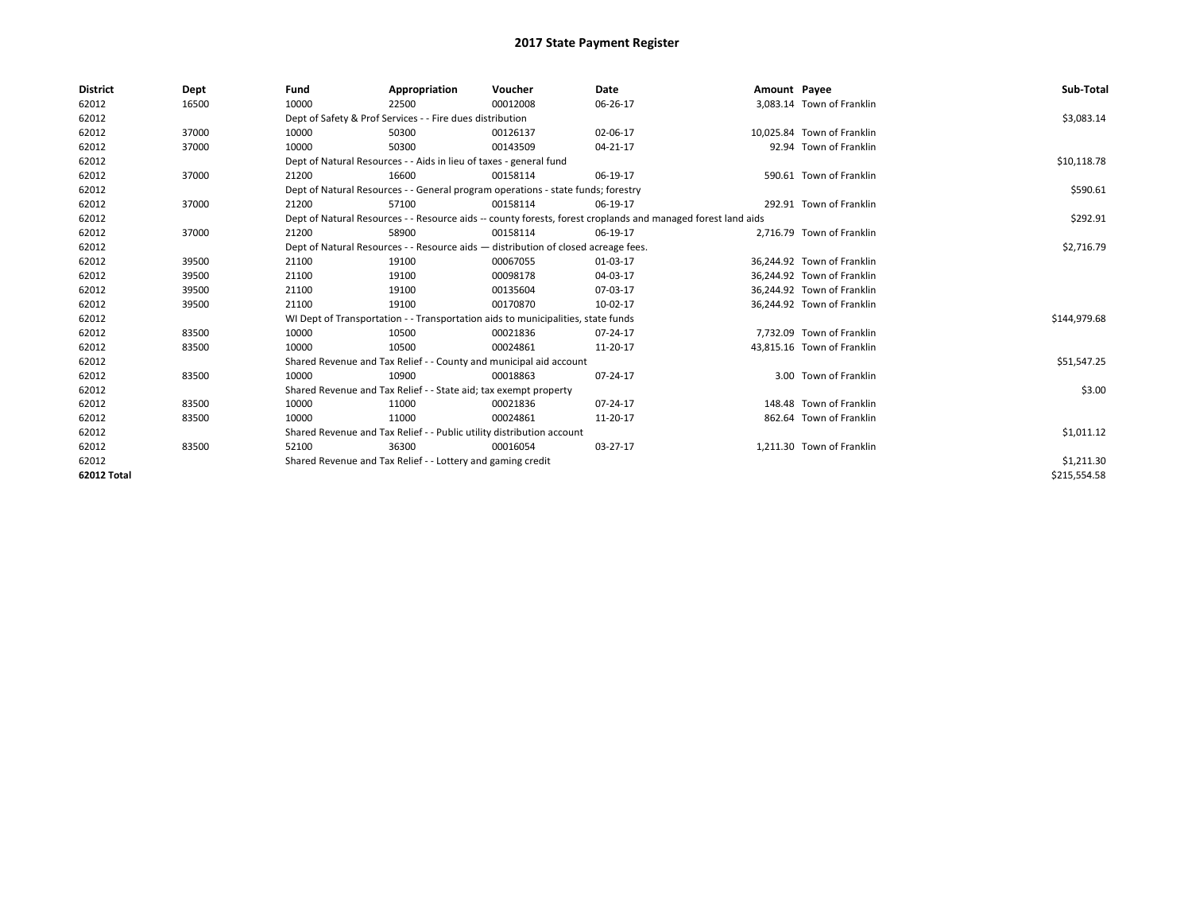| <b>District</b>    | Dept  | Fund                                                                                                         | Appropriation                                                                    | Voucher    | Date     | Amount Payee |                            | Sub-Total    |  |  |
|--------------------|-------|--------------------------------------------------------------------------------------------------------------|----------------------------------------------------------------------------------|------------|----------|--------------|----------------------------|--------------|--|--|
| 62012              | 16500 | 10000                                                                                                        | 22500                                                                            | 00012008   | 06-26-17 |              | 3,083.14 Town of Franklin  |              |  |  |
| 62012              |       |                                                                                                              | Dept of Safety & Prof Services - - Fire dues distribution                        |            |          |              |                            | \$3,083.14   |  |  |
| 62012              | 37000 | 10000                                                                                                        | 50300                                                                            | 00126137   | 02-06-17 |              | 10.025.84 Town of Franklin |              |  |  |
| 62012              | 37000 | 10000                                                                                                        | 50300                                                                            | 00143509   | 04-21-17 |              | 92.94 Town of Franklin     |              |  |  |
| 62012              |       |                                                                                                              | Dept of Natural Resources - - Aids in lieu of taxes - general fund               |            |          |              |                            | \$10,118.78  |  |  |
| 62012              | 37000 | 21200                                                                                                        | 16600                                                                            | 00158114   | 06-19-17 |              | 590.61 Town of Franklin    |              |  |  |
| 62012              |       |                                                                                                              | Dept of Natural Resources - - General program operations - state funds; forestry |            |          |              |                            |              |  |  |
| 62012              | 37000 | 21200                                                                                                        | 57100                                                                            | 00158114   | 06-19-17 |              | 292.91 Town of Franklin    |              |  |  |
| 62012              |       | Dept of Natural Resources - - Resource aids -- county forests, forest croplands and managed forest land aids |                                                                                  | \$292.91   |          |              |                            |              |  |  |
| 62012              | 37000 | 21200                                                                                                        | 58900                                                                            | 00158114   | 06-19-17 |              | 2,716.79 Town of Franklin  |              |  |  |
| 62012              |       | Dept of Natural Resources - - Resource aids - distribution of closed acreage fees.                           |                                                                                  | \$2,716.79 |          |              |                            |              |  |  |
| 62012              | 39500 | 21100                                                                                                        | 19100                                                                            | 00067055   | 01-03-17 |              | 36,244.92 Town of Franklin |              |  |  |
| 62012              | 39500 | 21100                                                                                                        | 19100                                                                            | 00098178   | 04-03-17 |              | 36,244.92 Town of Franklin |              |  |  |
| 62012              | 39500 | 21100                                                                                                        | 19100                                                                            | 00135604   | 07-03-17 |              | 36,244.92 Town of Franklin |              |  |  |
| 62012              | 39500 | 21100                                                                                                        | 19100                                                                            | 00170870   | 10-02-17 |              | 36,244.92 Town of Franklin |              |  |  |
| 62012              |       |                                                                                                              | WI Dept of Transportation - - Transportation aids to municipalities, state funds |            |          |              |                            | \$144,979.68 |  |  |
| 62012              | 83500 | 10000                                                                                                        | 10500                                                                            | 00021836   | 07-24-17 |              | 7,732.09 Town of Franklin  |              |  |  |
| 62012              | 83500 | 10000                                                                                                        | 10500                                                                            | 00024861   | 11-20-17 |              | 43,815.16 Town of Franklin |              |  |  |
| 62012              |       |                                                                                                              | Shared Revenue and Tax Relief - - County and municipal aid account               |            |          |              |                            | \$51,547.25  |  |  |
| 62012              | 83500 | 10000                                                                                                        | 10900                                                                            | 00018863   | 07-24-17 |              | 3.00 Town of Franklin      |              |  |  |
| 62012              |       |                                                                                                              | Shared Revenue and Tax Relief - - State aid; tax exempt property                 |            |          |              |                            | \$3.00       |  |  |
| 62012              | 83500 | 10000                                                                                                        | 11000                                                                            | 00021836   | 07-24-17 |              | 148.48 Town of Franklin    |              |  |  |
| 62012              | 83500 | 10000                                                                                                        | 11000                                                                            | 00024861   | 11-20-17 |              | 862.64 Town of Franklin    |              |  |  |
| 62012              |       | Shared Revenue and Tax Relief - - Public utility distribution account                                        |                                                                                  | \$1,011.12 |          |              |                            |              |  |  |
| 62012              | 83500 | 52100                                                                                                        | 36300                                                                            | 00016054   | 03-27-17 |              | 1,211.30 Town of Franklin  |              |  |  |
| 62012              |       |                                                                                                              | Shared Revenue and Tax Relief - - Lottery and gaming credit                      |            |          |              |                            | \$1,211.30   |  |  |
| <b>62012 Total</b> |       |                                                                                                              |                                                                                  |            |          |              |                            | \$215,554.58 |  |  |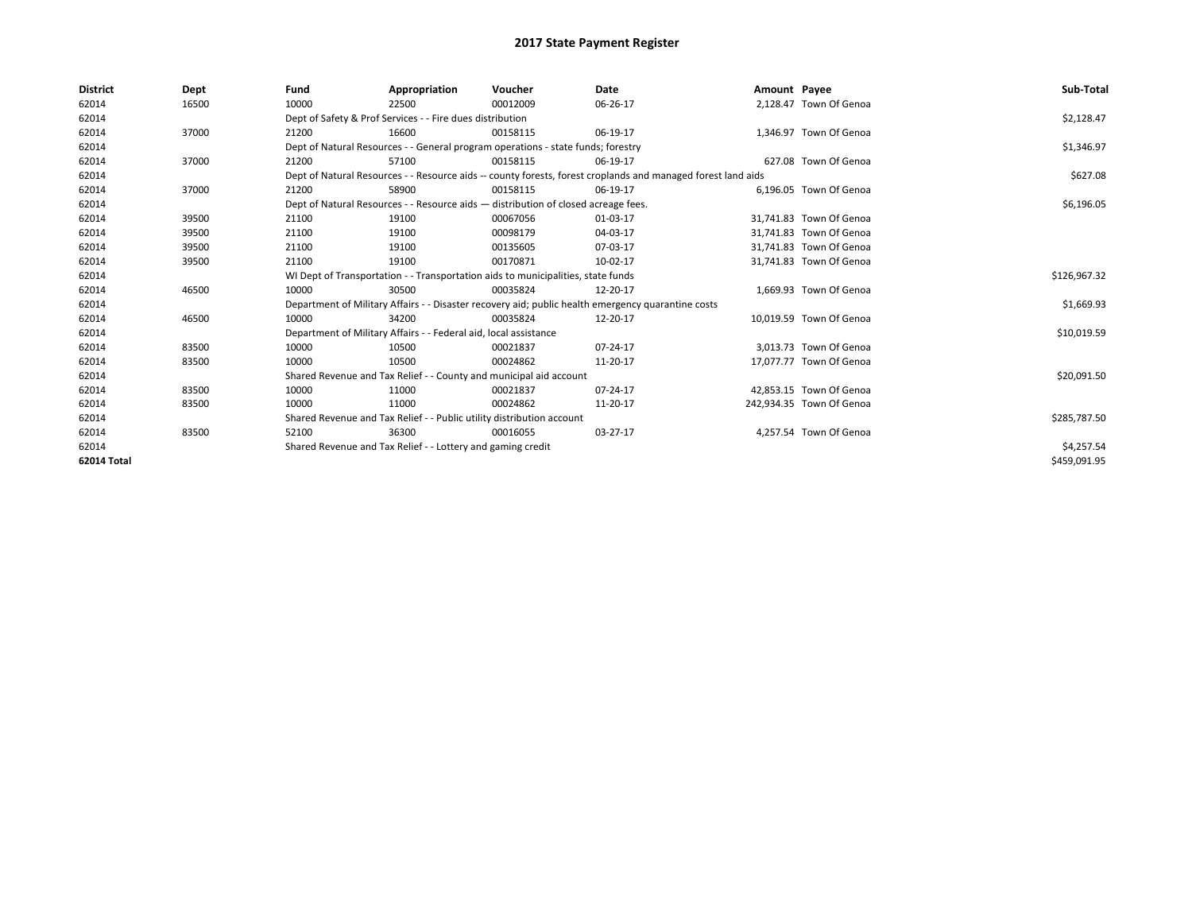| <b>District</b> | Dept  | Fund  | Appropriation                                                                      | Voucher  | Date                                                                                                         | Amount Payee |                          | Sub-Total    |  |  |
|-----------------|-------|-------|------------------------------------------------------------------------------------|----------|--------------------------------------------------------------------------------------------------------------|--------------|--------------------------|--------------|--|--|
| 62014           | 16500 | 10000 | 22500                                                                              | 00012009 | 06-26-17                                                                                                     |              | 2,128.47 Town Of Genoa   |              |  |  |
| 62014           |       |       | Dept of Safety & Prof Services - - Fire dues distribution                          |          |                                                                                                              |              |                          | \$2,128.47   |  |  |
| 62014           | 37000 | 21200 | 16600                                                                              | 00158115 | 06-19-17                                                                                                     |              | 1.346.97 Town Of Genoa   |              |  |  |
| 62014           |       |       | Dept of Natural Resources - - General program operations - state funds; forestry   |          |                                                                                                              |              |                          | \$1,346.97   |  |  |
| 62014           | 37000 | 21200 | 57100                                                                              | 00158115 | 06-19-17                                                                                                     |              | 627.08 Town Of Genoa     |              |  |  |
| 62014           |       |       |                                                                                    |          | Dept of Natural Resources - - Resource aids -- county forests, forest croplands and managed forest land aids |              |                          | \$627.08     |  |  |
| 62014           | 37000 | 21200 | 58900                                                                              | 00158115 | 06-19-17                                                                                                     |              | 6,196.05 Town Of Genoa   |              |  |  |
| 62014           |       |       | Dept of Natural Resources - - Resource aids - distribution of closed acreage fees. |          |                                                                                                              |              |                          | \$6,196.05   |  |  |
| 62014           | 39500 | 21100 | 19100                                                                              | 00067056 | 01-03-17                                                                                                     |              | 31,741.83 Town Of Genoa  |              |  |  |
| 62014           | 39500 | 21100 | 19100                                                                              | 00098179 | 04-03-17                                                                                                     |              | 31,741.83 Town Of Genoa  |              |  |  |
| 62014           | 39500 | 21100 | 19100                                                                              | 00135605 | 07-03-17                                                                                                     |              | 31,741.83 Town Of Genoa  |              |  |  |
| 62014           | 39500 | 21100 | 19100                                                                              | 00170871 | 10-02-17                                                                                                     |              | 31,741.83 Town Of Genoa  |              |  |  |
| 62014           |       |       | WI Dept of Transportation - - Transportation aids to municipalities, state funds   |          |                                                                                                              |              |                          |              |  |  |
| 62014           | 46500 | 10000 | 30500                                                                              | 00035824 | 12-20-17                                                                                                     |              | 1,669.93 Town Of Genoa   |              |  |  |
| 62014           |       |       |                                                                                    |          | Department of Military Affairs - - Disaster recovery aid; public health emergency quarantine costs           |              |                          | \$1,669.93   |  |  |
| 62014           | 46500 | 10000 | 34200                                                                              | 00035824 | 12-20-17                                                                                                     |              | 10,019.59 Town Of Genoa  |              |  |  |
| 62014           |       |       | Department of Military Affairs - - Federal aid, local assistance                   |          |                                                                                                              |              |                          | \$10,019.59  |  |  |
| 62014           | 83500 | 10000 | 10500                                                                              | 00021837 | $07 - 24 - 17$                                                                                               |              | 3.013.73 Town Of Genoa   |              |  |  |
| 62014           | 83500 | 10000 | 10500                                                                              | 00024862 | 11-20-17                                                                                                     |              | 17,077.77 Town Of Genoa  |              |  |  |
| 62014           |       |       | Shared Revenue and Tax Relief - - County and municipal aid account                 |          |                                                                                                              |              |                          | \$20,091.50  |  |  |
| 62014           | 83500 | 10000 | 11000                                                                              | 00021837 | $07 - 24 - 17$                                                                                               |              | 42,853.15 Town Of Genoa  |              |  |  |
| 62014           | 83500 | 10000 | 11000                                                                              | 00024862 | 11-20-17                                                                                                     |              | 242,934.35 Town Of Genoa |              |  |  |
| 62014           |       |       | Shared Revenue and Tax Relief - - Public utility distribution account              |          |                                                                                                              |              |                          |              |  |  |
| 62014           | 83500 | 52100 | 36300                                                                              | 00016055 | $03-27-17$                                                                                                   |              | 4,257.54 Town Of Genoa   |              |  |  |
| 62014           |       |       | Shared Revenue and Tax Relief - - Lottery and gaming credit                        |          |                                                                                                              |              |                          |              |  |  |
| 62014 Total     |       |       |                                                                                    |          |                                                                                                              |              |                          | \$459,091.95 |  |  |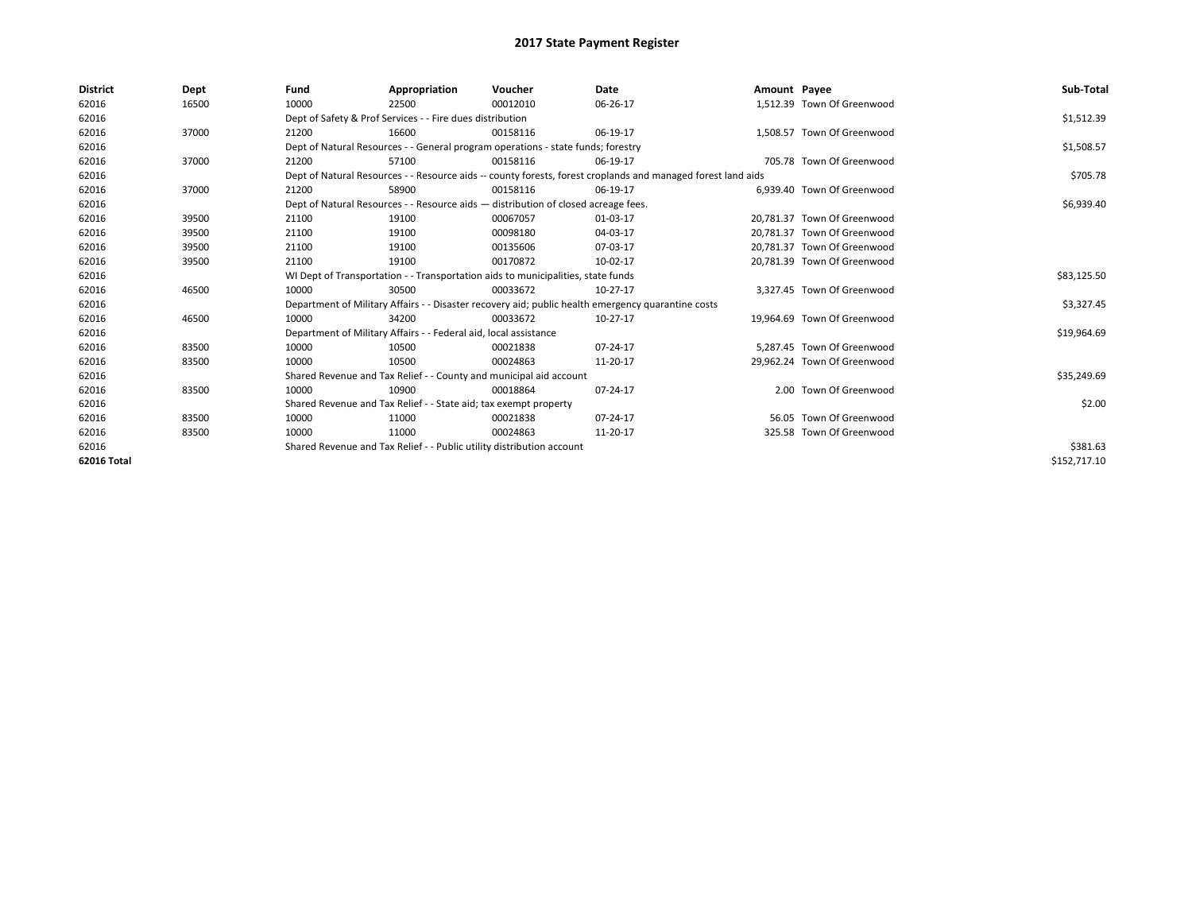| <b>District</b> | Dept  | Fund  | Appropriation                                                                      | Voucher  | Date                                                                                                         | Amount Payee |                             | Sub-Total    |  |  |  |
|-----------------|-------|-------|------------------------------------------------------------------------------------|----------|--------------------------------------------------------------------------------------------------------------|--------------|-----------------------------|--------------|--|--|--|
| 62016           | 16500 | 10000 | 22500                                                                              | 00012010 | 06-26-17                                                                                                     |              | 1.512.39 Town Of Greenwood  |              |  |  |  |
| 62016           |       |       | Dept of Safety & Prof Services - - Fire dues distribution                          |          |                                                                                                              |              |                             | \$1,512.39   |  |  |  |
| 62016           | 37000 | 21200 | 16600                                                                              | 00158116 | 06-19-17                                                                                                     |              | 1.508.57 Town Of Greenwood  |              |  |  |  |
| 62016           |       |       | Dept of Natural Resources - - General program operations - state funds; forestry   |          |                                                                                                              |              |                             | \$1,508.57   |  |  |  |
| 62016           | 37000 | 21200 | 57100                                                                              | 00158116 | 06-19-17                                                                                                     |              | 705.78 Town Of Greenwood    |              |  |  |  |
| 62016           |       |       |                                                                                    |          | Dept of Natural Resources - - Resource aids -- county forests, forest croplands and managed forest land aids |              |                             | \$705.78     |  |  |  |
| 62016           | 37000 | 21200 | 58900                                                                              | 00158116 | 06-19-17                                                                                                     |              | 6,939.40 Town Of Greenwood  |              |  |  |  |
| 62016           |       |       | Dept of Natural Resources - - Resource aids - distribution of closed acreage fees. |          |                                                                                                              |              |                             | \$6,939.40   |  |  |  |
| 62016           | 39500 | 21100 | 19100                                                                              | 00067057 | 01-03-17                                                                                                     |              | 20.781.37 Town Of Greenwood |              |  |  |  |
| 62016           | 39500 | 21100 | 19100                                                                              | 00098180 | 04-03-17                                                                                                     |              | 20.781.37 Town Of Greenwood |              |  |  |  |
| 62016           | 39500 | 21100 | 19100                                                                              | 00135606 | 07-03-17                                                                                                     |              | 20,781.37 Town Of Greenwood |              |  |  |  |
| 62016           | 39500 | 21100 | 19100                                                                              | 00170872 | 10-02-17                                                                                                     |              | 20,781.39 Town Of Greenwood |              |  |  |  |
| 62016           |       |       | WI Dept of Transportation - - Transportation aids to municipalities, state funds   |          |                                                                                                              |              |                             |              |  |  |  |
| 62016           | 46500 | 10000 | 30500                                                                              | 00033672 | 10-27-17                                                                                                     |              | 3.327.45 Town Of Greenwood  |              |  |  |  |
| 62016           |       |       |                                                                                    |          | Department of Military Affairs - - Disaster recovery aid; public health emergency quarantine costs           |              |                             | \$3,327.45   |  |  |  |
| 62016           | 46500 | 10000 | 34200                                                                              | 00033672 | 10-27-17                                                                                                     |              | 19.964.69 Town Of Greenwood |              |  |  |  |
| 62016           |       |       | Department of Military Affairs - - Federal aid, local assistance                   |          |                                                                                                              |              |                             | \$19,964.69  |  |  |  |
| 62016           | 83500 | 10000 | 10500                                                                              | 00021838 | 07-24-17                                                                                                     |              | 5.287.45 Town Of Greenwood  |              |  |  |  |
| 62016           | 83500 | 10000 | 10500                                                                              | 00024863 | 11-20-17                                                                                                     |              | 29.962.24 Town Of Greenwood |              |  |  |  |
| 62016           |       |       | Shared Revenue and Tax Relief - - County and municipal aid account                 |          |                                                                                                              |              |                             | \$35,249.69  |  |  |  |
| 62016           | 83500 | 10000 | 10900                                                                              | 00018864 | 07-24-17                                                                                                     |              | 2.00 Town Of Greenwood      |              |  |  |  |
| 62016           |       |       | Shared Revenue and Tax Relief - - State aid; tax exempt property                   |          |                                                                                                              |              |                             | \$2.00       |  |  |  |
| 62016           | 83500 | 10000 | 11000                                                                              | 00021838 | 07-24-17                                                                                                     |              | 56.05 Town Of Greenwood     |              |  |  |  |
| 62016           | 83500 | 10000 | 11000                                                                              | 00024863 | 11-20-17                                                                                                     |              | 325.58 Town Of Greenwood    |              |  |  |  |
| 62016           |       |       | Shared Revenue and Tax Relief - - Public utility distribution account              |          | \$381.63                                                                                                     |              |                             |              |  |  |  |
| 62016 Total     |       |       |                                                                                    |          |                                                                                                              |              |                             | \$152,717.10 |  |  |  |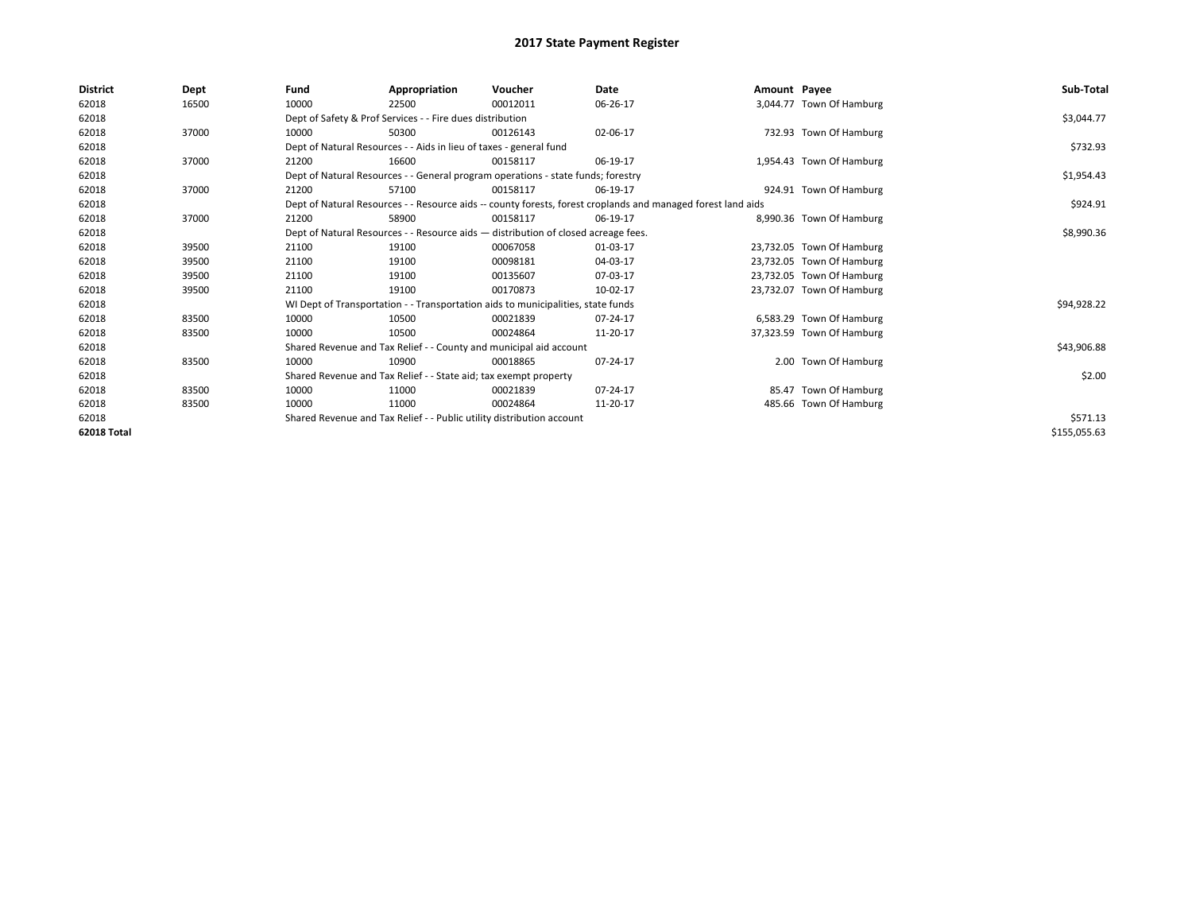| District    | Dept  | Fund                                                                               | Appropriation                                                                                                | Voucher    | Date     | Amount Payee |                           | Sub-Total    |
|-------------|-------|------------------------------------------------------------------------------------|--------------------------------------------------------------------------------------------------------------|------------|----------|--------------|---------------------------|--------------|
| 62018       | 16500 | 10000                                                                              | 22500                                                                                                        | 00012011   | 06-26-17 |              | 3,044.77 Town Of Hamburg  |              |
| 62018       |       |                                                                                    | Dept of Safety & Prof Services - - Fire dues distribution                                                    |            |          |              |                           | \$3,044.77   |
| 62018       | 37000 | 10000                                                                              | 50300                                                                                                        | 00126143   | 02-06-17 |              | 732.93 Town Of Hamburg    |              |
| 62018       |       |                                                                                    | Dept of Natural Resources - - Aids in lieu of taxes - general fund                                           |            |          |              |                           | \$732.93     |
| 62018       | 37000 | 21200                                                                              | 16600                                                                                                        | 00158117   | 06-19-17 |              | 1,954.43 Town Of Hamburg  |              |
| 62018       |       |                                                                                    | Dept of Natural Resources - - General program operations - state funds; forestry                             |            |          |              |                           | \$1,954.43   |
| 62018       | 37000 | 21200                                                                              | 57100                                                                                                        | 00158117   | 06-19-17 |              | 924.91 Town Of Hamburg    |              |
| 62018       |       |                                                                                    | Dept of Natural Resources - - Resource aids -- county forests, forest croplands and managed forest land aids |            | \$924.91 |              |                           |              |
| 62018       | 37000 | 21200                                                                              | 58900                                                                                                        | 00158117   | 06-19-17 |              | 8,990.36 Town Of Hamburg  |              |
| 62018       |       | Dept of Natural Resources - - Resource aids - distribution of closed acreage fees. |                                                                                                              | \$8,990.36 |          |              |                           |              |
| 62018       | 39500 | 21100                                                                              | 19100                                                                                                        | 00067058   | 01-03-17 |              | 23,732.05 Town Of Hamburg |              |
| 62018       | 39500 | 21100                                                                              | 19100                                                                                                        | 00098181   | 04-03-17 |              | 23,732.05 Town Of Hamburg |              |
| 62018       | 39500 | 21100                                                                              | 19100                                                                                                        | 00135607   | 07-03-17 |              | 23,732.05 Town Of Hamburg |              |
| 62018       | 39500 | 21100                                                                              | 19100                                                                                                        | 00170873   | 10-02-17 |              | 23,732.07 Town Of Hamburg |              |
| 62018       |       |                                                                                    | WI Dept of Transportation - - Transportation aids to municipalities, state funds                             |            |          |              |                           | \$94,928.22  |
| 62018       | 83500 | 10000                                                                              | 10500                                                                                                        | 00021839   | 07-24-17 |              | 6,583.29 Town Of Hamburg  |              |
| 62018       | 83500 | 10000                                                                              | 10500                                                                                                        | 00024864   | 11-20-17 |              | 37,323.59 Town Of Hamburg |              |
| 62018       |       |                                                                                    | Shared Revenue and Tax Relief - - County and municipal aid account                                           |            |          |              |                           | \$43,906.88  |
| 62018       | 83500 | 10000                                                                              | 10900                                                                                                        | 00018865   | 07-24-17 |              | 2.00 Town Of Hamburg      |              |
| 62018       |       |                                                                                    | Shared Revenue and Tax Relief - - State aid; tax exempt property                                             |            |          |              |                           | \$2.00       |
| 62018       | 83500 | 10000                                                                              | 11000                                                                                                        | 00021839   | 07-24-17 |              | 85.47 Town Of Hamburg     |              |
| 62018       | 83500 | 10000                                                                              | 11000                                                                                                        | 00024864   | 11-20-17 |              | 485.66 Town Of Hamburg    |              |
| 62018       |       | Shared Revenue and Tax Relief - - Public utility distribution account              |                                                                                                              | \$571.13   |          |              |                           |              |
| 62018 Total |       |                                                                                    |                                                                                                              |            |          |              |                           | \$155,055.63 |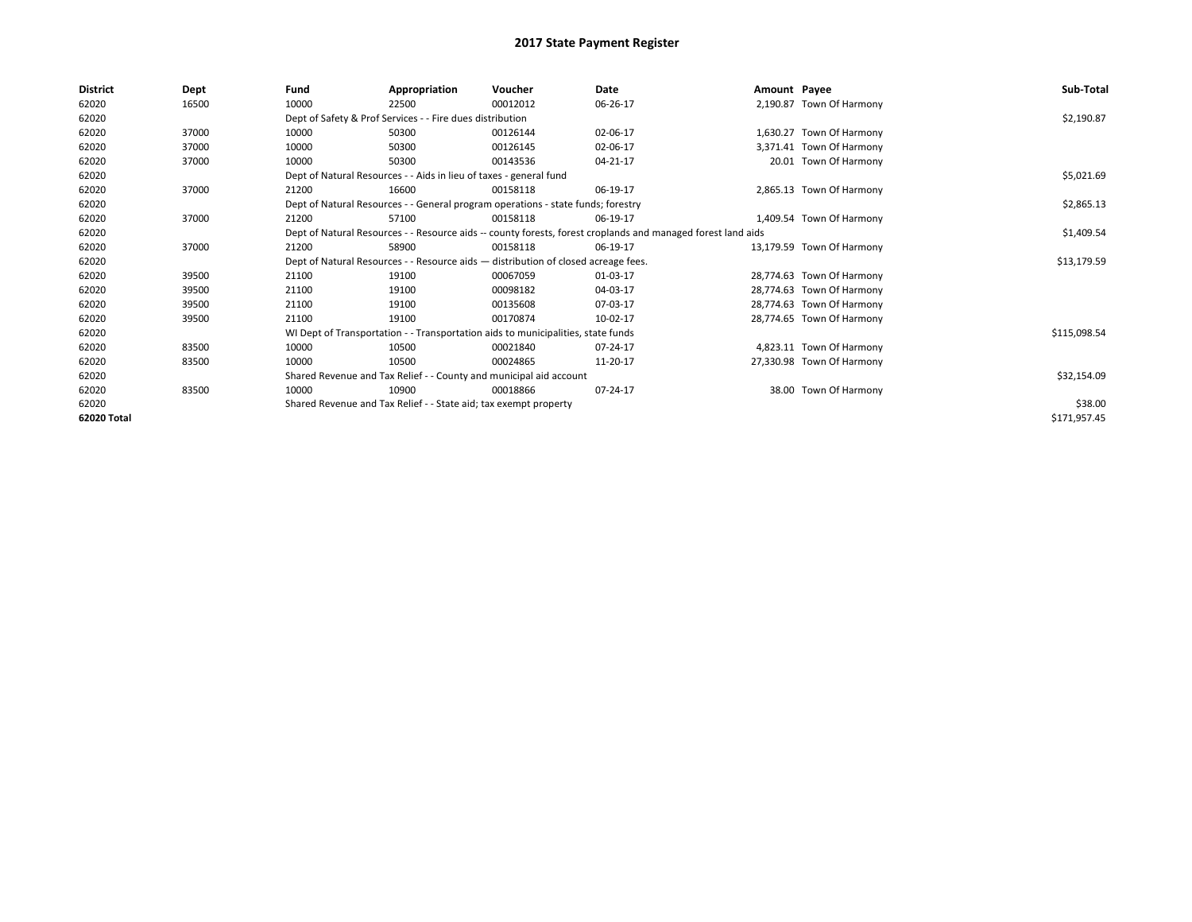| District    | Dept  | Fund  | Appropriation                                                                                                | Voucher  | Date       | Amount Payee |                           | Sub-Total    |
|-------------|-------|-------|--------------------------------------------------------------------------------------------------------------|----------|------------|--------------|---------------------------|--------------|
| 62020       | 16500 | 10000 | 22500                                                                                                        | 00012012 | 06-26-17   |              | 2,190.87 Town Of Harmony  |              |
| 62020       |       |       | Dept of Safety & Prof Services - - Fire dues distribution                                                    |          |            |              |                           | \$2,190.87   |
| 62020       | 37000 | 10000 | 50300                                                                                                        | 00126144 | 02-06-17   |              | 1,630.27 Town Of Harmony  |              |
| 62020       | 37000 | 10000 | 50300                                                                                                        | 00126145 | 02-06-17   |              | 3,371.41 Town Of Harmony  |              |
| 62020       | 37000 | 10000 | 50300                                                                                                        | 00143536 | 04-21-17   |              | 20.01 Town Of Harmony     |              |
| 62020       |       |       | Dept of Natural Resources - - Aids in lieu of taxes - general fund                                           |          |            |              |                           | \$5,021.69   |
| 62020       | 37000 | 21200 | 16600                                                                                                        | 00158118 | 06-19-17   |              | 2,865.13 Town Of Harmony  |              |
| 62020       |       |       | Dept of Natural Resources - - General program operations - state funds; forestry                             |          | \$2,865.13 |              |                           |              |
| 62020       | 37000 | 21200 | 57100                                                                                                        | 00158118 | 06-19-17   |              | 1,409.54 Town Of Harmony  |              |
| 62020       |       |       | Dept of Natural Resources - - Resource aids -- county forests, forest croplands and managed forest land aids |          | \$1,409.54 |              |                           |              |
| 62020       | 37000 | 21200 | 58900                                                                                                        | 00158118 | 06-19-17   |              | 13,179.59 Town Of Harmony |              |
| 62020       |       |       | Dept of Natural Resources - - Resource aids - distribution of closed acreage fees.                           |          |            |              |                           | \$13,179.59  |
| 62020       | 39500 | 21100 | 19100                                                                                                        | 00067059 | 01-03-17   |              | 28,774.63 Town Of Harmony |              |
| 62020       | 39500 | 21100 | 19100                                                                                                        | 00098182 | 04-03-17   |              | 28,774.63 Town Of Harmony |              |
| 62020       | 39500 | 21100 | 19100                                                                                                        | 00135608 | 07-03-17   |              | 28,774.63 Town Of Harmony |              |
| 62020       | 39500 | 21100 | 19100                                                                                                        | 00170874 | 10-02-17   |              | 28,774.65 Town Of Harmony |              |
| 62020       |       |       | WI Dept of Transportation - - Transportation aids to municipalities, state funds                             |          |            |              |                           | \$115,098.54 |
| 62020       | 83500 | 10000 | 10500                                                                                                        | 00021840 | 07-24-17   |              | 4,823.11 Town Of Harmony  |              |
| 62020       | 83500 | 10000 | 10500                                                                                                        | 00024865 | 11-20-17   |              | 27,330.98 Town Of Harmony |              |
| 62020       |       |       | Shared Revenue and Tax Relief - - County and municipal aid account                                           |          |            |              |                           | \$32,154.09  |
| 62020       | 83500 | 10000 | 10900                                                                                                        | 00018866 | 07-24-17   |              | 38.00 Town Of Harmony     |              |
| 62020       |       |       | Shared Revenue and Tax Relief - - State aid; tax exempt property                                             |          |            |              |                           | \$38.00      |
| 62020 Total |       |       |                                                                                                              |          |            |              |                           | \$171,957.45 |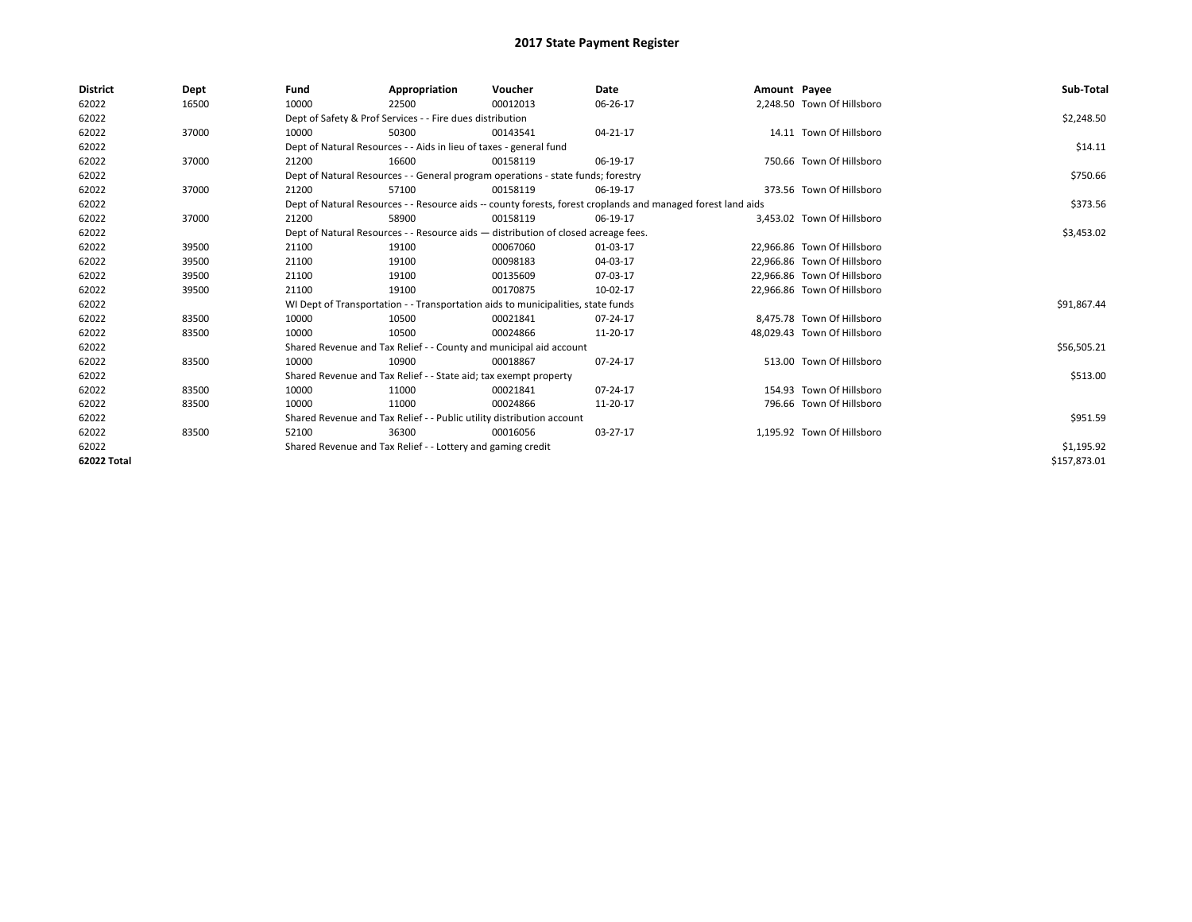| <b>District</b> | Dept  | Fund                                                                             | Appropriation                                                                                                | Voucher    | Date     | Amount Payee |                             | Sub-Total    |
|-----------------|-------|----------------------------------------------------------------------------------|--------------------------------------------------------------------------------------------------------------|------------|----------|--------------|-----------------------------|--------------|
| 62022           | 16500 | 10000                                                                            | 22500                                                                                                        | 00012013   | 06-26-17 |              | 2,248.50 Town Of Hillsboro  |              |
| 62022           |       |                                                                                  | Dept of Safety & Prof Services - - Fire dues distribution                                                    |            |          |              |                             | \$2,248.50   |
| 62022           | 37000 | 10000                                                                            | 50300                                                                                                        | 00143541   | 04-21-17 |              | 14.11 Town Of Hillsboro     |              |
| 62022           |       |                                                                                  | Dept of Natural Resources - - Aids in lieu of taxes - general fund                                           |            |          |              |                             | \$14.11      |
| 62022           | 37000 | 21200                                                                            | 16600                                                                                                        | 00158119   | 06-19-17 |              | 750.66 Town Of Hillsboro    |              |
| 62022           |       | Dept of Natural Resources - - General program operations - state funds; forestry |                                                                                                              | \$750.66   |          |              |                             |              |
| 62022           | 37000 | 21200                                                                            | 57100                                                                                                        | 00158119   | 06-19-17 |              | 373.56 Town Of Hillsboro    |              |
| 62022           |       |                                                                                  | Dept of Natural Resources - - Resource aids -- county forests, forest croplands and managed forest land aids |            | \$373.56 |              |                             |              |
| 62022           | 37000 | 21200                                                                            | 58900                                                                                                        | 00158119   | 06-19-17 |              | 3,453.02 Town Of Hillsboro  |              |
| 62022           |       |                                                                                  | Dept of Natural Resources - - Resource aids - distribution of closed acreage fees.                           |            |          |              |                             | \$3,453.02   |
| 62022           | 39500 | 21100                                                                            | 19100                                                                                                        | 00067060   | 01-03-17 |              | 22.966.86 Town Of Hillsboro |              |
| 62022           | 39500 | 21100                                                                            | 19100                                                                                                        | 00098183   | 04-03-17 |              | 22.966.86 Town Of Hillsboro |              |
| 62022           | 39500 | 21100                                                                            | 19100                                                                                                        | 00135609   | 07-03-17 |              | 22,966.86 Town Of Hillsboro |              |
| 62022           | 39500 | 21100                                                                            | 19100                                                                                                        | 00170875   | 10-02-17 |              | 22,966.86 Town Of Hillsboro |              |
| 62022           |       |                                                                                  | WI Dept of Transportation - - Transportation aids to municipalities, state funds                             |            |          |              |                             | \$91,867.44  |
| 62022           | 83500 | 10000                                                                            | 10500                                                                                                        | 00021841   | 07-24-17 |              | 8.475.78 Town Of Hillsboro  |              |
| 62022           | 83500 | 10000                                                                            | 10500                                                                                                        | 00024866   | 11-20-17 |              | 48,029.43 Town Of Hillsboro |              |
| 62022           |       |                                                                                  | Shared Revenue and Tax Relief - - County and municipal aid account                                           |            |          |              |                             | \$56,505.21  |
| 62022           | 83500 | 10000                                                                            | 10900                                                                                                        | 00018867   | 07-24-17 |              | 513.00 Town Of Hillsboro    |              |
| 62022           |       |                                                                                  | Shared Revenue and Tax Relief - - State aid; tax exempt property                                             |            |          |              |                             | \$513.00     |
| 62022           | 83500 | 10000                                                                            | 11000                                                                                                        | 00021841   | 07-24-17 |              | 154.93 Town Of Hillsboro    |              |
| 62022           | 83500 | 10000                                                                            | 11000                                                                                                        | 00024866   | 11-20-17 |              | 796.66 Town Of Hillsboro    |              |
| 62022           |       | Shared Revenue and Tax Relief - - Public utility distribution account            |                                                                                                              | \$951.59   |          |              |                             |              |
| 62022           | 83500 | 52100                                                                            | 36300                                                                                                        | 00016056   | 03-27-17 |              | 1,195.92 Town Of Hillsboro  |              |
| 62022           |       | Shared Revenue and Tax Relief - - Lottery and gaming credit                      |                                                                                                              | \$1,195.92 |          |              |                             |              |
| 62022 Total     |       |                                                                                  |                                                                                                              |            |          |              |                             | \$157,873.01 |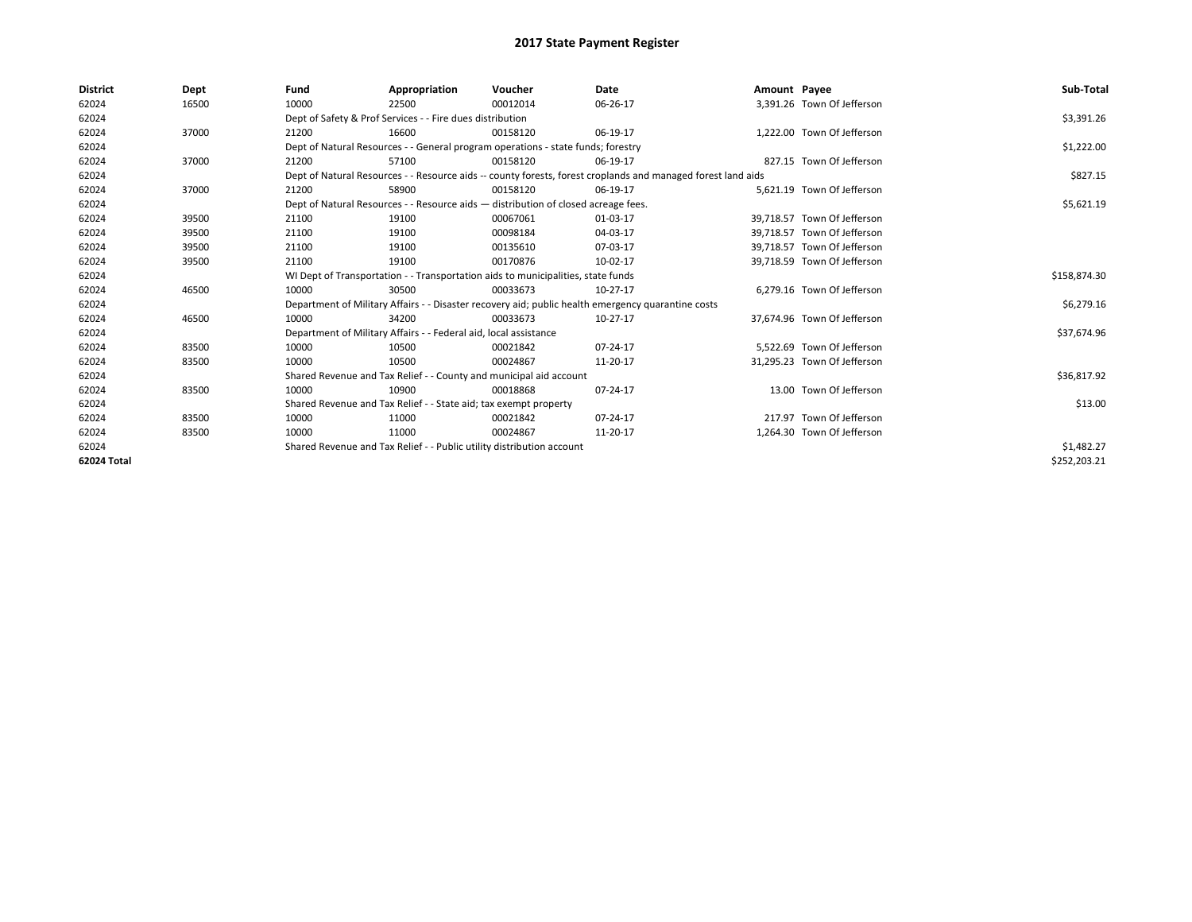| <b>District</b> | Dept  | Fund                                                                                                         | Appropriation                                                                    | Voucher      | <b>Date</b>                                                                                        | Amount Payee |                             | Sub-Total    |  |
|-----------------|-------|--------------------------------------------------------------------------------------------------------------|----------------------------------------------------------------------------------|--------------|----------------------------------------------------------------------------------------------------|--------------|-----------------------------|--------------|--|
| 62024           | 16500 | 10000                                                                                                        | 22500                                                                            | 00012014     | 06-26-17                                                                                           |              | 3,391.26 Town Of Jefferson  |              |  |
| 62024           |       |                                                                                                              | Dept of Safety & Prof Services - - Fire dues distribution                        |              |                                                                                                    |              |                             | \$3,391.26   |  |
| 62024           | 37000 | 21200                                                                                                        | 16600                                                                            | 00158120     | 06-19-17                                                                                           |              | 1.222.00 Town Of Jefferson  |              |  |
| 62024           |       |                                                                                                              | Dept of Natural Resources - - General program operations - state funds; forestry |              |                                                                                                    |              |                             |              |  |
| 62024           | 37000 | 21200                                                                                                        | 57100                                                                            | 00158120     | 06-19-17                                                                                           |              | 827.15 Town Of Jefferson    |              |  |
| 62024           |       | Dept of Natural Resources - - Resource aids -- county forests, forest croplands and managed forest land aids |                                                                                  | \$827.15     |                                                                                                    |              |                             |              |  |
| 62024           | 37000 | 21200                                                                                                        | 58900                                                                            | 00158120     | 06-19-17                                                                                           |              | 5,621.19 Town Of Jefferson  |              |  |
| 62024           |       | Dept of Natural Resources - - Resource aids - distribution of closed acreage fees.                           |                                                                                  | \$5,621.19   |                                                                                                    |              |                             |              |  |
| 62024           | 39500 | 21100                                                                                                        | 19100                                                                            | 00067061     | 01-03-17                                                                                           |              | 39.718.57 Town Of Jefferson |              |  |
| 62024           | 39500 | 21100                                                                                                        | 19100                                                                            | 00098184     | 04-03-17                                                                                           |              | 39.718.57 Town Of Jefferson |              |  |
| 62024           | 39500 | 21100                                                                                                        | 19100                                                                            | 00135610     | 07-03-17                                                                                           |              | 39.718.57 Town Of Jefferson |              |  |
| 62024           | 39500 | 21100                                                                                                        | 19100                                                                            | 00170876     | 10-02-17                                                                                           |              | 39.718.59 Town Of Jefferson |              |  |
| 62024           |       | WI Dept of Transportation - - Transportation aids to municipalities, state funds                             |                                                                                  | \$158,874.30 |                                                                                                    |              |                             |              |  |
| 62024           | 46500 | 10000                                                                                                        | 30500                                                                            | 00033673     | 10-27-17                                                                                           |              | 6,279.16 Town Of Jefferson  |              |  |
| 62024           |       |                                                                                                              |                                                                                  |              | Department of Military Affairs - - Disaster recovery aid; public health emergency quarantine costs |              |                             | \$6,279.16   |  |
| 62024           | 46500 | 10000                                                                                                        | 34200                                                                            | 00033673     | 10-27-17                                                                                           |              | 37.674.96 Town Of Jefferson |              |  |
| 62024           |       |                                                                                                              | Department of Military Affairs - - Federal aid, local assistance                 |              |                                                                                                    |              |                             | \$37,674.96  |  |
| 62024           | 83500 | 10000                                                                                                        | 10500                                                                            | 00021842     | 07-24-17                                                                                           |              | 5.522.69 Town Of Jefferson  |              |  |
| 62024           | 83500 | 10000                                                                                                        | 10500                                                                            | 00024867     | 11-20-17                                                                                           |              | 31,295.23 Town Of Jefferson |              |  |
| 62024           |       |                                                                                                              | Shared Revenue and Tax Relief - - County and municipal aid account               |              |                                                                                                    |              |                             | \$36,817.92  |  |
| 62024           | 83500 | 10000                                                                                                        | 10900                                                                            | 00018868     | 07-24-17                                                                                           |              | 13.00 Town Of Jefferson     |              |  |
| 62024           |       |                                                                                                              | Shared Revenue and Tax Relief - - State aid; tax exempt property                 |              |                                                                                                    |              |                             | \$13.00      |  |
| 62024           | 83500 | 10000                                                                                                        | 11000                                                                            | 00021842     | 07-24-17                                                                                           |              | 217.97 Town Of Jefferson    |              |  |
| 62024           | 83500 | 10000                                                                                                        | 11000                                                                            | 00024867     | 11-20-17                                                                                           |              | 1,264.30 Town Of Jefferson  |              |  |
| 62024           |       | Shared Revenue and Tax Relief - - Public utility distribution account                                        |                                                                                  | \$1,482.27   |                                                                                                    |              |                             |              |  |
| 62024 Total     |       |                                                                                                              |                                                                                  |              |                                                                                                    |              |                             | \$252,203.21 |  |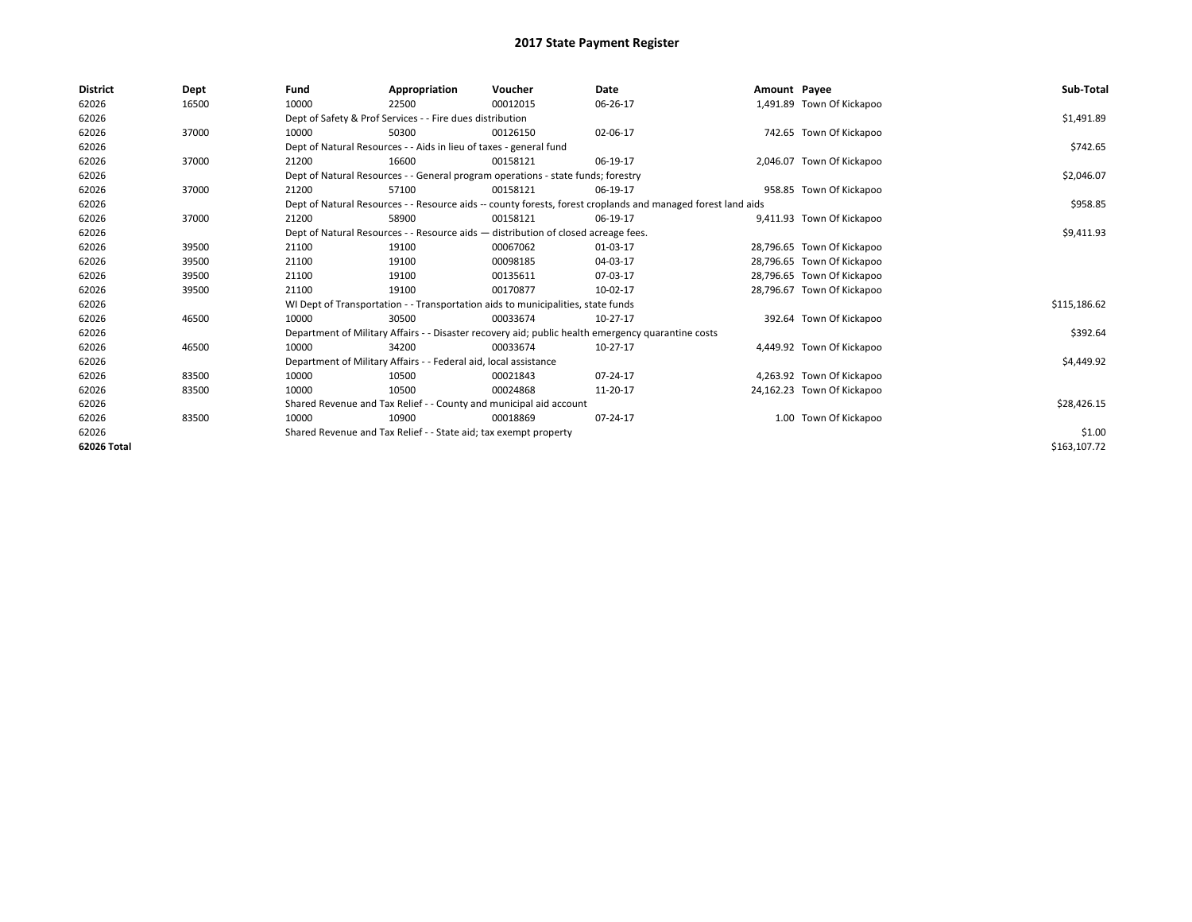| <b>District</b> | Dept  | Fund  | Appropriation                                                                                                | Voucher                                                                            | Date                                                                                               | Amount Payee |                            | Sub-Total    |
|-----------------|-------|-------|--------------------------------------------------------------------------------------------------------------|------------------------------------------------------------------------------------|----------------------------------------------------------------------------------------------------|--------------|----------------------------|--------------|
| 62026           | 16500 | 10000 | 22500                                                                                                        | 00012015                                                                           | 06-26-17                                                                                           |              | 1,491.89 Town Of Kickapoo  |              |
| 62026           |       |       | Dept of Safety & Prof Services - - Fire dues distribution                                                    |                                                                                    |                                                                                                    |              |                            | \$1,491.89   |
| 62026           | 37000 | 10000 | 50300                                                                                                        | 00126150                                                                           | 02-06-17                                                                                           |              | 742.65 Town Of Kickapoo    |              |
| 62026           |       |       | Dept of Natural Resources - - Aids in lieu of taxes - general fund                                           |                                                                                    |                                                                                                    |              |                            | \$742.65     |
| 62026           | 37000 | 21200 | 16600                                                                                                        | 00158121                                                                           | 06-19-17                                                                                           |              | 2,046.07 Town Of Kickapoo  |              |
| 62026           |       |       |                                                                                                              | Dept of Natural Resources - - General program operations - state funds; forestry   |                                                                                                    |              |                            | \$2,046.07   |
| 62026           | 37000 | 21200 | 57100                                                                                                        | 00158121                                                                           | 06-19-17                                                                                           |              | 958.85 Town Of Kickapoo    |              |
| 62026           |       |       | Dept of Natural Resources - - Resource aids -- county forests, forest croplands and managed forest land aids |                                                                                    | \$958.85                                                                                           |              |                            |              |
| 62026           | 37000 | 21200 | 58900                                                                                                        | 00158121                                                                           | 06-19-17                                                                                           |              | 9,411.93 Town Of Kickapoo  |              |
| 62026           |       |       |                                                                                                              | Dept of Natural Resources - - Resource aids - distribution of closed acreage fees. |                                                                                                    |              |                            | \$9,411.93   |
| 62026           | 39500 | 21100 | 19100                                                                                                        | 00067062                                                                           | 01-03-17                                                                                           |              | 28,796.65 Town Of Kickapoo |              |
| 62026           | 39500 | 21100 | 19100                                                                                                        | 00098185                                                                           | 04-03-17                                                                                           |              | 28,796.65 Town Of Kickapoo |              |
| 62026           | 39500 | 21100 | 19100                                                                                                        | 00135611                                                                           | 07-03-17                                                                                           |              | 28,796.65 Town Of Kickapoo |              |
| 62026           | 39500 | 21100 | 19100                                                                                                        | 00170877                                                                           | 10-02-17                                                                                           |              | 28,796.67 Town Of Kickapoo |              |
| 62026           |       |       |                                                                                                              | WI Dept of Transportation - - Transportation aids to municipalities, state funds   |                                                                                                    |              |                            | \$115,186.62 |
| 62026           | 46500 | 10000 | 30500                                                                                                        | 00033674                                                                           | 10-27-17                                                                                           |              | 392.64 Town Of Kickapoo    |              |
| 62026           |       |       |                                                                                                              |                                                                                    | Department of Military Affairs - - Disaster recovery aid; public health emergency quarantine costs |              |                            | \$392.64     |
| 62026           | 46500 | 10000 | 34200                                                                                                        | 00033674                                                                           | 10-27-17                                                                                           |              | 4,449.92 Town Of Kickapoo  |              |
| 62026           |       |       | Department of Military Affairs - - Federal aid, local assistance                                             |                                                                                    |                                                                                                    |              |                            | \$4,449.92   |
| 62026           | 83500 | 10000 | 10500                                                                                                        | 00021843                                                                           | 07-24-17                                                                                           |              | 4,263.92 Town Of Kickapoo  |              |
| 62026           | 83500 | 10000 | 10500                                                                                                        | 00024868                                                                           | 11-20-17                                                                                           |              | 24,162.23 Town Of Kickapoo |              |
| 62026           |       |       | Shared Revenue and Tax Relief - - County and municipal aid account                                           |                                                                                    |                                                                                                    |              |                            | \$28,426.15  |
| 62026           | 83500 | 10000 | 10900                                                                                                        | 00018869                                                                           | 07-24-17                                                                                           |              | 1.00 Town Of Kickapoo      |              |
| 62026           |       |       | Shared Revenue and Tax Relief - - State aid; tax exempt property                                             |                                                                                    | \$1.00                                                                                             |              |                            |              |
| 62026 Total     |       |       |                                                                                                              |                                                                                    |                                                                                                    |              |                            | \$163,107.72 |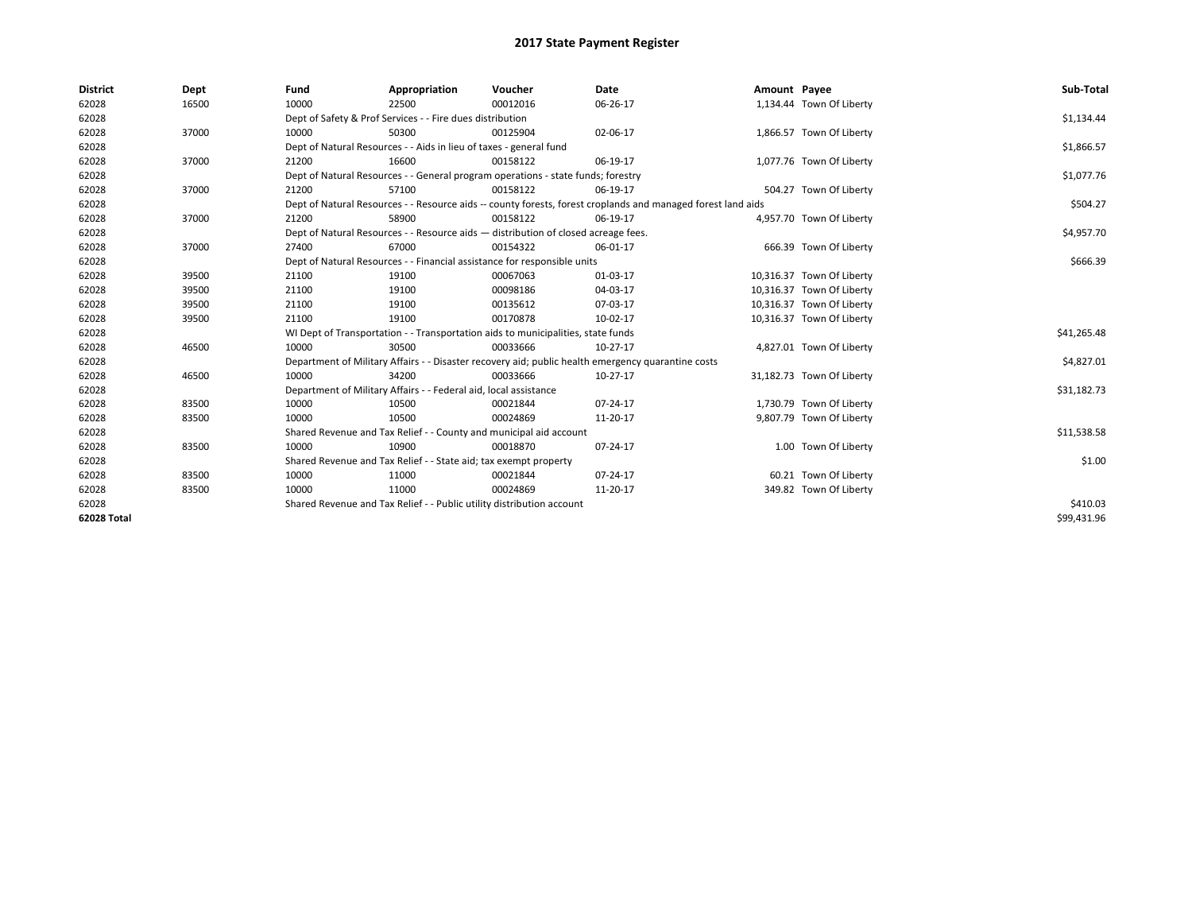| <b>District</b> | Dept  | Fund                                                                             | Appropriation                                                                      | Voucher    | Date                                                                                                         | Amount Payee |                           | Sub-Total   |
|-----------------|-------|----------------------------------------------------------------------------------|------------------------------------------------------------------------------------|------------|--------------------------------------------------------------------------------------------------------------|--------------|---------------------------|-------------|
| 62028           | 16500 | 10000                                                                            | 22500                                                                              | 00012016   | 06-26-17                                                                                                     |              | 1,134.44 Town Of Liberty  |             |
| 62028           |       |                                                                                  | Dept of Safety & Prof Services - - Fire dues distribution                          |            |                                                                                                              |              |                           | \$1,134.44  |
| 62028           | 37000 | 10000                                                                            | 50300                                                                              | 00125904   | 02-06-17                                                                                                     |              | 1,866.57 Town Of Liberty  |             |
| 62028           |       |                                                                                  | Dept of Natural Resources - - Aids in lieu of taxes - general fund                 |            |                                                                                                              |              |                           | \$1,866.57  |
| 62028           | 37000 | 21200                                                                            | 16600                                                                              | 00158122   | 06-19-17                                                                                                     |              | 1,077.76 Town Of Liberty  |             |
| 62028           |       | Dept of Natural Resources - - General program operations - state funds; forestry |                                                                                    | \$1,077.76 |                                                                                                              |              |                           |             |
| 62028           | 37000 | 21200                                                                            | 57100                                                                              | 00158122   | 06-19-17                                                                                                     |              | 504.27 Town Of Liberty    |             |
| 62028           |       |                                                                                  |                                                                                    |            | Dept of Natural Resources - - Resource aids -- county forests, forest croplands and managed forest land aids |              |                           | \$504.27    |
| 62028           | 37000 | 21200                                                                            | 58900                                                                              | 00158122   | 06-19-17                                                                                                     |              | 4,957.70 Town Of Liberty  |             |
| 62028           |       |                                                                                  | Dept of Natural Resources - - Resource aids - distribution of closed acreage fees. |            |                                                                                                              |              |                           | \$4,957.70  |
| 62028           | 37000 | 27400                                                                            | 67000                                                                              | 00154322   | 06-01-17                                                                                                     |              | 666.39 Town Of Liberty    |             |
| 62028           |       | Dept of Natural Resources - - Financial assistance for responsible units         |                                                                                    | \$666.39   |                                                                                                              |              |                           |             |
| 62028           | 39500 | 21100                                                                            | 19100                                                                              | 00067063   | 01-03-17                                                                                                     |              | 10,316.37 Town Of Liberty |             |
| 62028           | 39500 | 21100                                                                            | 19100                                                                              | 00098186   | 04-03-17                                                                                                     |              | 10,316.37 Town Of Liberty |             |
| 62028           | 39500 | 21100                                                                            | 19100                                                                              | 00135612   | 07-03-17                                                                                                     |              | 10,316.37 Town Of Liberty |             |
| 62028           | 39500 | 21100                                                                            | 19100                                                                              | 00170878   | 10-02-17                                                                                                     |              | 10,316.37 Town Of Liberty |             |
| 62028           |       |                                                                                  | WI Dept of Transportation - - Transportation aids to municipalities, state funds   |            |                                                                                                              |              |                           | \$41,265.48 |
| 62028           | 46500 | 10000                                                                            | 30500                                                                              | 00033666   | 10-27-17                                                                                                     |              | 4,827.01 Town Of Liberty  |             |
| 62028           |       |                                                                                  |                                                                                    |            | Department of Military Affairs - - Disaster recovery aid; public health emergency quarantine costs           |              |                           | \$4,827.01  |
| 62028           | 46500 | 10000                                                                            | 34200                                                                              | 00033666   | 10-27-17                                                                                                     |              | 31,182.73 Town Of Liberty |             |
| 62028           |       |                                                                                  | Department of Military Affairs - - Federal aid, local assistance                   |            |                                                                                                              |              |                           | \$31,182.73 |
| 62028           | 83500 | 10000                                                                            | 10500                                                                              | 00021844   | 07-24-17                                                                                                     |              | 1,730.79 Town Of Liberty  |             |
| 62028           | 83500 | 10000                                                                            | 10500                                                                              | 00024869   | 11-20-17                                                                                                     |              | 9,807.79 Town Of Liberty  |             |
| 62028           |       |                                                                                  | Shared Revenue and Tax Relief - - County and municipal aid account                 |            |                                                                                                              |              |                           | \$11,538.58 |
| 62028           | 83500 | 10000                                                                            | 10900                                                                              | 00018870   | 07-24-17                                                                                                     |              | 1.00 Town Of Liberty      |             |
| 62028           |       | Shared Revenue and Tax Relief - - State aid; tax exempt property                 |                                                                                    | \$1.00     |                                                                                                              |              |                           |             |
| 62028           | 83500 | 10000                                                                            | 11000                                                                              | 00021844   | 07-24-17                                                                                                     |              | 60.21 Town Of Liberty     |             |
| 62028           | 83500 | 10000                                                                            | 11000                                                                              | 00024869   | 11-20-17                                                                                                     |              | 349.82 Town Of Liberty    |             |
| 62028           |       | Shared Revenue and Tax Relief - - Public utility distribution account            |                                                                                    | \$410.03   |                                                                                                              |              |                           |             |
| 62028 Total     |       |                                                                                  |                                                                                    |            |                                                                                                              |              |                           | \$99,431.96 |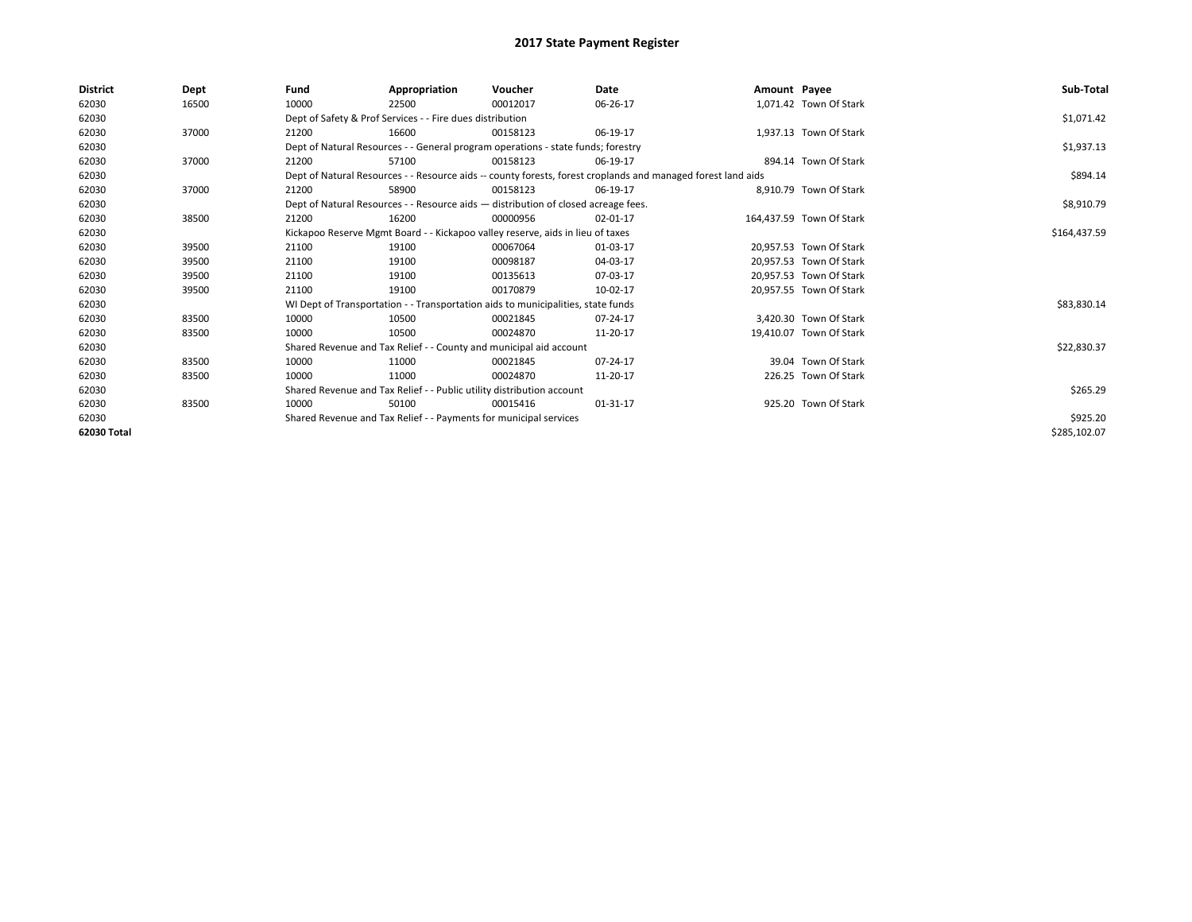| <b>District</b> | Dept  | Fund                                                                  | Appropriation                                                                      | Voucher  | Date                                                                                                         | Amount Payee |                          | Sub-Total    |
|-----------------|-------|-----------------------------------------------------------------------|------------------------------------------------------------------------------------|----------|--------------------------------------------------------------------------------------------------------------|--------------|--------------------------|--------------|
| 62030           | 16500 | 10000                                                                 | 22500                                                                              | 00012017 | 06-26-17                                                                                                     |              | 1,071.42 Town Of Stark   |              |
| 62030           |       |                                                                       | Dept of Safety & Prof Services - - Fire dues distribution                          |          |                                                                                                              |              |                          | \$1,071.42   |
| 62030           | 37000 | 21200                                                                 | 16600                                                                              | 00158123 | 06-19-17                                                                                                     |              | 1,937.13 Town Of Stark   |              |
| 62030           |       |                                                                       | Dept of Natural Resources - - General program operations - state funds; forestry   |          |                                                                                                              |              |                          | \$1,937.13   |
| 62030           | 37000 | 21200                                                                 | 57100                                                                              | 00158123 | 06-19-17                                                                                                     |              | 894.14 Town Of Stark     |              |
| 62030           |       |                                                                       |                                                                                    |          | Dept of Natural Resources - - Resource aids -- county forests, forest croplands and managed forest land aids |              |                          | \$894.14     |
| 62030           | 37000 | 21200                                                                 | 58900                                                                              | 00158123 | 06-19-17                                                                                                     |              | 8.910.79 Town Of Stark   |              |
| 62030           |       |                                                                       | Dept of Natural Resources - - Resource aids - distribution of closed acreage fees. |          | \$8,910.79                                                                                                   |              |                          |              |
| 62030           | 38500 | 21200                                                                 | 16200                                                                              | 00000956 | 02-01-17                                                                                                     |              | 164.437.59 Town Of Stark |              |
| 62030           |       |                                                                       | Kickapoo Reserve Mgmt Board - - Kickapoo valley reserve, aids in lieu of taxes     |          |                                                                                                              |              |                          | \$164,437.59 |
| 62030           | 39500 | 21100                                                                 | 19100                                                                              | 00067064 | 01-03-17                                                                                                     |              | 20.957.53 Town Of Stark  |              |
| 62030           | 39500 | 21100                                                                 | 19100                                                                              | 00098187 | 04-03-17                                                                                                     |              | 20,957.53 Town Of Stark  |              |
| 62030           | 39500 | 21100                                                                 | 19100                                                                              | 00135613 | 07-03-17                                                                                                     |              | 20.957.53 Town Of Stark  |              |
| 62030           | 39500 | 21100                                                                 | 19100                                                                              | 00170879 | 10-02-17                                                                                                     |              | 20,957.55 Town Of Stark  |              |
| 62030           |       |                                                                       | WI Dept of Transportation - - Transportation aids to municipalities, state funds   |          |                                                                                                              |              |                          | \$83,830.14  |
| 62030           | 83500 | 10000                                                                 | 10500                                                                              | 00021845 | 07-24-17                                                                                                     |              | 3.420.30 Town Of Stark   |              |
| 62030           | 83500 | 10000                                                                 | 10500                                                                              | 00024870 | 11-20-17                                                                                                     |              | 19,410.07 Town Of Stark  |              |
| 62030           |       |                                                                       | Shared Revenue and Tax Relief - - County and municipal aid account                 |          |                                                                                                              |              |                          | \$22,830.37  |
| 62030           | 83500 | 10000                                                                 | 11000                                                                              | 00021845 | 07-24-17                                                                                                     |              | 39.04 Town Of Stark      |              |
| 62030           | 83500 | 10000                                                                 | 11000                                                                              | 00024870 | 11-20-17                                                                                                     |              | 226.25 Town Of Stark     |              |
| 62030           |       | Shared Revenue and Tax Relief - - Public utility distribution account |                                                                                    | \$265.29 |                                                                                                              |              |                          |              |
| 62030           | 83500 | 10000                                                                 | 50100                                                                              | 00015416 | 01-31-17                                                                                                     |              | 925.20 Town Of Stark     |              |
| 62030           |       | Shared Revenue and Tax Relief - - Payments for municipal services     |                                                                                    | \$925.20 |                                                                                                              |              |                          |              |
| 62030 Total     |       |                                                                       |                                                                                    |          |                                                                                                              |              |                          | \$285,102.07 |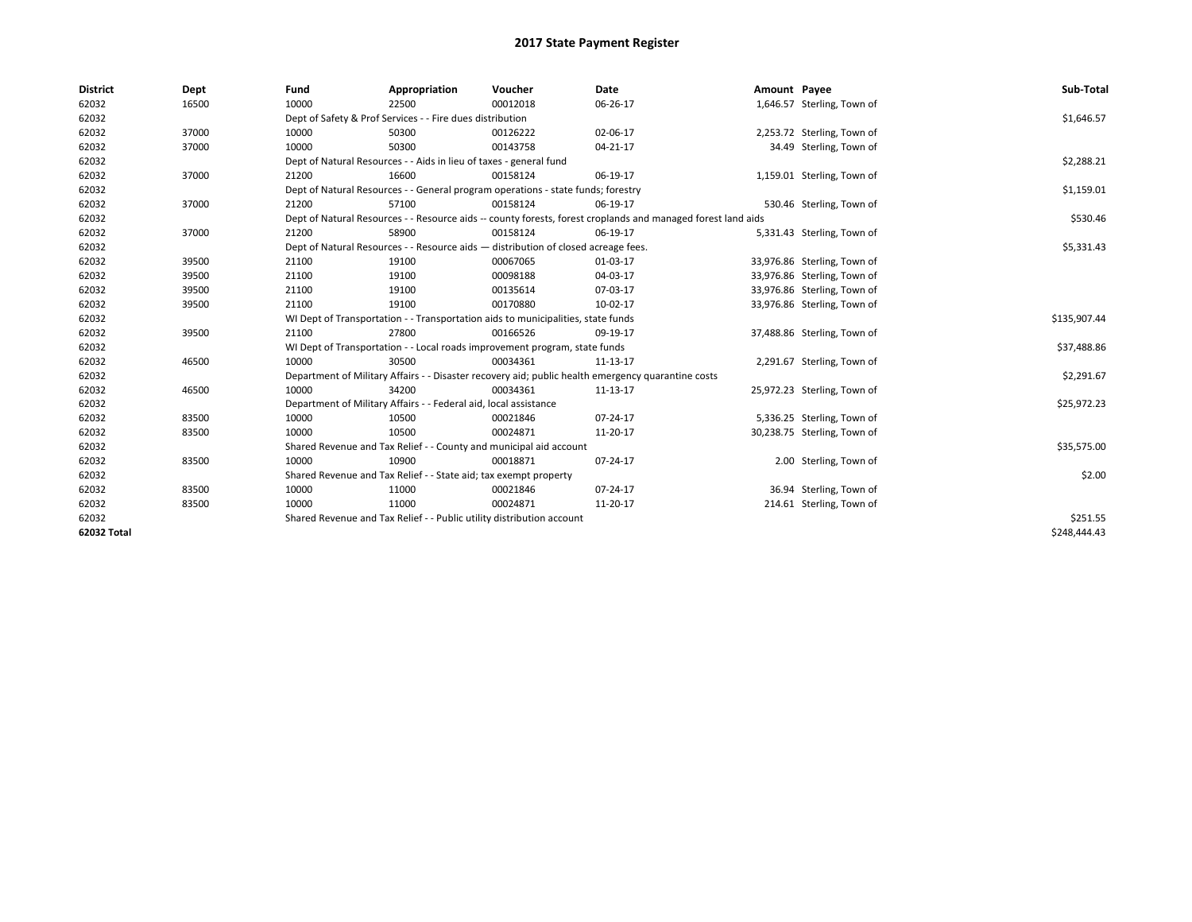| <b>District</b> | Dept  | Fund  | Appropriation                                                                                                | Voucher  | Date           | Amount Payee |                             | Sub-Total    |  |
|-----------------|-------|-------|--------------------------------------------------------------------------------------------------------------|----------|----------------|--------------|-----------------------------|--------------|--|
| 62032           | 16500 | 10000 | 22500                                                                                                        | 00012018 | 06-26-17       |              | 1,646.57 Sterling, Town of  |              |  |
| 62032           |       |       | Dept of Safety & Prof Services - - Fire dues distribution                                                    |          |                |              |                             | \$1,646.57   |  |
| 62032           | 37000 | 10000 | 50300                                                                                                        | 00126222 | 02-06-17       |              | 2,253.72 Sterling, Town of  |              |  |
| 62032           | 37000 | 10000 | 50300                                                                                                        | 00143758 | $04 - 21 - 17$ |              | 34.49 Sterling, Town of     |              |  |
| 62032           |       |       | Dept of Natural Resources - - Aids in lieu of taxes - general fund                                           |          |                |              |                             |              |  |
| 62032           | 37000 | 21200 | 16600                                                                                                        | 00158124 | 06-19-17       |              | 1,159.01 Sterling, Town of  |              |  |
| 62032           |       |       | Dept of Natural Resources - - General program operations - state funds; forestry                             |          |                |              |                             |              |  |
| 62032           | 37000 | 21200 | 57100                                                                                                        | 00158124 | 06-19-17       |              | 530.46 Sterling, Town of    |              |  |
| 62032           |       |       | Dept of Natural Resources - - Resource aids -- county forests, forest croplands and managed forest land aids |          |                |              |                             | \$530.46     |  |
| 62032           | 37000 | 21200 | 58900                                                                                                        | 00158124 | 06-19-17       |              | 5,331.43 Sterling, Town of  |              |  |
| 62032           |       |       | Dept of Natural Resources - - Resource aids - distribution of closed acreage fees.                           |          |                |              |                             | \$5,331.43   |  |
| 62032           | 39500 | 21100 | 19100                                                                                                        | 00067065 | 01-03-17       |              | 33,976.86 Sterling, Town of |              |  |
| 62032           | 39500 | 21100 | 19100                                                                                                        | 00098188 | 04-03-17       |              | 33,976.86 Sterling, Town of |              |  |
| 62032           | 39500 | 21100 | 19100                                                                                                        | 00135614 | 07-03-17       |              | 33,976.86 Sterling, Town of |              |  |
| 62032           | 39500 | 21100 | 19100                                                                                                        | 00170880 | 10-02-17       |              | 33,976.86 Sterling, Town of |              |  |
| 62032           |       |       | WI Dept of Transportation - - Transportation aids to municipalities, state funds                             |          |                |              |                             | \$135,907.44 |  |
| 62032           | 39500 | 21100 | 27800                                                                                                        | 00166526 | 09-19-17       |              | 37,488.86 Sterling, Town of |              |  |
| 62032           |       |       | WI Dept of Transportation - - Local roads improvement program, state funds                                   |          |                |              |                             | \$37,488.86  |  |
| 62032           | 46500 | 10000 | 30500                                                                                                        | 00034361 | 11-13-17       |              | 2,291.67 Sterling, Town of  |              |  |
| 62032           |       |       | Department of Military Affairs - - Disaster recovery aid; public health emergency quarantine costs           |          |                |              |                             | \$2,291.67   |  |
| 62032           | 46500 | 10000 | 34200                                                                                                        | 00034361 | 11-13-17       |              | 25,972.23 Sterling, Town of |              |  |
| 62032           |       |       | Department of Military Affairs - - Federal aid, local assistance                                             |          |                |              |                             | \$25,972.23  |  |
| 62032           | 83500 | 10000 | 10500                                                                                                        | 00021846 | 07-24-17       |              | 5,336.25 Sterling, Town of  |              |  |
| 62032           | 83500 | 10000 | 10500                                                                                                        | 00024871 | 11-20-17       |              | 30,238.75 Sterling, Town of |              |  |
| 62032           |       |       | Shared Revenue and Tax Relief - - County and municipal aid account                                           |          |                |              |                             | \$35,575.00  |  |
| 62032           | 83500 | 10000 | 10900                                                                                                        | 00018871 | 07-24-17       |              | 2.00 Sterling, Town of      |              |  |
| 62032           |       |       | Shared Revenue and Tax Relief - - State aid; tax exempt property                                             |          |                |              |                             | \$2.00       |  |
| 62032           | 83500 | 10000 | 11000                                                                                                        | 00021846 | 07-24-17       |              | 36.94 Sterling, Town of     |              |  |
| 62032           | 83500 | 10000 | 11000                                                                                                        | 00024871 | 11-20-17       |              | 214.61 Sterling, Town of    |              |  |
| 62032           |       |       | Shared Revenue and Tax Relief - - Public utility distribution account                                        |          |                |              |                             |              |  |
| 62032 Total     |       |       |                                                                                                              |          |                |              |                             | \$248.444.43 |  |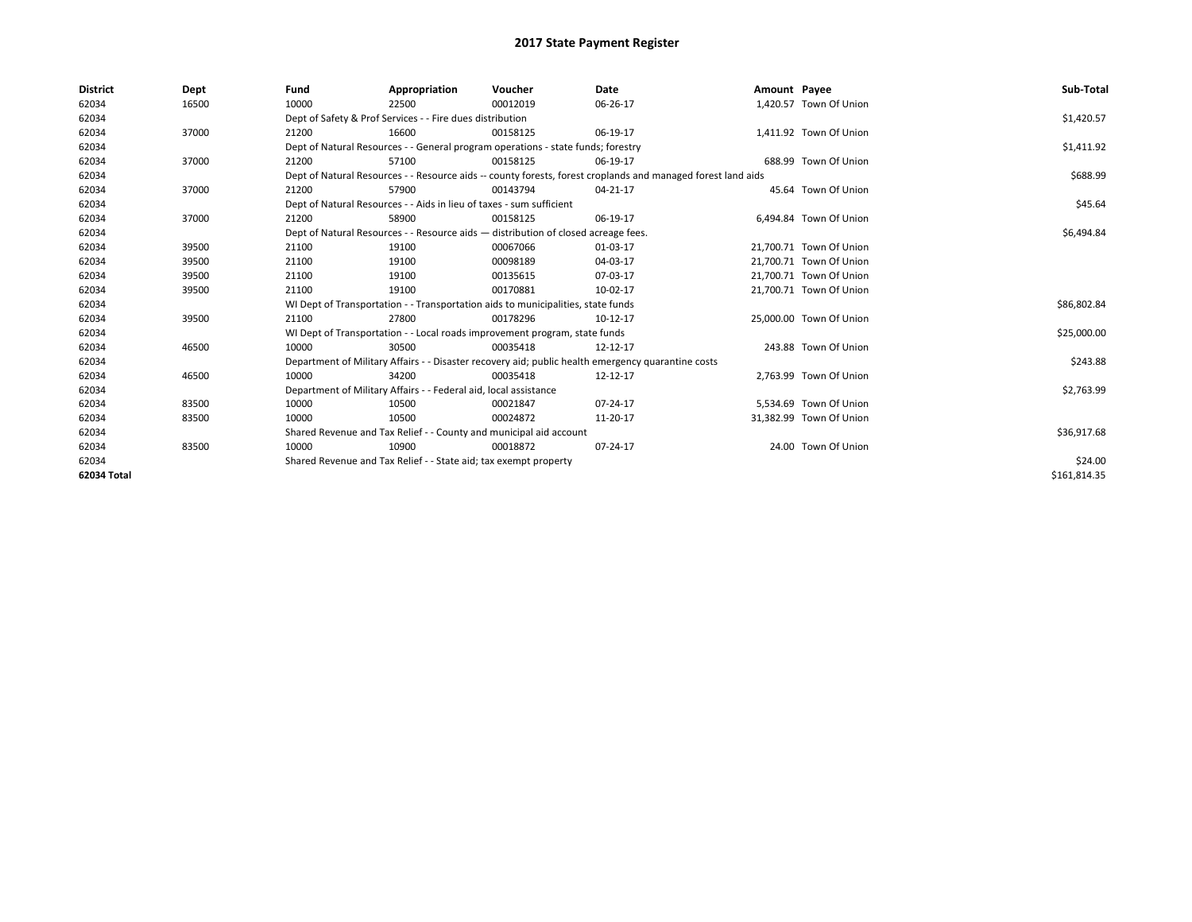| <b>District</b> | Dept  | Fund                                                                 | Appropriation                                                                      | Voucher  | Date                                                                                                         | Amount Payee |                         | Sub-Total    |
|-----------------|-------|----------------------------------------------------------------------|------------------------------------------------------------------------------------|----------|--------------------------------------------------------------------------------------------------------------|--------------|-------------------------|--------------|
| 62034           | 16500 | 10000                                                                | 22500                                                                              | 00012019 | 06-26-17                                                                                                     |              | 1,420.57 Town Of Union  |              |
| 62034           |       |                                                                      | Dept of Safety & Prof Services - - Fire dues distribution                          |          |                                                                                                              |              |                         | \$1,420.57   |
| 62034           | 37000 | 21200                                                                | 16600                                                                              | 00158125 | 06-19-17                                                                                                     |              | 1,411.92 Town Of Union  |              |
| 62034           |       |                                                                      | Dept of Natural Resources - - General program operations - state funds; forestry   |          |                                                                                                              |              |                         | \$1,411.92   |
| 62034           | 37000 | 21200                                                                | 57100                                                                              | 00158125 | 06-19-17                                                                                                     |              | 688.99 Town Of Union    |              |
| 62034           |       |                                                                      |                                                                                    |          | Dept of Natural Resources - - Resource aids -- county forests, forest croplands and managed forest land aids |              |                         | \$688.99     |
| 62034           | 37000 | 21200                                                                | 57900                                                                              | 00143794 | 04-21-17                                                                                                     |              | 45.64 Town Of Union     |              |
| 62034           |       | Dept of Natural Resources - - Aids in lieu of taxes - sum sufficient |                                                                                    | \$45.64  |                                                                                                              |              |                         |              |
| 62034           | 37000 | 21200                                                                | 58900                                                                              | 00158125 | 06-19-17                                                                                                     |              | 6,494.84 Town Of Union  |              |
| 62034           |       |                                                                      | Dept of Natural Resources - - Resource aids - distribution of closed acreage fees. |          |                                                                                                              |              |                         | \$6,494.84   |
| 62034           | 39500 | 21100                                                                | 19100                                                                              | 00067066 | 01-03-17                                                                                                     |              | 21,700.71 Town Of Union |              |
| 62034           | 39500 | 21100                                                                | 19100                                                                              | 00098189 | 04-03-17                                                                                                     |              | 21,700.71 Town Of Union |              |
| 62034           | 39500 | 21100                                                                | 19100                                                                              | 00135615 | 07-03-17                                                                                                     |              | 21,700.71 Town Of Union |              |
| 62034           | 39500 | 21100                                                                | 19100                                                                              | 00170881 | 10-02-17                                                                                                     |              | 21,700.71 Town Of Union |              |
| 62034           |       |                                                                      | WI Dept of Transportation - - Transportation aids to municipalities, state funds   |          |                                                                                                              |              |                         | \$86,802.84  |
| 62034           | 39500 | 21100                                                                | 27800                                                                              | 00178296 | 10-12-17                                                                                                     |              | 25,000.00 Town Of Union |              |
| 62034           |       |                                                                      | WI Dept of Transportation - - Local roads improvement program, state funds         |          |                                                                                                              |              |                         | \$25,000.00  |
| 62034           | 46500 | 10000                                                                | 30500                                                                              | 00035418 | 12-12-17                                                                                                     |              | 243.88 Town Of Union    |              |
| 62034           |       |                                                                      |                                                                                    |          | Department of Military Affairs - - Disaster recovery aid; public health emergency quarantine costs           |              |                         | \$243.88     |
| 62034           | 46500 | 10000                                                                | 34200                                                                              | 00035418 | 12-12-17                                                                                                     |              | 2.763.99 Town Of Union  |              |
| 62034           |       |                                                                      | Department of Military Affairs - - Federal aid, local assistance                   |          |                                                                                                              |              |                         | \$2,763.99   |
| 62034           | 83500 | 10000                                                                | 10500                                                                              | 00021847 | 07-24-17                                                                                                     |              | 5,534.69 Town Of Union  |              |
| 62034           | 83500 | 10000                                                                | 10500                                                                              | 00024872 | 11-20-17                                                                                                     |              | 31,382.99 Town Of Union |              |
| 62034           |       |                                                                      | Shared Revenue and Tax Relief - - County and municipal aid account                 |          |                                                                                                              |              |                         | \$36,917.68  |
| 62034           | 83500 | 10000                                                                | 10900                                                                              | 00018872 | 07-24-17                                                                                                     |              | 24.00 Town Of Union     |              |
| 62034           |       | Shared Revenue and Tax Relief - - State aid; tax exempt property     |                                                                                    | \$24.00  |                                                                                                              |              |                         |              |
| 62034 Total     |       |                                                                      |                                                                                    |          |                                                                                                              |              |                         | \$161,814.35 |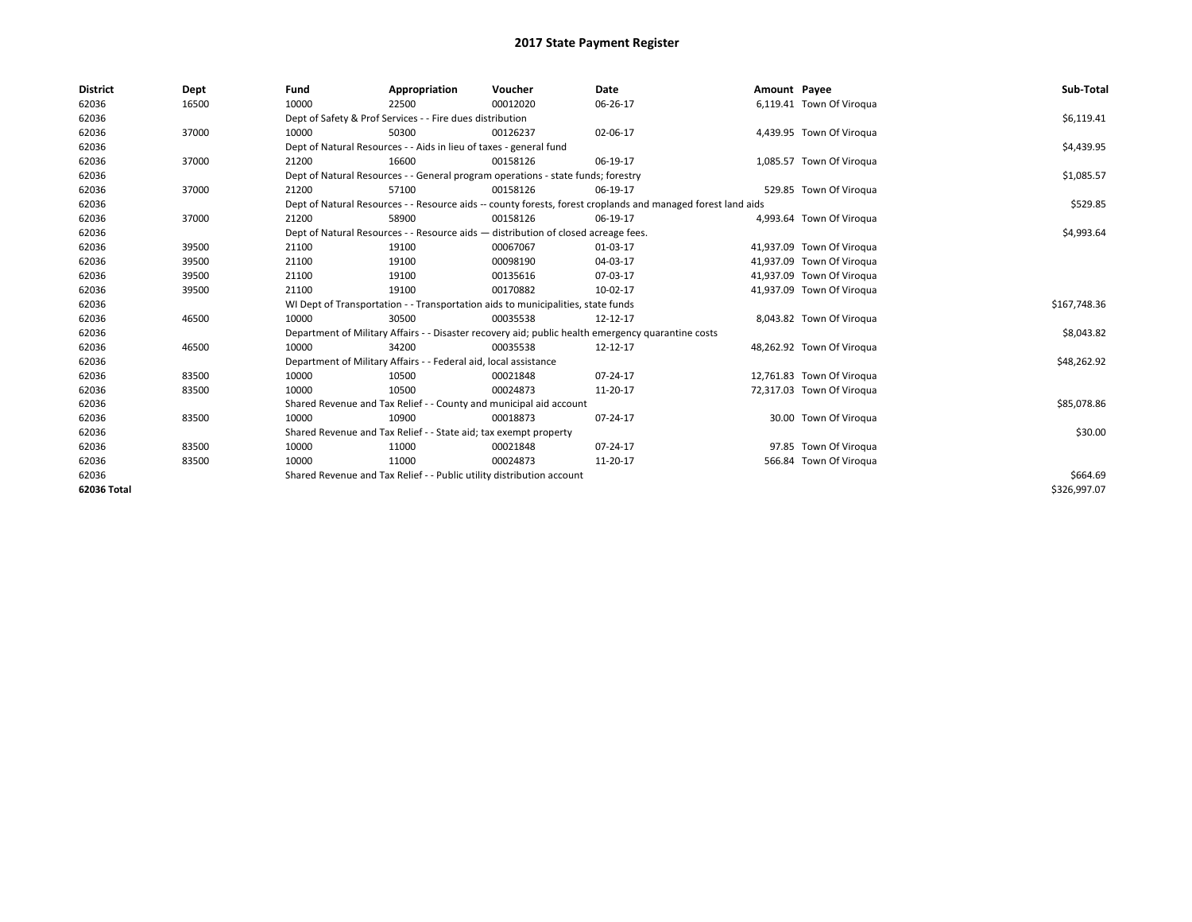| <b>District</b> | Dept  | Fund  | Appropriation                                                                                                | Voucher  | Date           | Amount Payee |                           | Sub-Total    |  |  |  |
|-----------------|-------|-------|--------------------------------------------------------------------------------------------------------------|----------|----------------|--------------|---------------------------|--------------|--|--|--|
| 62036           | 16500 | 10000 | 22500                                                                                                        | 00012020 | 06-26-17       |              | 6,119.41 Town Of Viroqua  |              |  |  |  |
| 62036           |       |       | Dept of Safety & Prof Services - - Fire dues distribution                                                    |          |                |              |                           | \$6,119.41   |  |  |  |
| 62036           | 37000 | 10000 | 50300                                                                                                        | 00126237 | 02-06-17       |              | 4,439.95 Town Of Viroqua  |              |  |  |  |
| 62036           |       |       | Dept of Natural Resources - - Aids in lieu of taxes - general fund                                           |          |                |              |                           | \$4,439.95   |  |  |  |
| 62036           | 37000 | 21200 | 16600                                                                                                        | 00158126 | 06-19-17       |              | 1,085.57 Town Of Viroqua  |              |  |  |  |
| 62036           |       |       | Dept of Natural Resources - - General program operations - state funds; forestry                             |          |                |              |                           |              |  |  |  |
| 62036           | 37000 | 21200 | 57100                                                                                                        | 00158126 | 06-19-17       |              | 529.85 Town Of Viroqua    |              |  |  |  |
| 62036           |       |       | Dept of Natural Resources - - Resource aids -- county forests, forest croplands and managed forest land aids |          |                |              |                           |              |  |  |  |
| 62036           | 37000 | 21200 | 58900                                                                                                        | 00158126 | 06-19-17       |              | 4,993.64 Town Of Viroqua  |              |  |  |  |
| 62036           |       |       | Dept of Natural Resources - - Resource aids - distribution of closed acreage fees.                           |          |                |              |                           |              |  |  |  |
| 62036           | 39500 | 21100 | 19100                                                                                                        | 00067067 | 01-03-17       |              | 41,937.09 Town Of Viroqua |              |  |  |  |
| 62036           | 39500 | 21100 | 19100                                                                                                        | 00098190 | 04-03-17       |              | 41,937.09 Town Of Viroqua |              |  |  |  |
| 62036           | 39500 | 21100 | 19100                                                                                                        | 00135616 | 07-03-17       |              | 41,937.09 Town Of Viroqua |              |  |  |  |
| 62036           | 39500 | 21100 | 19100                                                                                                        | 00170882 | 10-02-17       |              | 41,937.09 Town Of Viroqua |              |  |  |  |
| 62036           |       |       | WI Dept of Transportation - - Transportation aids to municipalities, state funds                             |          |                |              |                           | \$167,748.36 |  |  |  |
| 62036           | 46500 | 10000 | 30500                                                                                                        | 00035538 | 12-12-17       |              | 8,043.82 Town Of Viroqua  |              |  |  |  |
| 62036           |       |       | Department of Military Affairs - - Disaster recovery aid; public health emergency quarantine costs           |          |                |              |                           | \$8,043.82   |  |  |  |
| 62036           | 46500 | 10000 | 34200                                                                                                        | 00035538 | 12-12-17       |              | 48,262.92 Town Of Virogua |              |  |  |  |
| 62036           |       |       | Department of Military Affairs - - Federal aid, local assistance                                             |          |                |              |                           | \$48,262.92  |  |  |  |
| 62036           | 83500 | 10000 | 10500                                                                                                        | 00021848 | $07 - 24 - 17$ |              | 12,761.83 Town Of Viroqua |              |  |  |  |
| 62036           | 83500 | 10000 | 10500                                                                                                        | 00024873 | 11-20-17       |              | 72,317.03 Town Of Viroqua |              |  |  |  |
| 62036           |       |       | Shared Revenue and Tax Relief - - County and municipal aid account                                           |          |                |              |                           | \$85,078.86  |  |  |  |
| 62036           | 83500 | 10000 | 10900                                                                                                        | 00018873 | 07-24-17       |              | 30.00 Town Of Viroqua     |              |  |  |  |
| 62036           |       |       | Shared Revenue and Tax Relief - - State aid; tax exempt property                                             |          |                |              |                           | \$30.00      |  |  |  |
| 62036           | 83500 | 10000 | 11000                                                                                                        | 00021848 | 07-24-17       |              | 97.85 Town Of Viroqua     |              |  |  |  |
| 62036           | 83500 | 10000 | 11000                                                                                                        | 00024873 | 11-20-17       |              | 566.84 Town Of Viroqua    |              |  |  |  |
| 62036           |       |       | Shared Revenue and Tax Relief - - Public utility distribution account                                        |          |                |              |                           |              |  |  |  |
| 62036 Total     |       |       |                                                                                                              |          |                |              |                           | \$326,997.07 |  |  |  |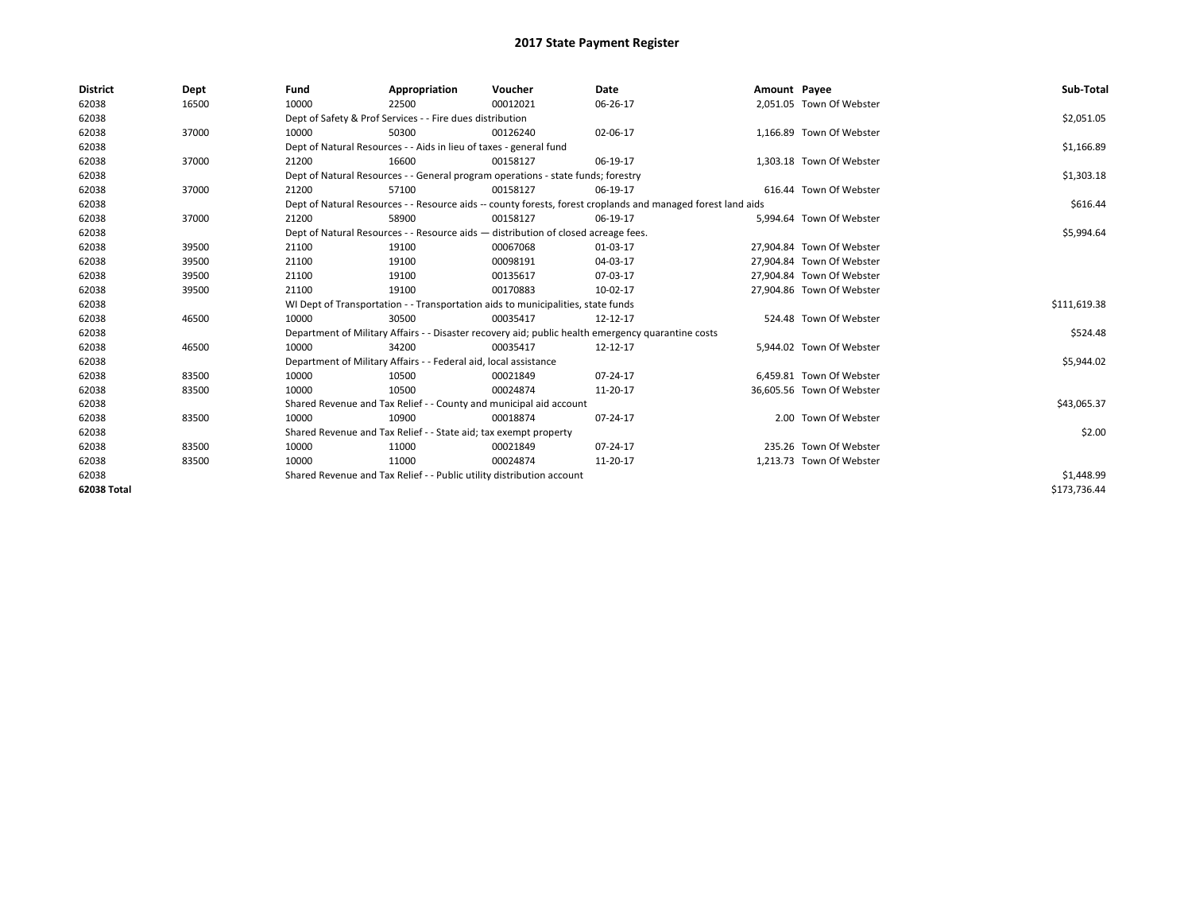| <b>District</b> | Dept  | Fund                                                                               | Appropriation                                                                    | Voucher    | Date                                                                                                         | Amount Payee |                           | Sub-Total    |
|-----------------|-------|------------------------------------------------------------------------------------|----------------------------------------------------------------------------------|------------|--------------------------------------------------------------------------------------------------------------|--------------|---------------------------|--------------|
| 62038           | 16500 | 10000                                                                              | 22500                                                                            | 00012021   | 06-26-17                                                                                                     |              | 2,051.05 Town Of Webster  |              |
| 62038           |       |                                                                                    | Dept of Safety & Prof Services - - Fire dues distribution                        |            |                                                                                                              |              |                           | \$2,051.05   |
| 62038           | 37000 | 10000                                                                              | 50300                                                                            | 00126240   | 02-06-17                                                                                                     |              | 1,166.89 Town Of Webster  |              |
| 62038           |       |                                                                                    | Dept of Natural Resources - - Aids in lieu of taxes - general fund               |            |                                                                                                              |              |                           | \$1,166.89   |
| 62038           | 37000 | 21200                                                                              | 16600                                                                            | 00158127   | 06-19-17                                                                                                     |              | 1,303.18 Town Of Webster  |              |
| 62038           |       |                                                                                    | Dept of Natural Resources - - General program operations - state funds; forestry |            |                                                                                                              |              |                           | \$1,303.18   |
| 62038           | 37000 | 21200                                                                              | 57100                                                                            | 00158127   | 06-19-17                                                                                                     |              | 616.44 Town Of Webster    |              |
| 62038           |       |                                                                                    |                                                                                  |            | Dept of Natural Resources - - Resource aids -- county forests, forest croplands and managed forest land aids |              |                           | \$616.44     |
| 62038           | 37000 | 21200                                                                              | 58900                                                                            | 00158127   | 06-19-17                                                                                                     |              | 5,994.64 Town Of Webster  |              |
| 62038           |       | Dept of Natural Resources - - Resource aids - distribution of closed acreage fees. |                                                                                  | \$5,994.64 |                                                                                                              |              |                           |              |
| 62038           | 39500 | 21100                                                                              | 19100                                                                            | 00067068   | $01-03-17$                                                                                                   |              | 27.904.84 Town Of Webster |              |
| 62038           | 39500 | 21100                                                                              | 19100                                                                            | 00098191   | 04-03-17                                                                                                     |              | 27.904.84 Town Of Webster |              |
| 62038           | 39500 | 21100                                                                              | 19100                                                                            | 00135617   | 07-03-17                                                                                                     |              | 27,904.84 Town Of Webster |              |
| 62038           | 39500 | 21100                                                                              | 19100                                                                            | 00170883   | 10-02-17                                                                                                     |              | 27,904.86 Town Of Webster |              |
| 62038           |       |                                                                                    | WI Dept of Transportation - - Transportation aids to municipalities, state funds |            |                                                                                                              |              |                           | \$111,619.38 |
| 62038           | 46500 | 10000                                                                              | 30500                                                                            | 00035417   | 12-12-17                                                                                                     |              | 524.48 Town Of Webster    |              |
| 62038           |       |                                                                                    |                                                                                  |            | Department of Military Affairs - - Disaster recovery aid; public health emergency quarantine costs           |              |                           | \$524.48     |
| 62038           | 46500 | 10000                                                                              | 34200                                                                            | 00035417   | 12-12-17                                                                                                     |              | 5,944.02 Town Of Webster  |              |
| 62038           |       |                                                                                    | Department of Military Affairs - - Federal aid, local assistance                 |            |                                                                                                              |              |                           | \$5,944.02   |
| 62038           | 83500 | 10000                                                                              | 10500                                                                            | 00021849   | $07 - 24 - 17$                                                                                               |              | 6,459.81 Town Of Webster  |              |
| 62038           | 83500 | 10000                                                                              | 10500                                                                            | 00024874   | 11-20-17                                                                                                     |              | 36,605.56 Town Of Webster |              |
| 62038           |       |                                                                                    | Shared Revenue and Tax Relief - - County and municipal aid account               |            |                                                                                                              |              |                           | \$43,065.37  |
| 62038           | 83500 | 10000                                                                              | 10900                                                                            | 00018874   | 07-24-17                                                                                                     |              | 2.00 Town Of Webster      |              |
| 62038           |       |                                                                                    | Shared Revenue and Tax Relief - - State aid; tax exempt property                 |            |                                                                                                              |              |                           | \$2.00       |
| 62038           | 83500 | 10000                                                                              | 11000                                                                            | 00021849   | 07-24-17                                                                                                     |              | 235.26 Town Of Webster    |              |
| 62038           | 83500 | 10000                                                                              | 11000                                                                            | 00024874   | 11-20-17                                                                                                     |              | 1,213.73 Town Of Webster  |              |
| 62038           |       | Shared Revenue and Tax Relief - - Public utility distribution account              |                                                                                  | \$1,448.99 |                                                                                                              |              |                           |              |
| 62038 Total     |       |                                                                                    |                                                                                  |            |                                                                                                              |              |                           | \$173.736.44 |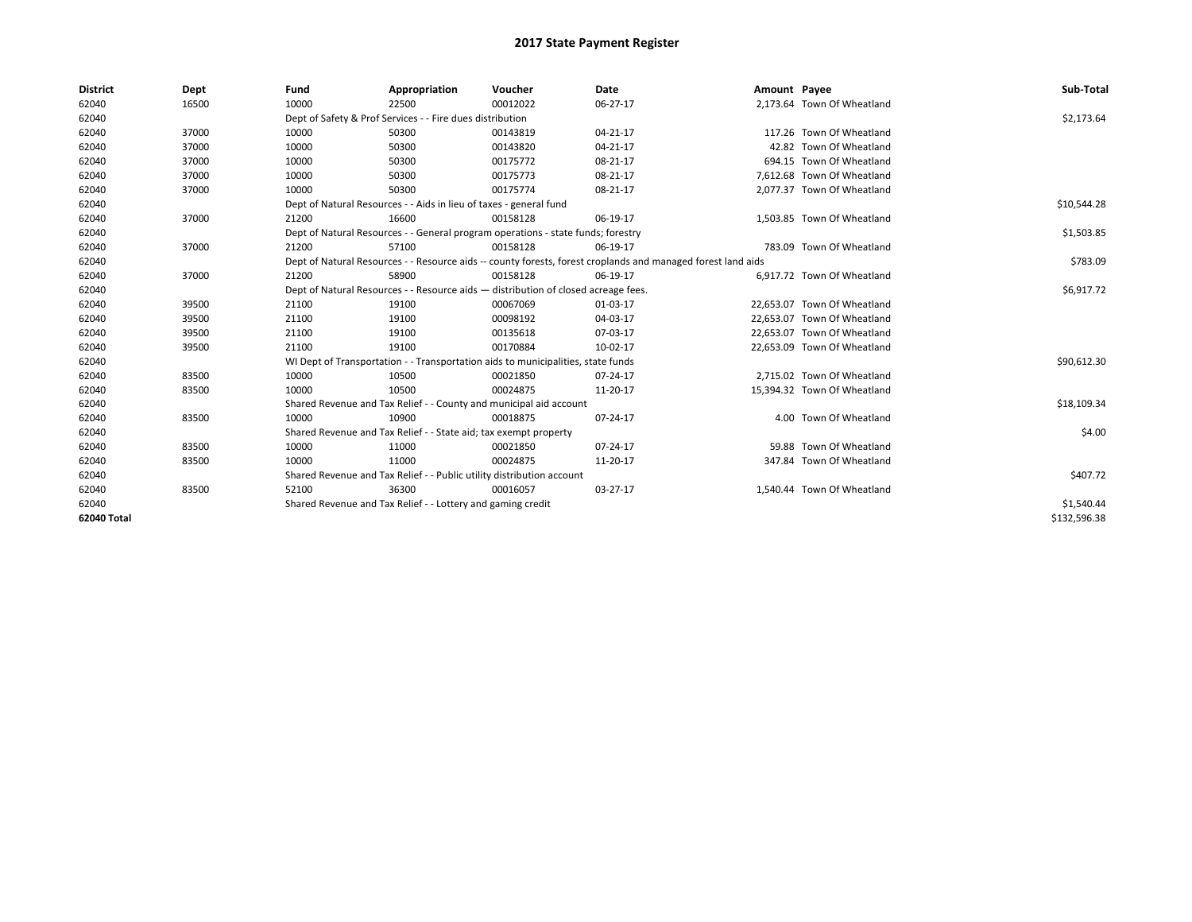| <b>District</b> | Dept  | Fund  | Appropriation                                                                      | Voucher  | Date                                                                                                         | Amount Payee |                             | Sub-Total    |
|-----------------|-------|-------|------------------------------------------------------------------------------------|----------|--------------------------------------------------------------------------------------------------------------|--------------|-----------------------------|--------------|
| 62040           | 16500 | 10000 | 22500                                                                              | 00012022 | 06-27-17                                                                                                     |              | 2.173.64 Town Of Wheatland  |              |
| 62040           |       |       | Dept of Safety & Prof Services - - Fire dues distribution                          |          |                                                                                                              |              |                             | \$2,173.64   |
| 62040           | 37000 | 10000 | 50300                                                                              | 00143819 | $04 - 21 - 17$                                                                                               |              | 117.26 Town Of Wheatland    |              |
| 62040           | 37000 | 10000 | 50300                                                                              | 00143820 | $04 - 21 - 17$                                                                                               |              | 42.82 Town Of Wheatland     |              |
| 62040           | 37000 | 10000 | 50300                                                                              | 00175772 | 08-21-17                                                                                                     |              | 694.15 Town Of Wheatland    |              |
| 62040           | 37000 | 10000 | 50300                                                                              | 00175773 | 08-21-17                                                                                                     |              | 7.612.68 Town Of Wheatland  |              |
| 62040           | 37000 | 10000 | 50300                                                                              | 00175774 | 08-21-17                                                                                                     |              | 2,077.37 Town Of Wheatland  |              |
| 62040           |       |       | Dept of Natural Resources - - Aids in lieu of taxes - general fund                 |          | \$10,544.28                                                                                                  |              |                             |              |
| 62040           | 37000 | 21200 | 16600                                                                              | 00158128 | 06-19-17                                                                                                     |              | 1,503.85 Town Of Wheatland  |              |
| 62040           |       |       | Dept of Natural Resources - - General program operations - state funds; forestry   |          |                                                                                                              |              |                             | \$1,503.85   |
| 62040           | 37000 | 21200 | 57100                                                                              | 00158128 | 06-19-17                                                                                                     |              | 783.09 Town Of Wheatland    |              |
| 62040           |       |       |                                                                                    |          | Dept of Natural Resources - - Resource aids -- county forests, forest croplands and managed forest land aids |              |                             | \$783.09     |
| 62040           | 37000 | 21200 | 58900                                                                              | 00158128 | 06-19-17                                                                                                     |              | 6,917.72 Town Of Wheatland  |              |
| 62040           |       |       | Dept of Natural Resources - - Resource aids - distribution of closed acreage fees. |          |                                                                                                              |              |                             | \$6,917.72   |
| 62040           | 39500 | 21100 | 19100                                                                              | 00067069 | 01-03-17                                                                                                     |              | 22,653.07 Town Of Wheatland |              |
| 62040           | 39500 | 21100 | 19100                                                                              | 00098192 | 04-03-17                                                                                                     |              | 22,653.07 Town Of Wheatland |              |
| 62040           | 39500 | 21100 | 19100                                                                              | 00135618 | 07-03-17                                                                                                     |              | 22,653.07 Town Of Wheatland |              |
| 62040           | 39500 | 21100 | 19100                                                                              | 00170884 | 10-02-17                                                                                                     |              | 22,653.09 Town Of Wheatland |              |
| 62040           |       |       | WI Dept of Transportation - - Transportation aids to municipalities, state funds   |          |                                                                                                              |              |                             | \$90,612.30  |
| 62040           | 83500 | 10000 | 10500                                                                              | 00021850 | 07-24-17                                                                                                     |              | 2,715.02 Town Of Wheatland  |              |
| 62040           | 83500 | 10000 | 10500                                                                              | 00024875 | 11-20-17                                                                                                     |              | 15,394.32 Town Of Wheatland |              |
| 62040           |       |       | Shared Revenue and Tax Relief - - County and municipal aid account                 |          |                                                                                                              |              |                             | \$18,109.34  |
| 62040           | 83500 | 10000 | 10900                                                                              | 00018875 | 07-24-17                                                                                                     |              | 4.00 Town Of Wheatland      |              |
| 62040           |       |       | Shared Revenue and Tax Relief - - State aid; tax exempt property                   |          |                                                                                                              |              |                             | \$4.00       |
| 62040           | 83500 | 10000 | 11000                                                                              | 00021850 | 07-24-17                                                                                                     |              | 59.88 Town Of Wheatland     |              |
| 62040           | 83500 | 10000 | 11000                                                                              | 00024875 | 11-20-17                                                                                                     |              | 347.84 Town Of Wheatland    |              |
| 62040           |       |       | Shared Revenue and Tax Relief - - Public utility distribution account              |          |                                                                                                              |              |                             | \$407.72     |
| 62040           | 83500 | 52100 | 36300                                                                              | 00016057 | 03-27-17                                                                                                     |              | 1.540.44 Town Of Wheatland  |              |
| 62040           |       |       | Shared Revenue and Tax Relief - - Lottery and gaming credit                        |          | \$1,540.44                                                                                                   |              |                             |              |
| 62040 Total     |       |       |                                                                                    |          |                                                                                                              |              |                             | \$132,596.38 |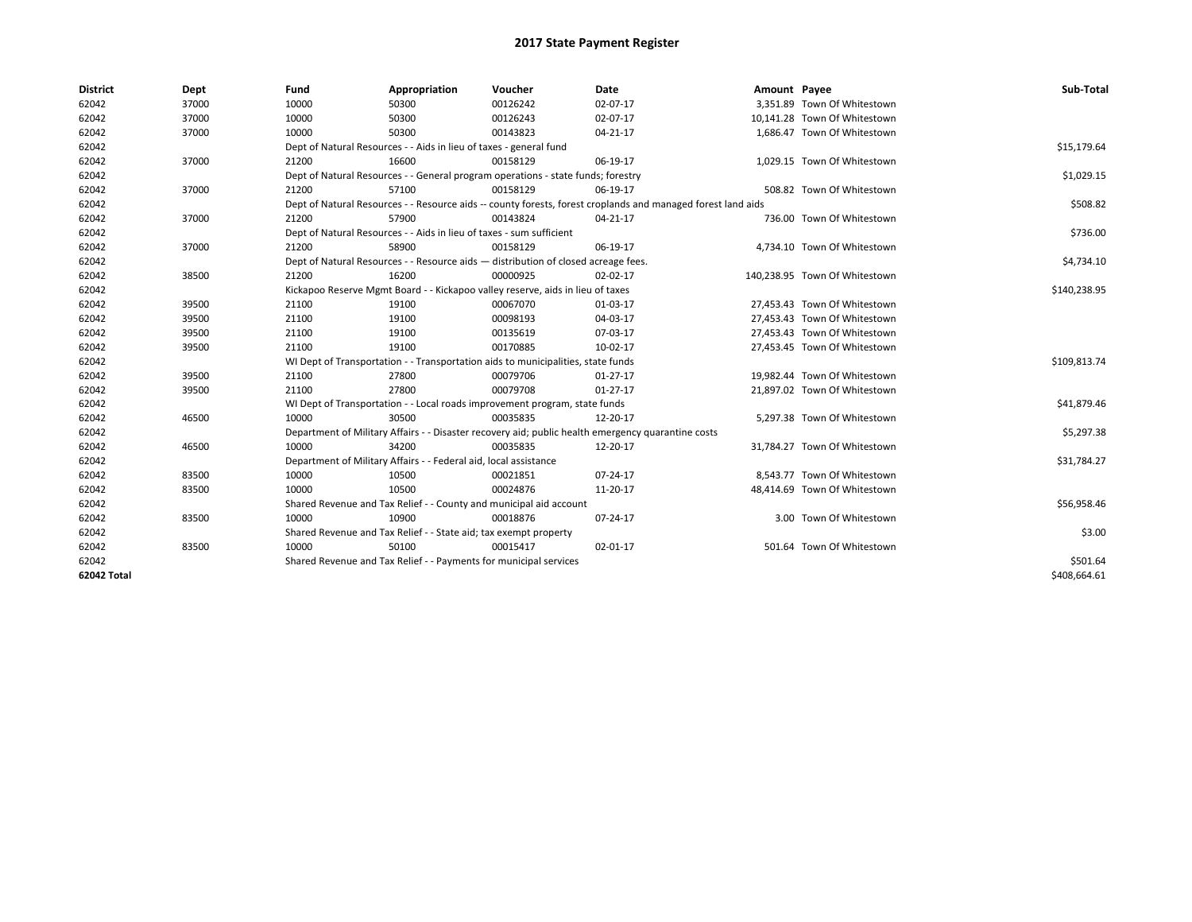| <b>District</b> | Dept  | Fund                                                              | Appropriation                                                                      | Voucher  | Date                                                                                                         | Amount Payee |                               | Sub-Total    |
|-----------------|-------|-------------------------------------------------------------------|------------------------------------------------------------------------------------|----------|--------------------------------------------------------------------------------------------------------------|--------------|-------------------------------|--------------|
| 62042           | 37000 | 10000                                                             | 50300                                                                              | 00126242 | 02-07-17                                                                                                     |              | 3,351.89 Town Of Whitestown   |              |
| 62042           | 37000 | 10000                                                             | 50300                                                                              | 00126243 | 02-07-17                                                                                                     |              | 10,141.28 Town Of Whitestown  |              |
| 62042           | 37000 | 10000                                                             | 50300                                                                              | 00143823 | $04 - 21 - 17$                                                                                               |              | 1,686.47 Town Of Whitestown   |              |
| 62042           |       |                                                                   | Dept of Natural Resources - - Aids in lieu of taxes - general fund                 |          |                                                                                                              |              |                               | \$15,179.64  |
| 62042           | 37000 | 21200                                                             | 16600                                                                              | 00158129 | 06-19-17                                                                                                     |              | 1,029.15 Town Of Whitestown   |              |
| 62042           |       |                                                                   | Dept of Natural Resources - - General program operations - state funds; forestry   |          |                                                                                                              |              |                               | \$1,029.15   |
| 62042           | 37000 | 21200                                                             | 57100                                                                              | 00158129 | 06-19-17                                                                                                     |              | 508.82 Town Of Whitestown     |              |
| 62042           |       |                                                                   |                                                                                    |          | Dept of Natural Resources - - Resource aids -- county forests, forest croplands and managed forest land aids |              |                               | \$508.82     |
| 62042           | 37000 | 21200                                                             | 57900                                                                              | 00143824 | 04-21-17                                                                                                     |              | 736.00 Town Of Whitestown     |              |
| 62042           |       |                                                                   | Dept of Natural Resources - - Aids in lieu of taxes - sum sufficient               |          |                                                                                                              |              |                               | \$736.00     |
| 62042           | 37000 | 21200                                                             | 58900                                                                              | 00158129 | 06-19-17                                                                                                     |              | 4,734.10 Town Of Whitestown   |              |
| 62042           |       |                                                                   | Dept of Natural Resources - - Resource aids - distribution of closed acreage fees. |          |                                                                                                              |              |                               | \$4,734.10   |
| 62042           | 38500 | 21200                                                             | 16200                                                                              | 00000925 | 02-02-17                                                                                                     |              | 140,238.95 Town Of Whitestown |              |
| 62042           |       |                                                                   | Kickapoo Reserve Mgmt Board - - Kickapoo valley reserve, aids in lieu of taxes     |          |                                                                                                              |              |                               | \$140,238.95 |
| 62042           | 39500 | 21100                                                             | 19100                                                                              | 00067070 | 01-03-17                                                                                                     |              | 27,453.43 Town Of Whitestown  |              |
| 62042           | 39500 | 21100                                                             | 19100                                                                              | 00098193 | 04-03-17                                                                                                     |              | 27,453.43 Town Of Whitestown  |              |
| 62042           | 39500 | 21100                                                             | 19100                                                                              | 00135619 | 07-03-17                                                                                                     |              | 27,453.43 Town Of Whitestown  |              |
| 62042           | 39500 | 21100                                                             | 19100                                                                              | 00170885 | 10-02-17                                                                                                     |              | 27,453.45 Town Of Whitestown  |              |
| 62042           |       |                                                                   | WI Dept of Transportation - - Transportation aids to municipalities, state funds   |          |                                                                                                              |              |                               | \$109,813.74 |
| 62042           | 39500 | 21100                                                             | 27800                                                                              | 00079706 | $01 - 27 - 17$                                                                                               |              | 19,982.44 Town Of Whitestown  |              |
| 62042           | 39500 | 21100                                                             | 27800                                                                              | 00079708 | $01 - 27 - 17$                                                                                               |              | 21,897.02 Town Of Whitestown  |              |
| 62042           |       |                                                                   | WI Dept of Transportation - - Local roads improvement program, state funds         |          |                                                                                                              |              |                               | \$41,879.46  |
| 62042           | 46500 | 10000                                                             | 30500                                                                              | 00035835 | 12-20-17                                                                                                     |              | 5,297.38 Town Of Whitestown   |              |
| 62042           |       |                                                                   |                                                                                    |          | Department of Military Affairs - - Disaster recovery aid; public health emergency quarantine costs           |              |                               | \$5,297.38   |
| 62042           | 46500 | 10000                                                             | 34200                                                                              | 00035835 | 12-20-17                                                                                                     |              | 31,784.27 Town Of Whitestown  |              |
| 62042           |       |                                                                   | Department of Military Affairs - - Federal aid, local assistance                   |          |                                                                                                              |              |                               | \$31,784.27  |
| 62042           | 83500 | 10000                                                             | 10500                                                                              | 00021851 | 07-24-17                                                                                                     |              | 8,543.77 Town Of Whitestown   |              |
| 62042           | 83500 | 10000                                                             | 10500                                                                              | 00024876 | 11-20-17                                                                                                     |              | 48,414.69 Town Of Whitestown  |              |
| 62042           |       |                                                                   | Shared Revenue and Tax Relief - - County and municipal aid account                 |          |                                                                                                              |              |                               | \$56,958.46  |
| 62042           | 83500 | 10000                                                             | 10900                                                                              | 00018876 | 07-24-17                                                                                                     |              | 3.00 Town Of Whitestown       |              |
| 62042           |       |                                                                   | Shared Revenue and Tax Relief - - State aid; tax exempt property                   |          |                                                                                                              |              |                               | \$3.00       |
| 62042           | 83500 | 10000                                                             | 50100                                                                              | 00015417 | 02-01-17                                                                                                     |              | 501.64 Town Of Whitestown     |              |
| 62042           |       | Shared Revenue and Tax Relief - - Payments for municipal services |                                                                                    | \$501.64 |                                                                                                              |              |                               |              |
| 62042 Total     |       |                                                                   |                                                                                    |          |                                                                                                              |              |                               | \$408,664.61 |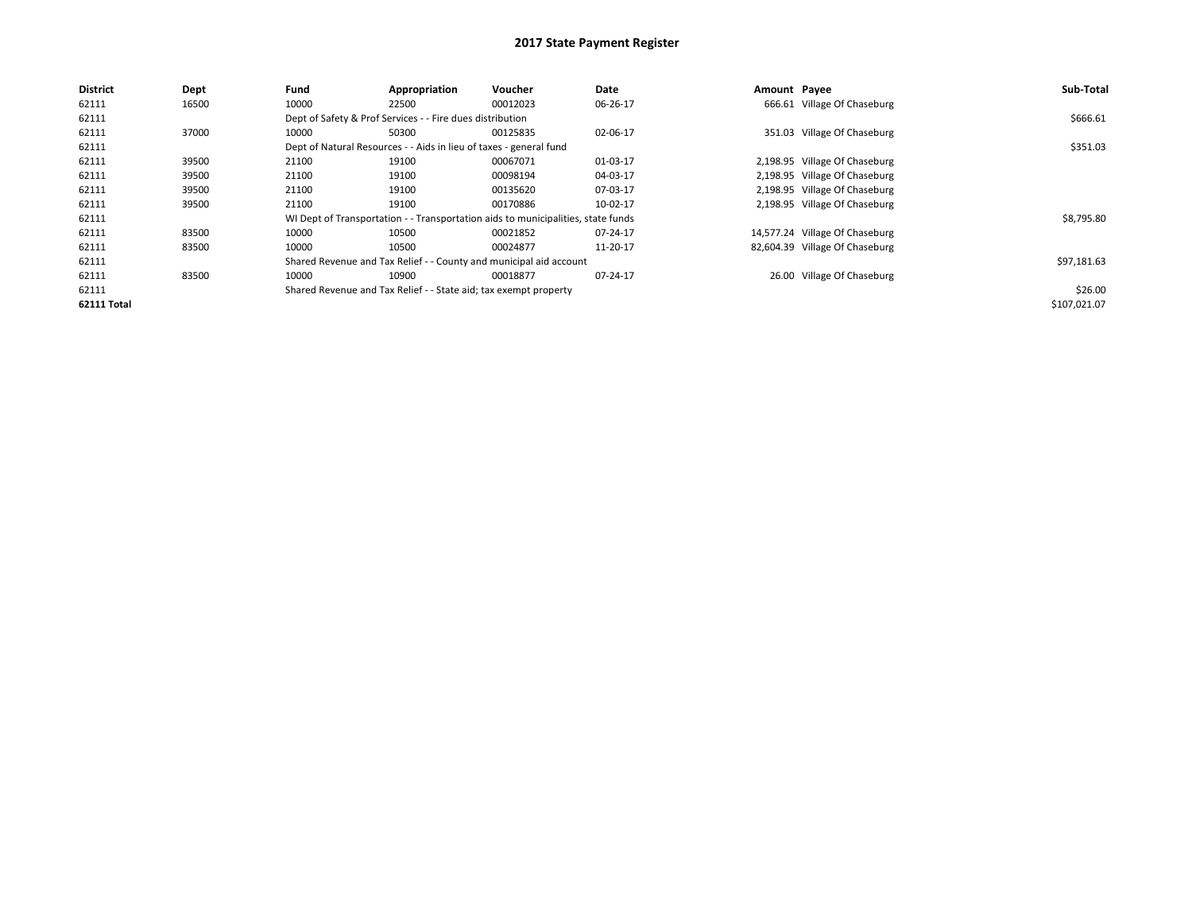| <b>District</b>    | Dept  | Fund  | Appropriation                                                                    | Voucher  | Date     | Amount Payee |                                | Sub-Total    |
|--------------------|-------|-------|----------------------------------------------------------------------------------|----------|----------|--------------|--------------------------------|--------------|
| 62111              | 16500 | 10000 | 22500                                                                            | 00012023 | 06-26-17 |              | 666.61 Village Of Chaseburg    |              |
| 62111              |       |       | Dept of Safety & Prof Services - - Fire dues distribution                        |          |          |              |                                | \$666.61     |
| 62111              | 37000 | 10000 | 50300                                                                            | 00125835 | 02-06-17 |              | 351.03 Village Of Chaseburg    |              |
| 62111              |       |       | Dept of Natural Resources - - Aids in lieu of taxes - general fund               |          |          |              |                                | \$351.03     |
| 62111              | 39500 | 21100 | 19100                                                                            | 00067071 | 01-03-17 |              | 2,198.95 Village Of Chaseburg  |              |
| 62111              | 39500 | 21100 | 19100                                                                            | 00098194 | 04-03-17 |              | 2,198.95 Village Of Chaseburg  |              |
| 62111              | 39500 | 21100 | 19100                                                                            | 00135620 | 07-03-17 |              | 2,198.95 Village Of Chaseburg  |              |
| 62111              | 39500 | 21100 | 19100                                                                            | 00170886 | 10-02-17 |              | 2,198.95 Village Of Chaseburg  |              |
| 62111              |       |       | WI Dept of Transportation - - Transportation aids to municipalities, state funds |          |          |              |                                | \$8,795.80   |
| 62111              | 83500 | 10000 | 10500                                                                            | 00021852 | 07-24-17 |              | 14,577.24 Village Of Chaseburg |              |
| 62111              | 83500 | 10000 | 10500                                                                            | 00024877 | 11-20-17 |              | 82,604.39 Village Of Chaseburg |              |
| 62111              |       |       | Shared Revenue and Tax Relief - - County and municipal aid account               |          |          |              |                                | \$97,181.63  |
| 62111              | 83500 | 10000 | 10900                                                                            | 00018877 | 07-24-17 |              | 26.00 Village Of Chaseburg     |              |
| 62111              |       |       | Shared Revenue and Tax Relief - - State aid; tax exempt property                 |          |          |              |                                | \$26.00      |
| <b>62111 Total</b> |       |       |                                                                                  |          |          |              |                                | \$107,021.07 |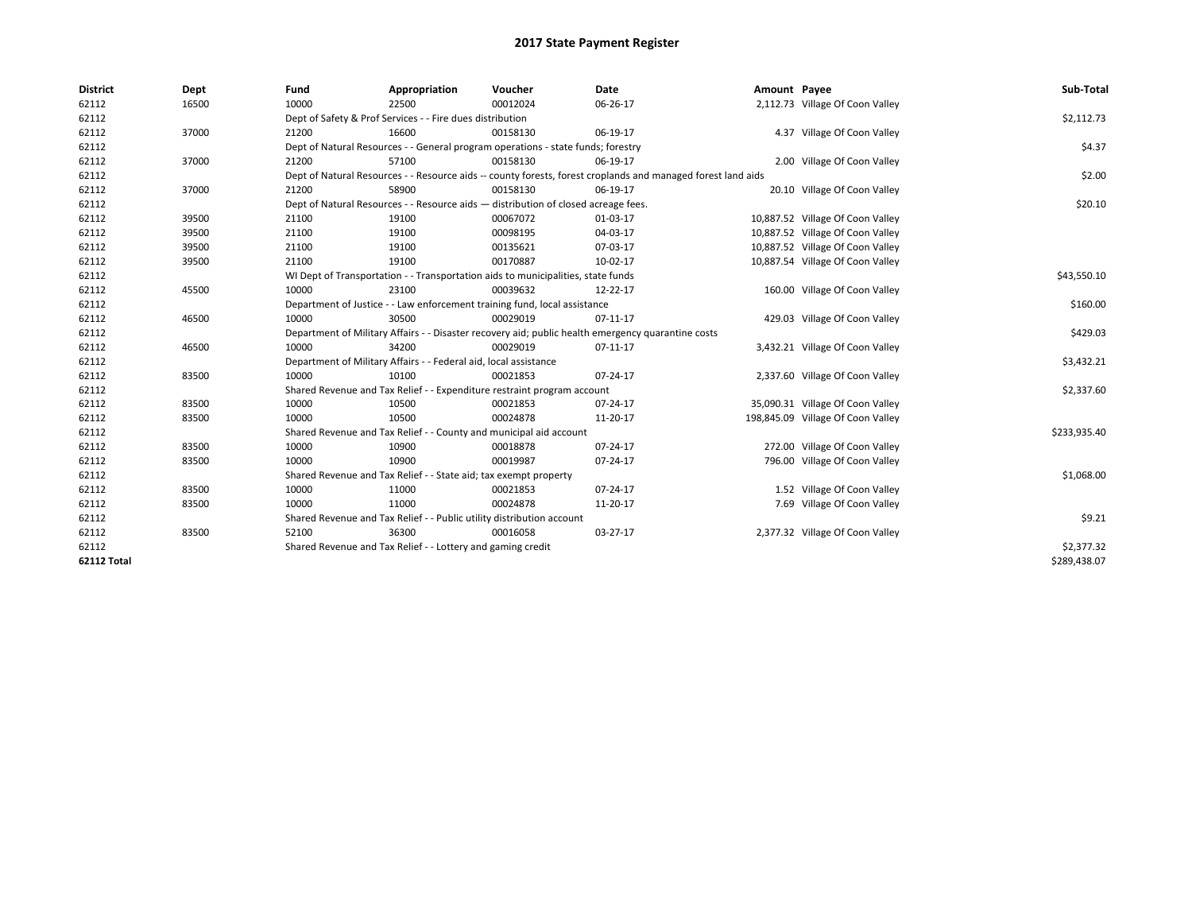| <b>District</b> | Dept  | Fund  | Appropriation                                                                      | Voucher  | Date                                                                                                         | Amount Payee |                                   | Sub-Total    |
|-----------------|-------|-------|------------------------------------------------------------------------------------|----------|--------------------------------------------------------------------------------------------------------------|--------------|-----------------------------------|--------------|
| 62112           | 16500 | 10000 | 22500                                                                              | 00012024 | 06-26-17                                                                                                     |              | 2,112.73 Village Of Coon Valley   |              |
| 62112           |       |       | Dept of Safety & Prof Services - - Fire dues distribution                          |          |                                                                                                              |              |                                   | \$2,112.73   |
| 62112           | 37000 | 21200 | 16600                                                                              | 00158130 | 06-19-17                                                                                                     |              | 4.37 Village Of Coon Valley       |              |
| 62112           |       |       | Dept of Natural Resources - - General program operations - state funds; forestry   |          |                                                                                                              |              |                                   | \$4.37       |
| 62112           | 37000 | 21200 | 57100                                                                              | 00158130 | 06-19-17                                                                                                     |              | 2.00 Village Of Coon Valley       |              |
| 62112           |       |       |                                                                                    |          | Dept of Natural Resources - - Resource aids -- county forests, forest croplands and managed forest land aids |              |                                   | \$2.00       |
| 62112           | 37000 | 21200 | 58900                                                                              | 00158130 | 06-19-17                                                                                                     |              | 20.10 Village Of Coon Valley      |              |
| 62112           |       |       | Dept of Natural Resources - - Resource aids - distribution of closed acreage fees. |          |                                                                                                              |              |                                   | \$20.10      |
| 62112           | 39500 | 21100 | 19100                                                                              | 00067072 | 01-03-17                                                                                                     |              | 10,887.52 Village Of Coon Valley  |              |
| 62112           | 39500 | 21100 | 19100                                                                              | 00098195 | 04-03-17                                                                                                     |              | 10,887.52 Village Of Coon Valley  |              |
| 62112           | 39500 | 21100 | 19100                                                                              | 00135621 | 07-03-17                                                                                                     |              | 10,887.52 Village Of Coon Valley  |              |
| 62112           | 39500 | 21100 | 19100                                                                              | 00170887 | 10-02-17                                                                                                     |              | 10,887.54 Village Of Coon Valley  |              |
| 62112           |       |       | WI Dept of Transportation - - Transportation aids to municipalities, state funds   |          |                                                                                                              |              |                                   | \$43,550.10  |
| 62112           | 45500 | 10000 | 23100                                                                              | 00039632 | 12-22-17                                                                                                     |              | 160.00 Village Of Coon Valley     |              |
| 62112           |       |       | Department of Justice - - Law enforcement training fund, local assistance          |          |                                                                                                              |              |                                   | \$160.00     |
| 62112           | 46500 | 10000 | 30500                                                                              | 00029019 | 07-11-17                                                                                                     |              | 429.03 Village Of Coon Valley     |              |
| 62112           |       |       |                                                                                    |          | Department of Military Affairs - - Disaster recovery aid; public health emergency quarantine costs           |              |                                   | \$429.03     |
| 62112           | 46500 | 10000 | 34200                                                                              | 00029019 | 07-11-17                                                                                                     |              | 3,432.21 Village Of Coon Valley   |              |
| 62112           |       |       | Department of Military Affairs - - Federal aid, local assistance                   |          |                                                                                                              |              |                                   | \$3,432.21   |
| 62112           | 83500 | 10000 | 10100                                                                              | 00021853 | 07-24-17                                                                                                     |              | 2,337.60 Village Of Coon Valley   |              |
| 62112           |       |       | Shared Revenue and Tax Relief - - Expenditure restraint program account            |          |                                                                                                              |              |                                   | \$2,337.60   |
| 62112           | 83500 | 10000 | 10500                                                                              | 00021853 | 07-24-17                                                                                                     |              | 35,090.31 Village Of Coon Valley  |              |
| 62112           | 83500 | 10000 | 10500                                                                              | 00024878 | 11-20-17                                                                                                     |              | 198,845.09 Village Of Coon Valley |              |
| 62112           |       |       | Shared Revenue and Tax Relief - - County and municipal aid account                 |          |                                                                                                              |              |                                   | \$233,935.40 |
| 62112           | 83500 | 10000 | 10900                                                                              | 00018878 | 07-24-17                                                                                                     |              | 272.00 Village Of Coon Valley     |              |
| 62112           | 83500 | 10000 | 10900                                                                              | 00019987 | 07-24-17                                                                                                     |              | 796.00 Village Of Coon Valley     |              |
| 62112           |       |       | Shared Revenue and Tax Relief - - State aid; tax exempt property                   |          |                                                                                                              |              |                                   | \$1,068.00   |
| 62112           | 83500 | 10000 | 11000                                                                              | 00021853 | 07-24-17                                                                                                     |              | 1.52 Village Of Coon Valley       |              |
| 62112           | 83500 | 10000 | 11000                                                                              | 00024878 | 11-20-17                                                                                                     |              | 7.69 Village Of Coon Valley       |              |
| 62112           |       |       | Shared Revenue and Tax Relief - - Public utility distribution account              |          |                                                                                                              |              |                                   | \$9.21       |
| 62112           | 83500 | 52100 | 36300                                                                              | 00016058 | 03-27-17                                                                                                     |              | 2,377.32 Village Of Coon Valley   |              |
| 62112           |       |       | Shared Revenue and Tax Relief - - Lottery and gaming credit                        |          |                                                                                                              |              |                                   | \$2,377.32   |
| 62112 Total     |       |       |                                                                                    |          |                                                                                                              |              |                                   | \$289,438.07 |
|                 |       |       |                                                                                    |          |                                                                                                              |              |                                   |              |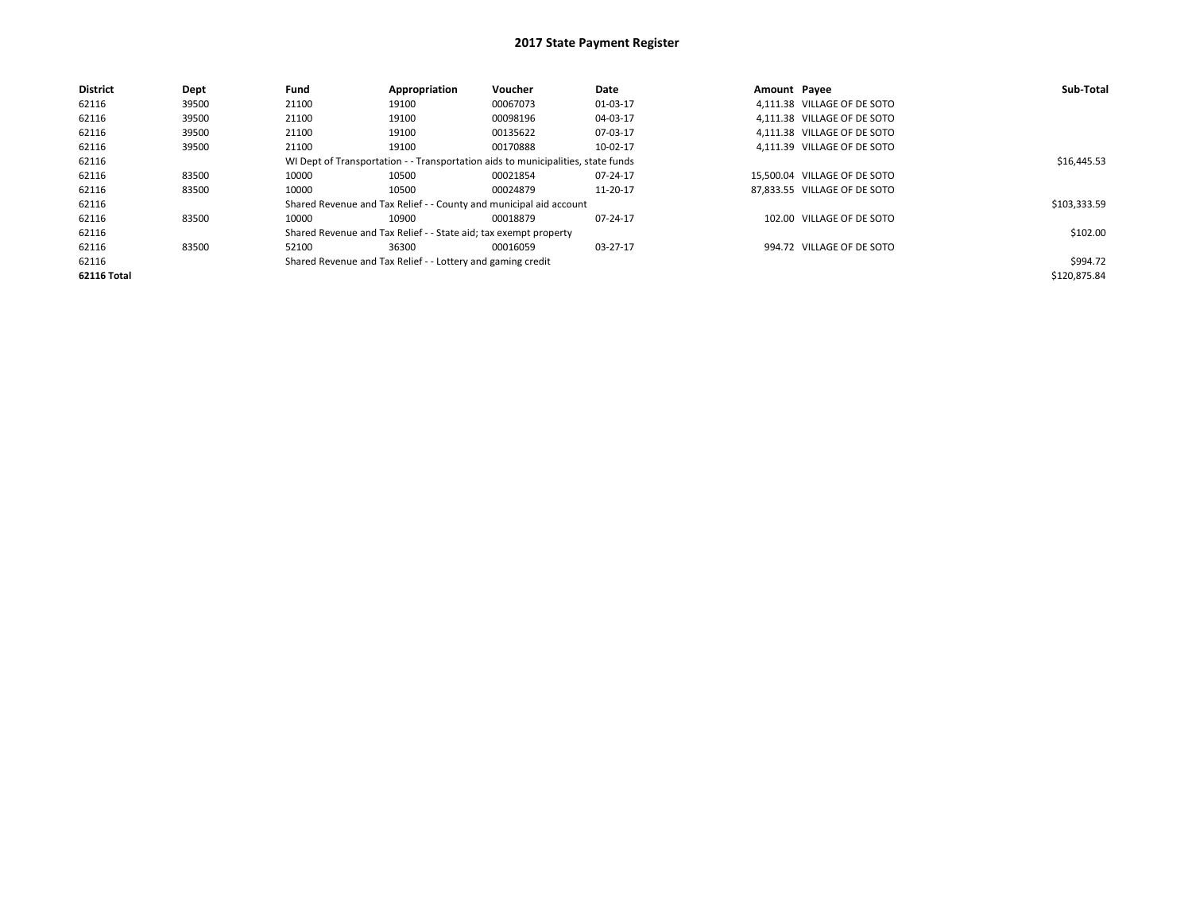| <b>District</b>    | Dept  | Fund  | Appropriation                                                    | <b>Voucher</b>                                                                   | Date     | Amount Pavee |                              | Sub-Total    |
|--------------------|-------|-------|------------------------------------------------------------------|----------------------------------------------------------------------------------|----------|--------------|------------------------------|--------------|
| 62116              | 39500 | 21100 | 19100                                                            | 00067073                                                                         | 01-03-17 |              | 4,111.38 VILLAGE OF DE SOTO  |              |
| 62116              | 39500 | 21100 | 19100                                                            | 00098196                                                                         | 04-03-17 |              | 4.111.38 VILLAGE OF DE SOTO  |              |
| 62116              | 39500 | 21100 | 19100                                                            | 00135622                                                                         | 07-03-17 |              | 4.111.38 VILLAGE OF DE SOTO  |              |
| 62116              | 39500 | 21100 | 19100                                                            | 00170888                                                                         | 10-02-17 |              | 4,111.39 VILLAGE OF DE SOTO  |              |
| 62116              |       |       |                                                                  | WI Dept of Transportation - - Transportation aids to municipalities, state funds |          |              |                              | \$16,445.53  |
| 62116              | 83500 | 10000 | 10500                                                            | 00021854                                                                         | 07-24-17 |              | 15.500.04 VILLAGE OF DE SOTO |              |
| 62116              | 83500 | 10000 | 10500                                                            | 00024879                                                                         | 11-20-17 |              | 87,833.55 VILLAGE OF DE SOTO |              |
| 62116              |       |       |                                                                  | Shared Revenue and Tax Relief - - County and municipal aid account               |          |              |                              | \$103,333.59 |
| 62116              | 83500 | 10000 | 10900                                                            | 00018879                                                                         | 07-24-17 |              | 102.00 VILLAGE OF DE SOTO    |              |
| 62116              |       |       | Shared Revenue and Tax Relief - - State aid; tax exempt property |                                                                                  |          |              |                              | \$102.00     |
| 62116              | 83500 | 52100 | 36300                                                            | 00016059                                                                         | 03-27-17 |              | 994.72 VILLAGE OF DE SOTO    |              |
| 62116              |       |       | Shared Revenue and Tax Relief - - Lottery and gaming credit      |                                                                                  |          |              |                              | \$994.72     |
| <b>62116 Total</b> |       |       |                                                                  |                                                                                  |          |              |                              | \$120,875.84 |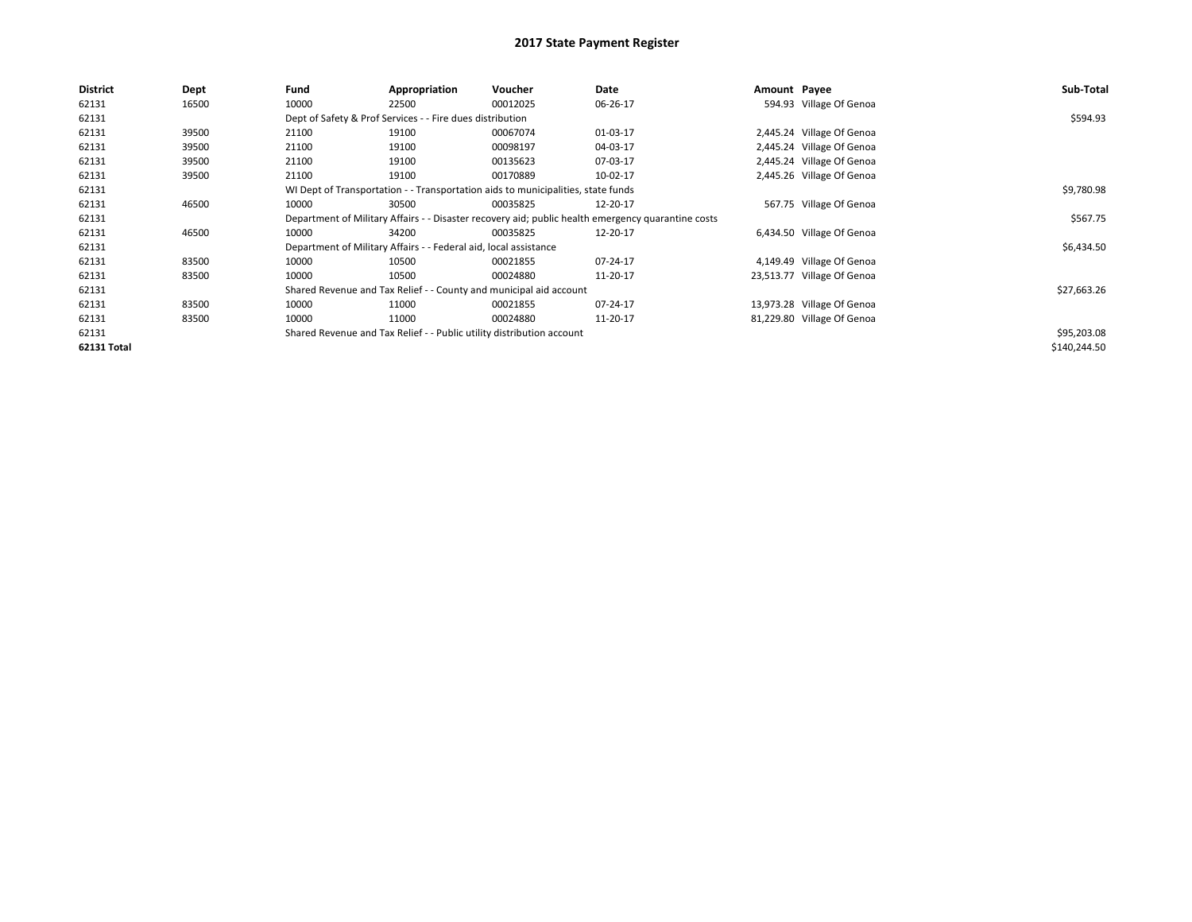| <b>District</b> | Dept  | Fund  | Appropriation                                                         | <b>Voucher</b>                                                                   | Date                                                                                               | Amount Payee |                            | Sub-Total    |
|-----------------|-------|-------|-----------------------------------------------------------------------|----------------------------------------------------------------------------------|----------------------------------------------------------------------------------------------------|--------------|----------------------------|--------------|
| 62131           | 16500 | 10000 | 22500                                                                 | 00012025                                                                         | 06-26-17                                                                                           |              | 594.93 Village Of Genoa    |              |
| 62131           |       |       | Dept of Safety & Prof Services - - Fire dues distribution             |                                                                                  |                                                                                                    |              |                            | \$594.93     |
| 62131           | 39500 | 21100 | 19100                                                                 | 00067074                                                                         | 01-03-17                                                                                           |              | 2,445.24 Village Of Genoa  |              |
| 62131           | 39500 | 21100 | 19100                                                                 | 00098197                                                                         | 04-03-17                                                                                           |              | 2,445.24 Village Of Genoa  |              |
| 62131           | 39500 | 21100 | 19100                                                                 | 00135623                                                                         | 07-03-17                                                                                           |              | 2,445.24 Village Of Genoa  |              |
| 62131           | 39500 | 21100 | 19100                                                                 | 00170889                                                                         | 10-02-17                                                                                           |              | 2,445.26 Village Of Genoa  |              |
| 62131           |       |       |                                                                       | WI Dept of Transportation - - Transportation aids to municipalities, state funds |                                                                                                    |              |                            | \$9,780.98   |
| 62131           | 46500 | 10000 | 30500                                                                 | 00035825                                                                         | 12-20-17                                                                                           |              | 567.75 Village Of Genoa    |              |
| 62131           |       |       |                                                                       |                                                                                  | Department of Military Affairs - - Disaster recovery aid; public health emergency quarantine costs |              |                            | \$567.75     |
| 62131           | 46500 | 10000 | 34200                                                                 | 00035825                                                                         | 12-20-17                                                                                           |              | 6,434.50 Village Of Genoa  |              |
| 62131           |       |       | Department of Military Affairs - - Federal aid, local assistance      |                                                                                  |                                                                                                    |              |                            | \$6,434.50   |
| 62131           | 83500 | 10000 | 10500                                                                 | 00021855                                                                         | 07-24-17                                                                                           |              | 4,149.49 Village Of Genoa  |              |
| 62131           | 83500 | 10000 | 10500                                                                 | 00024880                                                                         | 11-20-17                                                                                           |              | 23,513.77 Village Of Genoa |              |
| 62131           |       |       |                                                                       | Shared Revenue and Tax Relief - - County and municipal aid account               |                                                                                                    |              |                            | \$27,663.26  |
| 62131           | 83500 | 10000 | 11000                                                                 | 00021855                                                                         | 07-24-17                                                                                           |              | 13,973.28 Village Of Genoa |              |
| 62131           | 83500 | 10000 | 11000                                                                 | 00024880                                                                         | 11-20-17                                                                                           |              | 81,229.80 Village Of Genoa |              |
| 62131           |       |       | Shared Revenue and Tax Relief - - Public utility distribution account |                                                                                  |                                                                                                    |              |                            | \$95,203.08  |
| 62131 Total     |       |       |                                                                       |                                                                                  |                                                                                                    |              |                            | \$140,244.50 |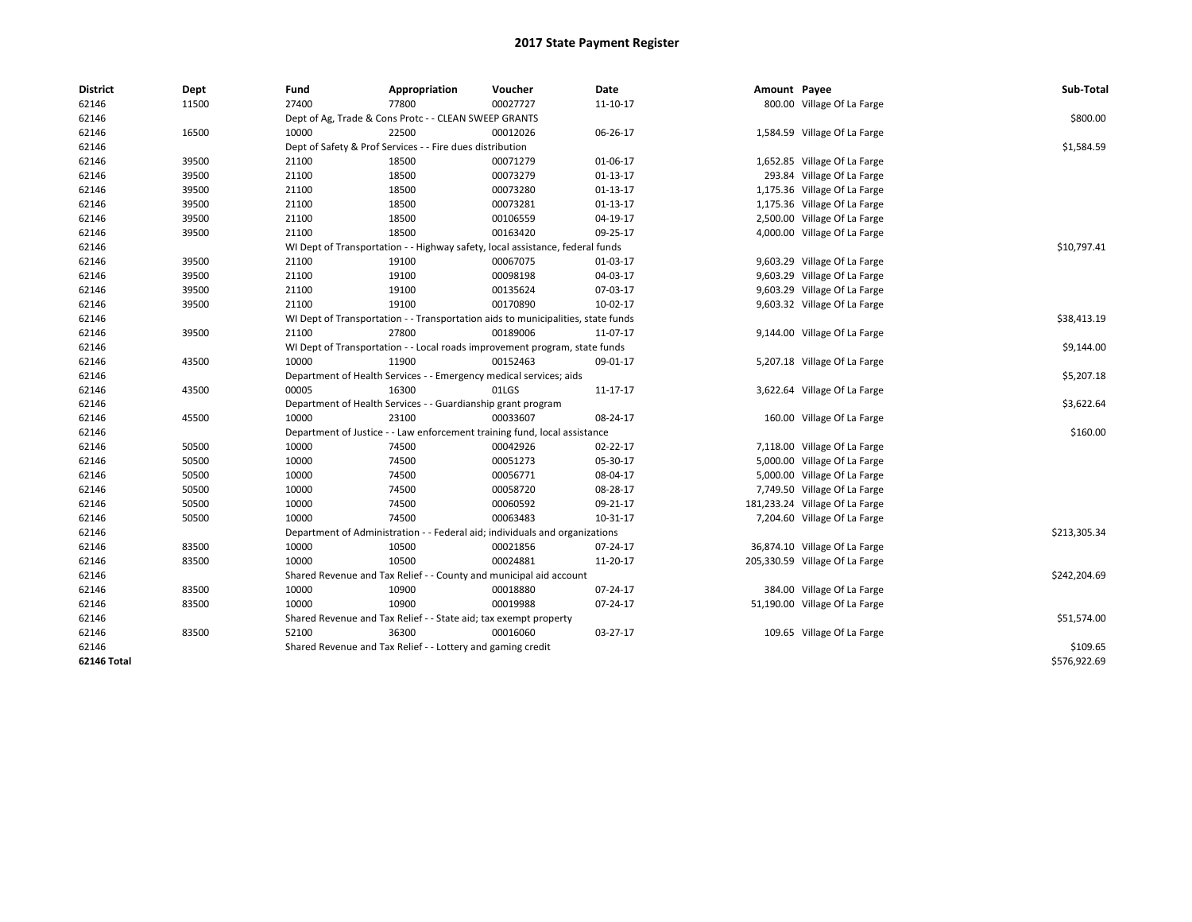| <b>District</b> | Dept  | Fund  | Appropriation                                                                    | Voucher  | Date       | Amount Payee |                                | Sub-Total    |
|-----------------|-------|-------|----------------------------------------------------------------------------------|----------|------------|--------------|--------------------------------|--------------|
| 62146           | 11500 | 27400 | 77800                                                                            | 00027727 | 11-10-17   |              | 800.00 Village Of La Farge     |              |
| 62146           |       |       | Dept of Ag, Trade & Cons Protc - - CLEAN SWEEP GRANTS                            |          |            |              |                                | \$800.00     |
| 62146           | 16500 | 10000 | 22500                                                                            | 00012026 | 06-26-17   |              | 1,584.59 Village Of La Farge   |              |
| 62146           |       |       | Dept of Safety & Prof Services - - Fire dues distribution                        |          |            |              |                                | \$1,584.59   |
| 62146           | 39500 | 21100 | 18500                                                                            | 00071279 | 01-06-17   |              | 1,652.85 Village Of La Farge   |              |
| 62146           | 39500 | 21100 | 18500                                                                            | 00073279 | $01-13-17$ |              | 293.84 Village Of La Farge     |              |
| 62146           | 39500 | 21100 | 18500                                                                            | 00073280 | $01-13-17$ |              | 1,175.36 Village Of La Farge   |              |
| 62146           | 39500 | 21100 | 18500                                                                            | 00073281 | 01-13-17   |              | 1,175.36 Village Of La Farge   |              |
| 62146           | 39500 | 21100 | 18500                                                                            | 00106559 | 04-19-17   |              | 2,500.00 Village Of La Farge   |              |
| 62146           | 39500 | 21100 | 18500                                                                            | 00163420 | 09-25-17   |              | 4,000.00 Village Of La Farge   |              |
| 62146           |       |       | WI Dept of Transportation - - Highway safety, local assistance, federal funds    |          |            |              |                                | \$10,797.41  |
| 62146           | 39500 | 21100 | 19100                                                                            | 00067075 | 01-03-17   |              | 9,603.29 Village Of La Farge   |              |
| 62146           | 39500 | 21100 | 19100                                                                            | 00098198 | 04-03-17   |              | 9,603.29 Village Of La Farge   |              |
| 62146           | 39500 | 21100 | 19100                                                                            | 00135624 | 07-03-17   |              | 9,603.29 Village Of La Farge   |              |
| 62146           | 39500 | 21100 | 19100                                                                            | 00170890 | 10-02-17   |              | 9,603.32 Village Of La Farge   |              |
| 62146           |       |       | WI Dept of Transportation - - Transportation aids to municipalities, state funds |          |            |              |                                | \$38,413.19  |
| 62146           | 39500 | 21100 | 27800                                                                            | 00189006 | 11-07-17   |              | 9,144.00 Village Of La Farge   |              |
| 62146           |       |       | WI Dept of Transportation - - Local roads improvement program, state funds       |          |            |              |                                | \$9,144.00   |
| 62146           | 43500 | 10000 | 11900                                                                            | 00152463 | 09-01-17   |              | 5,207.18 Village Of La Farge   |              |
| 62146           |       |       | Department of Health Services - - Emergency medical services; aids               |          |            |              |                                | \$5,207.18   |
| 62146           | 43500 | 00005 | 16300                                                                            | 01LGS    | 11-17-17   |              | 3,622.64 Village Of La Farge   |              |
| 62146           |       |       | Department of Health Services - - Guardianship grant program                     |          |            |              |                                | \$3,622.64   |
| 62146           | 45500 | 10000 | 23100                                                                            | 00033607 | 08-24-17   |              | 160.00 Village Of La Farge     |              |
| 62146           |       |       | Department of Justice - - Law enforcement training fund, local assistance        |          |            |              |                                | \$160.00     |
| 62146           | 50500 | 10000 | 74500                                                                            | 00042926 | 02-22-17   |              | 7,118.00 Village Of La Farge   |              |
| 62146           | 50500 | 10000 | 74500                                                                            | 00051273 | 05-30-17   |              | 5,000.00 Village Of La Farge   |              |
| 62146           | 50500 | 10000 | 74500                                                                            | 00056771 | 08-04-17   |              | 5,000.00 Village Of La Farge   |              |
| 62146           | 50500 | 10000 | 74500                                                                            | 00058720 | 08-28-17   |              | 7,749.50 Village Of La Farge   |              |
| 62146           | 50500 | 10000 | 74500                                                                            | 00060592 | 09-21-17   |              | 181,233.24 Village Of La Farge |              |
| 62146           | 50500 | 10000 | 74500                                                                            | 00063483 | 10-31-17   |              | 7,204.60 Village Of La Farge   |              |
| 62146           |       |       | Department of Administration - - Federal aid; individuals and organizations      |          |            |              |                                | \$213,305.34 |
| 62146           | 83500 | 10000 | 10500                                                                            | 00021856 | 07-24-17   |              | 36,874.10 Village Of La Farge  |              |
| 62146           | 83500 | 10000 | 10500                                                                            | 00024881 | 11-20-17   |              | 205,330.59 Village Of La Farge |              |
| 62146           |       |       | Shared Revenue and Tax Relief - - County and municipal aid account               |          |            |              |                                | \$242,204.69 |
| 62146           | 83500 | 10000 | 10900                                                                            | 00018880 | 07-24-17   |              | 384.00 Village Of La Farge     |              |
| 62146           | 83500 | 10000 | 10900                                                                            | 00019988 | 07-24-17   |              | 51,190.00 Village Of La Farge  |              |
| 62146           |       |       | Shared Revenue and Tax Relief - - State aid; tax exempt property                 |          |            |              |                                | \$51,574.00  |
| 62146           | 83500 | 52100 | 36300                                                                            | 00016060 | 03-27-17   |              | 109.65 Village Of La Farge     |              |
| 62146           |       |       | Shared Revenue and Tax Relief - - Lottery and gaming credit                      |          |            |              |                                | \$109.65     |
| 62146 Total     |       |       |                                                                                  |          |            |              |                                | \$576,922.69 |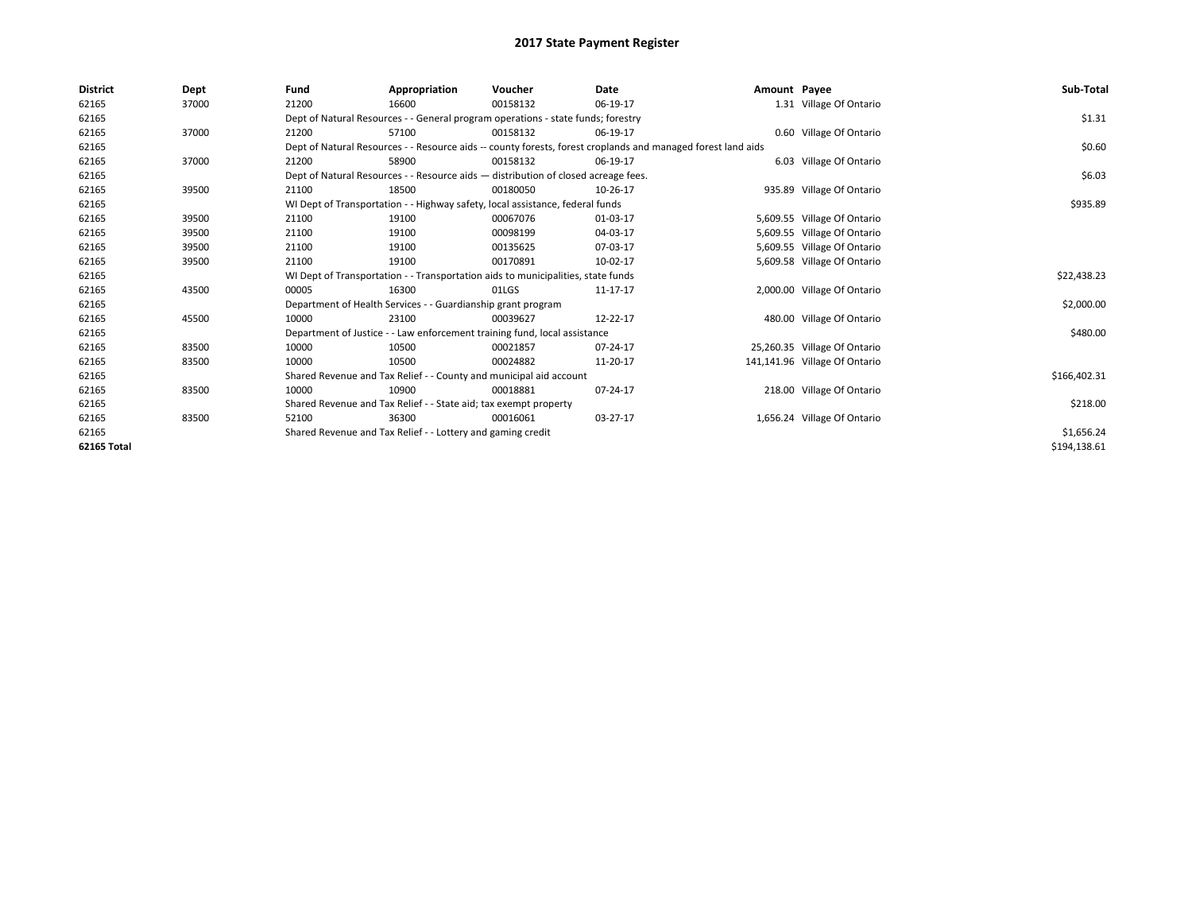| <b>District</b> | Dept  | Fund  | Appropriation                                                                      | Voucher  | Date                                                                                                         | Amount Payee |                               | Sub-Total    |
|-----------------|-------|-------|------------------------------------------------------------------------------------|----------|--------------------------------------------------------------------------------------------------------------|--------------|-------------------------------|--------------|
| 62165           | 37000 | 21200 | 16600                                                                              | 00158132 | 06-19-17                                                                                                     |              | 1.31 Village Of Ontario       |              |
| 62165           |       |       | Dept of Natural Resources - - General program operations - state funds; forestry   |          |                                                                                                              |              |                               | \$1.31       |
| 62165           | 37000 | 21200 | 57100                                                                              | 00158132 | 06-19-17                                                                                                     |              | 0.60 Village Of Ontario       |              |
| 62165           |       |       |                                                                                    |          | Dept of Natural Resources - - Resource aids -- county forests, forest croplands and managed forest land aids |              |                               | \$0.60       |
| 62165           | 37000 | 21200 | 58900                                                                              | 00158132 | 06-19-17                                                                                                     |              | 6.03 Village Of Ontario       |              |
| 62165           |       |       | Dept of Natural Resources - - Resource aids - distribution of closed acreage fees. |          |                                                                                                              |              |                               | \$6.03       |
| 62165           | 39500 | 21100 | 18500                                                                              | 00180050 | 10-26-17                                                                                                     |              | 935.89 Village Of Ontario     |              |
| 62165           |       |       | WI Dept of Transportation - - Highway safety, local assistance, federal funds      |          |                                                                                                              |              |                               | \$935.89     |
| 62165           | 39500 | 21100 | 19100                                                                              | 00067076 | 01-03-17                                                                                                     |              | 5,609.55 Village Of Ontario   |              |
| 62165           | 39500 | 21100 | 19100                                                                              | 00098199 | 04-03-17                                                                                                     |              | 5,609.55 Village Of Ontario   |              |
| 62165           | 39500 | 21100 | 19100                                                                              | 00135625 | 07-03-17                                                                                                     |              | 5,609.55 Village Of Ontario   |              |
| 62165           | 39500 | 21100 | 19100                                                                              | 00170891 | 10-02-17                                                                                                     |              | 5,609.58 Village Of Ontario   |              |
| 62165           |       |       | WI Dept of Transportation - - Transportation aids to municipalities, state funds   |          |                                                                                                              |              |                               | \$22,438.23  |
| 62165           | 43500 | 00005 | 16300                                                                              | 01LGS    | 11-17-17                                                                                                     |              | 2,000.00 Village Of Ontario   |              |
| 62165           |       |       | Department of Health Services - - Guardianship grant program                       |          |                                                                                                              |              |                               | \$2,000.00   |
| 62165           | 45500 | 10000 | 23100                                                                              | 00039627 | 12-22-17                                                                                                     |              | 480.00 Village Of Ontario     |              |
| 62165           |       |       | Department of Justice - - Law enforcement training fund, local assistance          |          |                                                                                                              |              |                               | \$480.00     |
| 62165           | 83500 | 10000 | 10500                                                                              | 00021857 | 07-24-17                                                                                                     |              | 25,260.35 Village Of Ontario  |              |
| 62165           | 83500 | 10000 | 10500                                                                              | 00024882 | 11-20-17                                                                                                     |              | 141,141.96 Village Of Ontario |              |
| 62165           |       |       | Shared Revenue and Tax Relief - - County and municipal aid account                 |          |                                                                                                              |              |                               | \$166,402.31 |
| 62165           | 83500 | 10000 | 10900                                                                              | 00018881 | 07-24-17                                                                                                     |              | 218.00 Village Of Ontario     |              |
| 62165           |       |       | Shared Revenue and Tax Relief - - State aid; tax exempt property                   |          |                                                                                                              |              |                               | \$218.00     |
| 62165           | 83500 | 52100 | 36300                                                                              | 00016061 | 03-27-17                                                                                                     |              | 1,656.24 Village Of Ontario   |              |
| 62165           |       |       | Shared Revenue and Tax Relief - - Lottery and gaming credit                        |          |                                                                                                              |              |                               | \$1,656.24   |
| 62165 Total     |       |       |                                                                                    |          |                                                                                                              |              |                               | \$194,138.61 |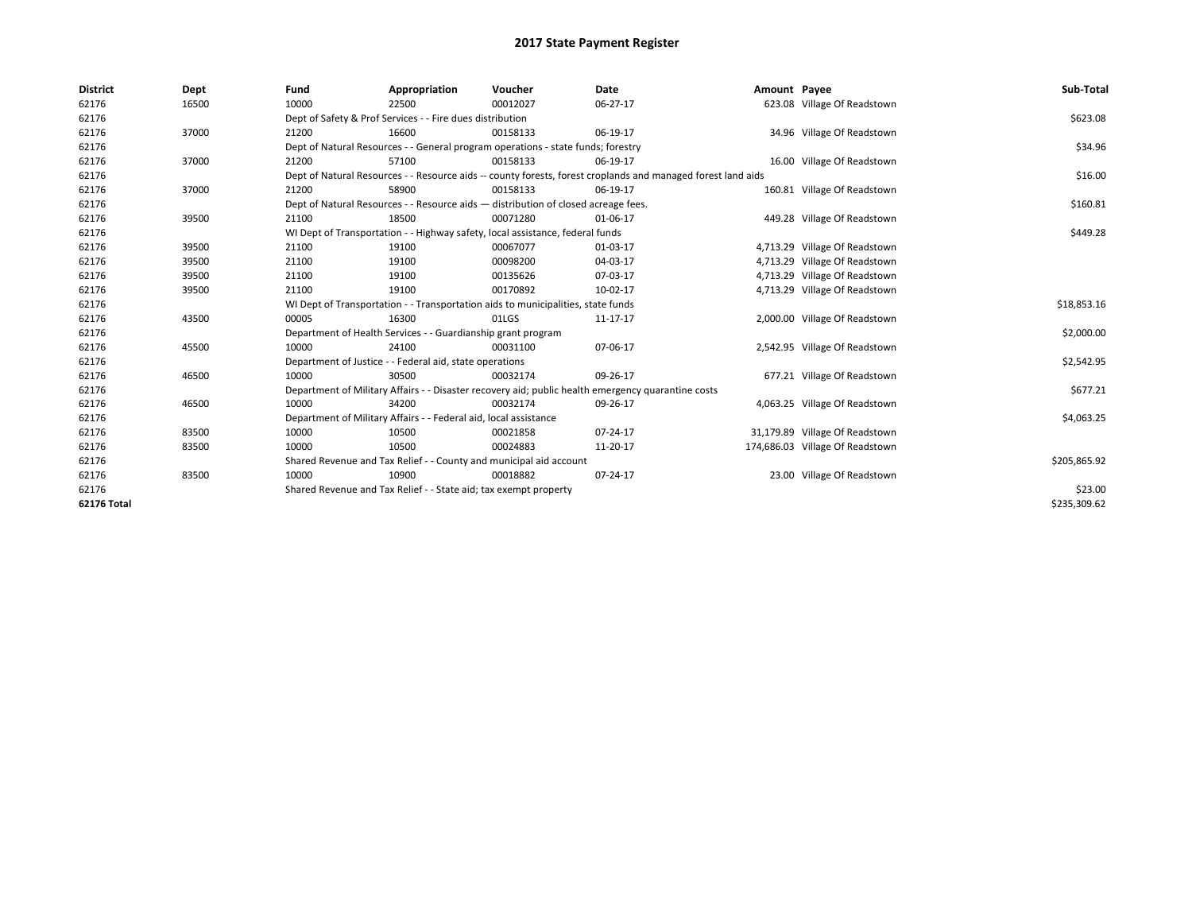| <b>District</b>    | Dept  | Fund                                                             | Appropriation                                                                    | Voucher                                                                            | Date                                                                                                         | Amount Payee |                                 | Sub-Total    |  |  |
|--------------------|-------|------------------------------------------------------------------|----------------------------------------------------------------------------------|------------------------------------------------------------------------------------|--------------------------------------------------------------------------------------------------------------|--------------|---------------------------------|--------------|--|--|
| 62176              | 16500 | 10000                                                            | 22500                                                                            | 00012027                                                                           | $06-27-17$                                                                                                   |              | 623.08 Village Of Readstown     |              |  |  |
| 62176              |       |                                                                  | Dept of Safety & Prof Services - - Fire dues distribution                        |                                                                                    |                                                                                                              |              |                                 | \$623.08     |  |  |
| 62176              | 37000 | 21200                                                            | 16600                                                                            | 00158133                                                                           | 06-19-17                                                                                                     |              | 34.96 Village Of Readstown      |              |  |  |
| 62176              |       |                                                                  | Dept of Natural Resources - - General program operations - state funds; forestry |                                                                                    |                                                                                                              |              |                                 |              |  |  |
| 62176              | 37000 | 21200                                                            | 57100                                                                            | 00158133                                                                           | 06-19-17                                                                                                     |              | 16.00 Village Of Readstown      |              |  |  |
| 62176              |       |                                                                  |                                                                                  |                                                                                    | Dept of Natural Resources - - Resource aids -- county forests, forest croplands and managed forest land aids |              |                                 | \$16.00      |  |  |
| 62176              | 37000 | 21200                                                            | 58900                                                                            | 00158133                                                                           | 06-19-17                                                                                                     |              | 160.81 Village Of Readstown     |              |  |  |
| 62176              |       |                                                                  |                                                                                  | Dept of Natural Resources - - Resource aids - distribution of closed acreage fees. |                                                                                                              |              |                                 | \$160.81     |  |  |
| 62176              | 39500 | 21100                                                            | 18500                                                                            | 00071280                                                                           | 01-06-17                                                                                                     |              | 449.28 Village Of Readstown     |              |  |  |
| 62176              |       |                                                                  |                                                                                  | WI Dept of Transportation - - Highway safety, local assistance, federal funds      |                                                                                                              |              |                                 | \$449.28     |  |  |
| 62176              | 39500 | 21100                                                            | 19100                                                                            | 00067077                                                                           | 01-03-17                                                                                                     |              | 4,713.29 Village Of Readstown   |              |  |  |
| 62176              | 39500 | 21100                                                            | 19100                                                                            | 00098200                                                                           | 04-03-17                                                                                                     |              | 4,713.29 Village Of Readstown   |              |  |  |
| 62176              | 39500 | 21100                                                            | 19100                                                                            | 00135626                                                                           | 07-03-17                                                                                                     |              | 4,713.29 Village Of Readstown   |              |  |  |
| 62176              | 39500 | 21100                                                            | 19100                                                                            | 00170892                                                                           | 10-02-17                                                                                                     |              | 4,713.29 Village Of Readstown   |              |  |  |
| 62176              |       |                                                                  |                                                                                  | WI Dept of Transportation - - Transportation aids to municipalities, state funds   |                                                                                                              |              |                                 | \$18,853.16  |  |  |
| 62176              | 43500 | 00005                                                            | 16300                                                                            | 01LGS                                                                              | 11-17-17                                                                                                     |              | 2,000.00 Village Of Readstown   |              |  |  |
| 62176              |       |                                                                  | Department of Health Services - - Guardianship grant program                     |                                                                                    |                                                                                                              |              |                                 | \$2,000.00   |  |  |
| 62176              | 45500 | 10000                                                            | 24100                                                                            | 00031100                                                                           | 07-06-17                                                                                                     |              | 2,542.95 Village Of Readstown   |              |  |  |
| 62176              |       |                                                                  | Department of Justice - - Federal aid, state operations                          |                                                                                    |                                                                                                              |              |                                 | \$2,542.95   |  |  |
| 62176              | 46500 | 10000                                                            | 30500                                                                            | 00032174                                                                           | 09-26-17                                                                                                     |              | 677.21 Village Of Readstown     |              |  |  |
| 62176              |       |                                                                  |                                                                                  |                                                                                    | Department of Military Affairs - - Disaster recovery aid; public health emergency quarantine costs           |              |                                 | \$677.21     |  |  |
| 62176              | 46500 | 10000                                                            | 34200                                                                            | 00032174                                                                           | 09-26-17                                                                                                     |              | 4,063.25 Village Of Readstown   |              |  |  |
| 62176              |       |                                                                  | Department of Military Affairs - - Federal aid, local assistance                 |                                                                                    |                                                                                                              |              |                                 | \$4,063.25   |  |  |
| 62176              | 83500 | 10000                                                            | 10500                                                                            | 00021858                                                                           | $07 - 24 - 17$                                                                                               |              | 31,179.89 Village Of Readstown  |              |  |  |
| 62176              | 83500 | 10000                                                            | 10500                                                                            | 00024883                                                                           | 11-20-17                                                                                                     |              | 174,686.03 Village Of Readstown |              |  |  |
| 62176              |       |                                                                  |                                                                                  | Shared Revenue and Tax Relief - - County and municipal aid account                 |                                                                                                              |              |                                 | \$205,865.92 |  |  |
| 62176              | 83500 | 10000                                                            | 10900                                                                            | 00018882                                                                           | 07-24-17                                                                                                     |              | 23.00 Village Of Readstown      |              |  |  |
| 62176              |       | Shared Revenue and Tax Relief - - State aid; tax exempt property |                                                                                  | \$23.00                                                                            |                                                                                                              |              |                                 |              |  |  |
| <b>62176 Total</b> |       |                                                                  |                                                                                  |                                                                                    |                                                                                                              |              |                                 | \$235,309.62 |  |  |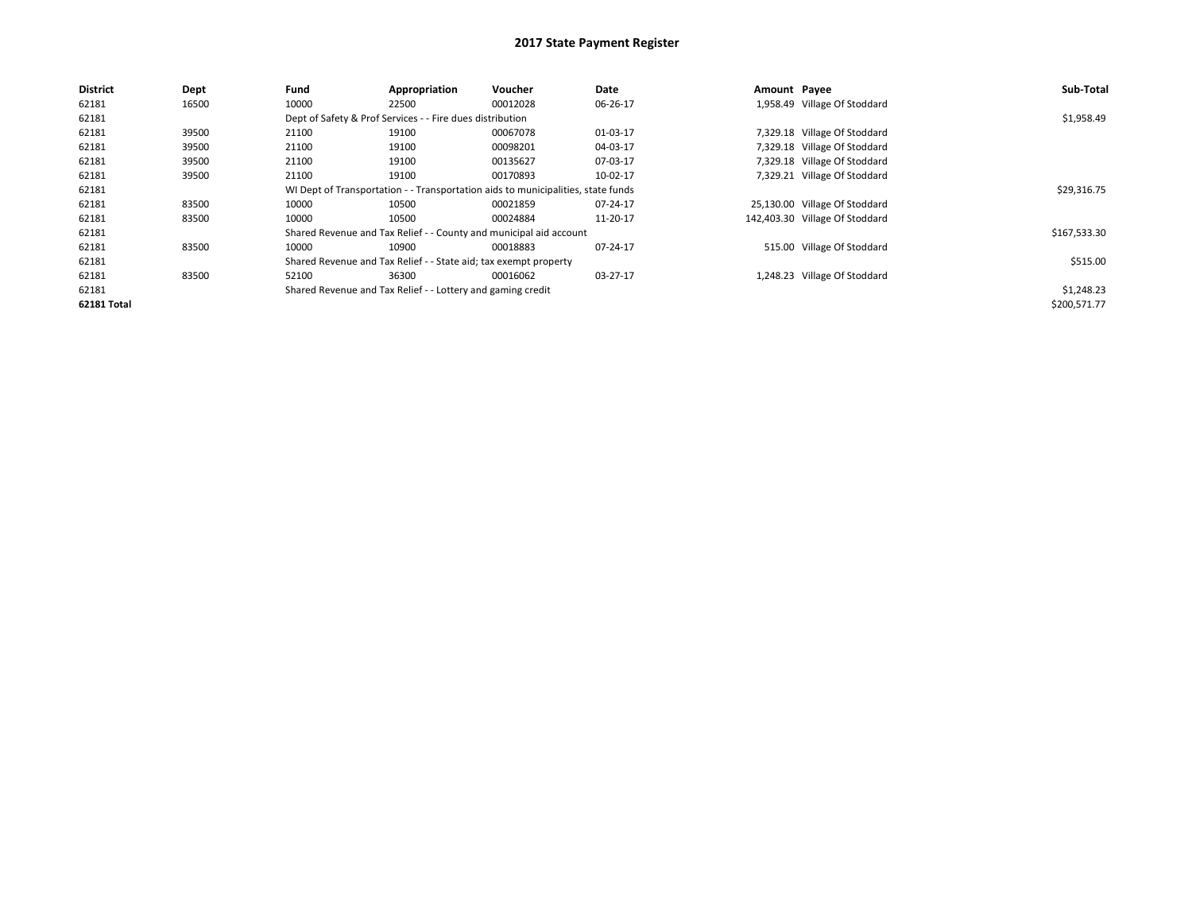| <b>District</b>    | Dept  | Fund  | Appropriation                                                    | Voucher                                                                          | Date     | Amount Payee |                                | Sub-Total    |  |  |  |
|--------------------|-------|-------|------------------------------------------------------------------|----------------------------------------------------------------------------------|----------|--------------|--------------------------------|--------------|--|--|--|
| 62181              | 16500 | 10000 | 22500                                                            | 00012028                                                                         | 06-26-17 |              | 1,958.49 Village Of Stoddard   |              |  |  |  |
| 62181              |       |       | Dept of Safety & Prof Services - - Fire dues distribution        |                                                                                  |          |              |                                | \$1,958.49   |  |  |  |
| 62181              | 39500 | 21100 | 19100                                                            | 00067078                                                                         | 01-03-17 |              | 7,329.18 Village Of Stoddard   |              |  |  |  |
| 62181              | 39500 | 21100 | 19100                                                            | 00098201                                                                         | 04-03-17 |              | 7,329.18 Village Of Stoddard   |              |  |  |  |
| 62181              | 39500 | 21100 | 19100                                                            | 00135627                                                                         | 07-03-17 |              | 7,329.18 Village Of Stoddard   |              |  |  |  |
| 62181              | 39500 | 21100 | 19100                                                            | 00170893                                                                         | 10-02-17 |              | 7,329.21 Village Of Stoddard   |              |  |  |  |
| 62181              |       |       |                                                                  | WI Dept of Transportation - - Transportation aids to municipalities, state funds |          |              |                                | \$29,316.75  |  |  |  |
| 62181              | 83500 | 10000 | 10500                                                            | 00021859                                                                         | 07-24-17 |              | 25,130.00 Village Of Stoddard  |              |  |  |  |
| 62181              | 83500 | 10000 | 10500                                                            | 00024884                                                                         | 11-20-17 |              | 142,403.30 Village Of Stoddard |              |  |  |  |
| 62181              |       |       |                                                                  | Shared Revenue and Tax Relief - - County and municipal aid account               |          |              |                                | \$167,533.30 |  |  |  |
| 62181              | 83500 | 10000 | 10900                                                            | 00018883                                                                         | 07-24-17 |              | 515.00 Village Of Stoddard     |              |  |  |  |
| 62181              |       |       | Shared Revenue and Tax Relief - - State aid; tax exempt property |                                                                                  |          |              |                                | \$515.00     |  |  |  |
| 62181              | 83500 | 52100 | 36300                                                            | 00016062                                                                         | 03-27-17 |              | 1,248.23 Village Of Stoddard   |              |  |  |  |
| 62181              |       |       | Shared Revenue and Tax Relief - - Lottery and gaming credit      |                                                                                  |          |              |                                |              |  |  |  |
| <b>62181 Total</b> |       |       |                                                                  |                                                                                  |          |              |                                | \$200,571.77 |  |  |  |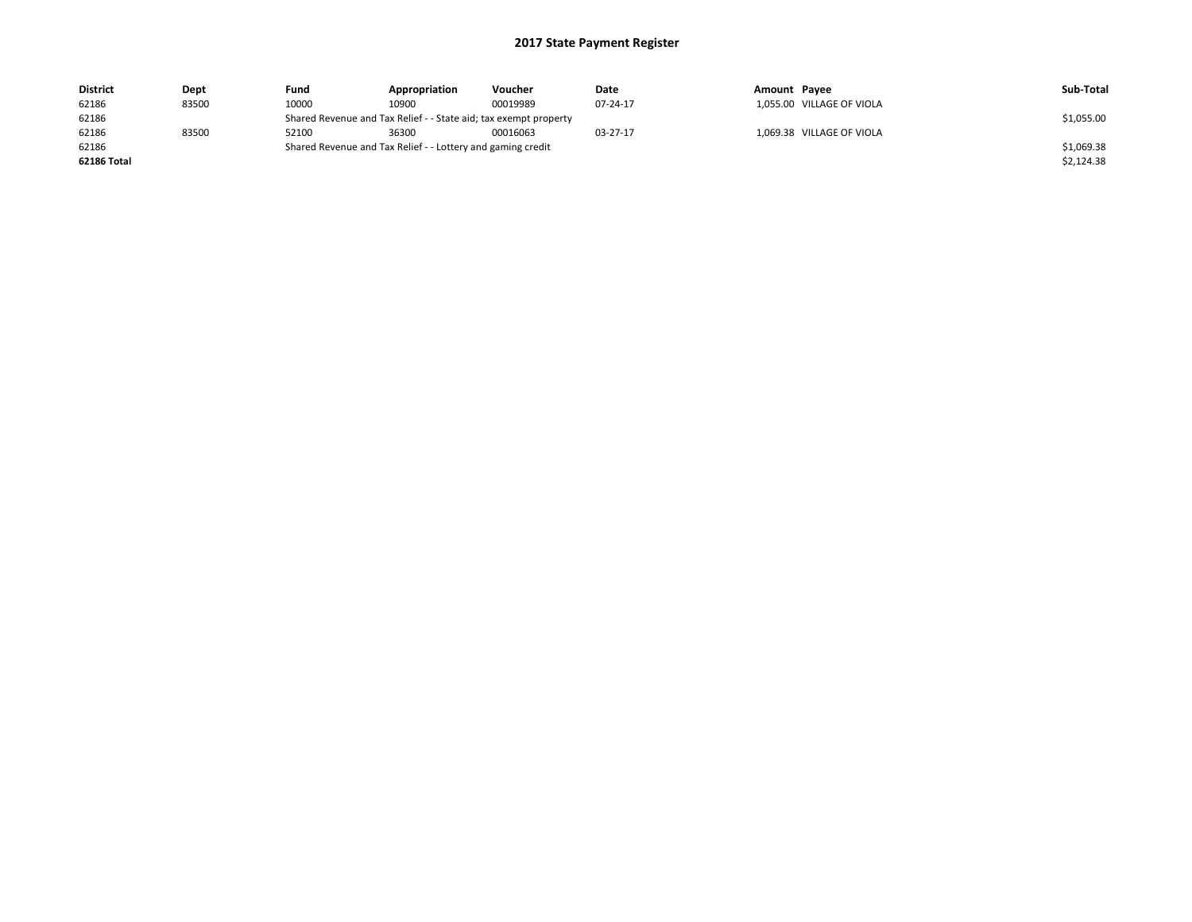| <b>District</b> | Dept  | Fund  | Appropriation                                                    | Voucher  | Date     | Amount Payee              | Sub-Total  |  |  |  |
|-----------------|-------|-------|------------------------------------------------------------------|----------|----------|---------------------------|------------|--|--|--|
| 62186           | 83500 | 10000 | 10900                                                            | 00019989 | 07-24-17 | 1,055.00 VILLAGE OF VIOLA |            |  |  |  |
| 62186           |       |       | Shared Revenue and Tax Relief - - State aid; tax exempt property |          |          |                           |            |  |  |  |
| 62186           | 83500 | 52100 | 36300                                                            | 00016063 | 03-27-17 | 1,069.38 VILLAGE OF VIOLA |            |  |  |  |
| 62186           |       |       | Shared Revenue and Tax Relief - - Lottery and gaming credit      |          |          |                           | \$1,069.38 |  |  |  |
| 62186 Total     |       |       |                                                                  |          |          |                           | \$2,124.38 |  |  |  |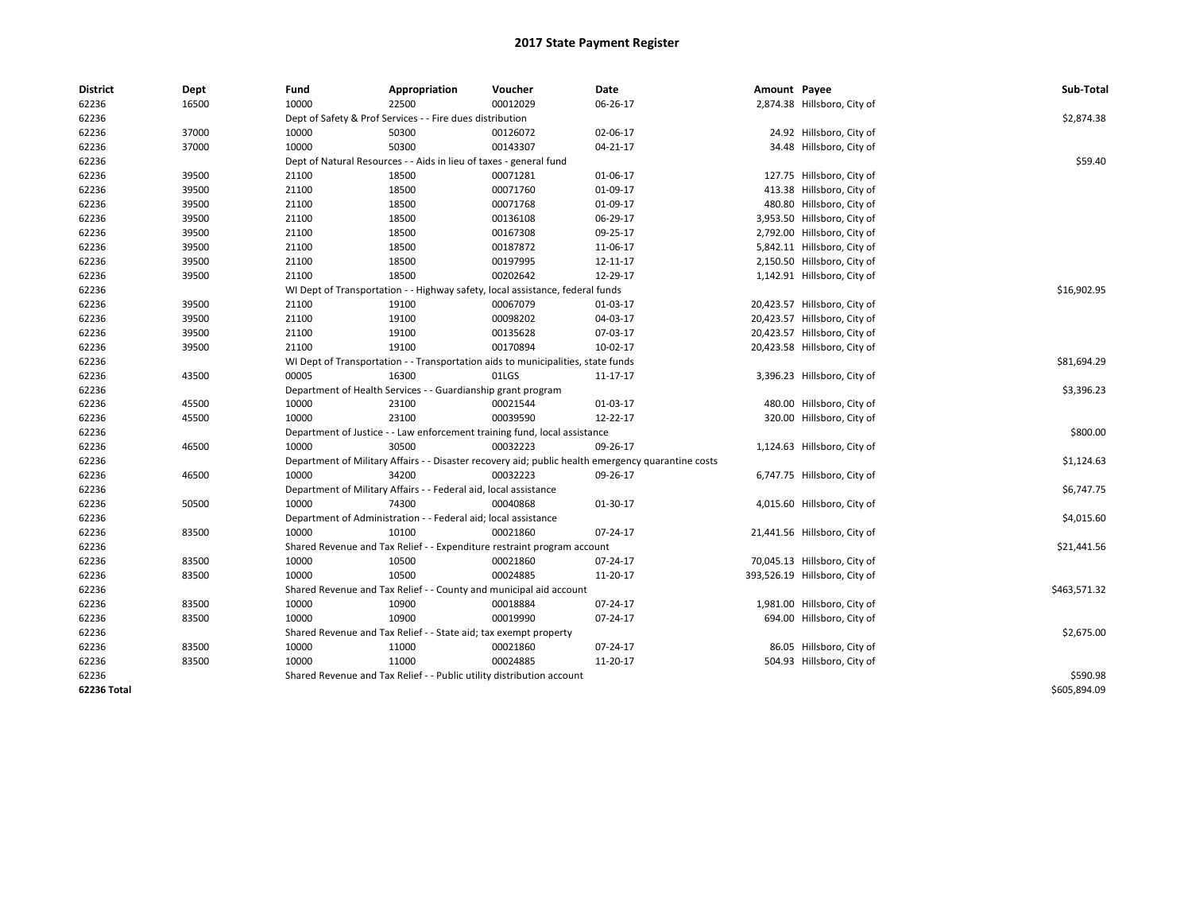| <b>District</b> | Dept  | Fund  | Appropriation                                                                    | Voucher  | Date                                                                                               | Amount Payee |                               | Sub-Total    |
|-----------------|-------|-------|----------------------------------------------------------------------------------|----------|----------------------------------------------------------------------------------------------------|--------------|-------------------------------|--------------|
| 62236           | 16500 | 10000 | 22500                                                                            | 00012029 | 06-26-17                                                                                           |              | 2,874.38 Hillsboro, City of   |              |
| 62236           |       |       | Dept of Safety & Prof Services - - Fire dues distribution                        |          |                                                                                                    |              |                               | \$2,874.38   |
| 62236           | 37000 | 10000 | 50300                                                                            | 00126072 | 02-06-17                                                                                           |              | 24.92 Hillsboro, City of      |              |
| 62236           | 37000 | 10000 | 50300                                                                            | 00143307 | 04-21-17                                                                                           |              | 34.48 Hillsboro, City of      |              |
| 62236           |       |       | Dept of Natural Resources - - Aids in lieu of taxes - general fund               |          |                                                                                                    |              |                               | \$59.40      |
| 62236           | 39500 | 21100 | 18500                                                                            | 00071281 | 01-06-17                                                                                           |              | 127.75 Hillsboro, City of     |              |
| 62236           | 39500 | 21100 | 18500                                                                            | 00071760 | 01-09-17                                                                                           |              | 413.38 Hillsboro, City of     |              |
| 62236           | 39500 | 21100 | 18500                                                                            | 00071768 | 01-09-17                                                                                           |              | 480.80 Hillsboro, City of     |              |
| 62236           | 39500 | 21100 | 18500                                                                            | 00136108 | 06-29-17                                                                                           |              | 3,953.50 Hillsboro, City of   |              |
| 62236           | 39500 | 21100 | 18500                                                                            | 00167308 | 09-25-17                                                                                           |              | 2,792.00 Hillsboro, City of   |              |
| 62236           | 39500 | 21100 | 18500                                                                            | 00187872 | 11-06-17                                                                                           |              | 5,842.11 Hillsboro, City of   |              |
| 62236           | 39500 | 21100 | 18500                                                                            | 00197995 | 12-11-17                                                                                           |              | 2,150.50 Hillsboro, City of   |              |
| 62236           | 39500 | 21100 | 18500                                                                            | 00202642 | 12-29-17                                                                                           |              | 1,142.91 Hillsboro, City of   |              |
| 62236           |       |       | WI Dept of Transportation - - Highway safety, local assistance, federal funds    |          |                                                                                                    |              |                               | \$16,902.95  |
| 62236           | 39500 | 21100 | 19100                                                                            | 00067079 | 01-03-17                                                                                           |              | 20,423.57 Hillsboro, City of  |              |
| 62236           | 39500 | 21100 | 19100                                                                            | 00098202 | 04-03-17                                                                                           |              | 20,423.57 Hillsboro, City of  |              |
| 62236           | 39500 | 21100 | 19100                                                                            | 00135628 | 07-03-17                                                                                           |              | 20,423.57 Hillsboro, City of  |              |
| 62236           | 39500 | 21100 | 19100                                                                            | 00170894 | 10-02-17                                                                                           |              | 20,423.58 Hillsboro, City of  |              |
| 62236           |       |       | WI Dept of Transportation - - Transportation aids to municipalities, state funds |          |                                                                                                    |              |                               | \$81,694.29  |
| 62236           | 43500 | 00005 | 16300                                                                            | 01LGS    | 11-17-17                                                                                           |              | 3,396.23 Hillsboro, City of   |              |
| 62236           |       |       | Department of Health Services - - Guardianship grant program                     |          |                                                                                                    |              |                               | \$3,396.23   |
| 62236           | 45500 | 10000 | 23100                                                                            | 00021544 | 01-03-17                                                                                           |              | 480.00 Hillsboro, City of     |              |
| 62236           | 45500 | 10000 | 23100                                                                            | 00039590 | 12-22-17                                                                                           |              | 320.00 Hillsboro, City of     |              |
| 62236           |       |       | Department of Justice - - Law enforcement training fund, local assistance        |          |                                                                                                    |              |                               | \$800.00     |
| 62236           | 46500 | 10000 | 30500                                                                            | 00032223 | 09-26-17                                                                                           |              | 1,124.63 Hillsboro, City of   |              |
| 62236           |       |       |                                                                                  |          | Department of Military Affairs - - Disaster recovery aid; public health emergency quarantine costs |              |                               | \$1,124.63   |
| 62236           | 46500 | 10000 | 34200                                                                            | 00032223 | 09-26-17                                                                                           |              | 6,747.75 Hillsboro, City of   |              |
| 62236           |       |       | Department of Military Affairs - - Federal aid, local assistance                 |          |                                                                                                    |              |                               | \$6,747.75   |
| 62236           | 50500 | 10000 | 74300                                                                            | 00040868 | 01-30-17                                                                                           |              | 4,015.60 Hillsboro, City of   |              |
| 62236           |       |       | Department of Administration - - Federal aid; local assistance                   |          |                                                                                                    |              |                               | \$4,015.60   |
| 62236           | 83500 | 10000 | 10100                                                                            | 00021860 | 07-24-17                                                                                           |              | 21,441.56 Hillsboro, City of  |              |
| 62236           |       |       | Shared Revenue and Tax Relief - - Expenditure restraint program account          |          |                                                                                                    |              |                               | \$21,441.56  |
| 62236           | 83500 | 10000 | 10500                                                                            | 00021860 | 07-24-17                                                                                           |              | 70,045.13 Hillsboro, City of  |              |
| 62236           | 83500 | 10000 | 10500                                                                            | 00024885 | 11-20-17                                                                                           |              | 393,526.19 Hillsboro, City of |              |
| 62236           |       |       | Shared Revenue and Tax Relief - - County and municipal aid account               |          |                                                                                                    |              |                               | \$463,571.32 |
| 62236           | 83500 | 10000 | 10900                                                                            | 00018884 | 07-24-17                                                                                           |              | 1,981.00 Hillsboro, City of   |              |
| 62236           | 83500 | 10000 | 10900                                                                            | 00019990 | 07-24-17                                                                                           |              | 694.00 Hillsboro, City of     |              |
| 62236           |       |       | Shared Revenue and Tax Relief - - State aid; tax exempt property                 |          |                                                                                                    |              |                               | \$2,675.00   |
| 62236           | 83500 | 10000 | 11000                                                                            | 00021860 | 07-24-17                                                                                           |              | 86.05 Hillsboro, City of      |              |
| 62236           | 83500 | 10000 | 11000                                                                            | 00024885 | 11-20-17                                                                                           |              | 504.93 Hillsboro, City of     |              |
| 62236           |       |       | Shared Revenue and Tax Relief - - Public utility distribution account            |          |                                                                                                    |              |                               | \$590.98     |
| 62236 Total     |       |       |                                                                                  |          |                                                                                                    |              |                               | \$605,894.09 |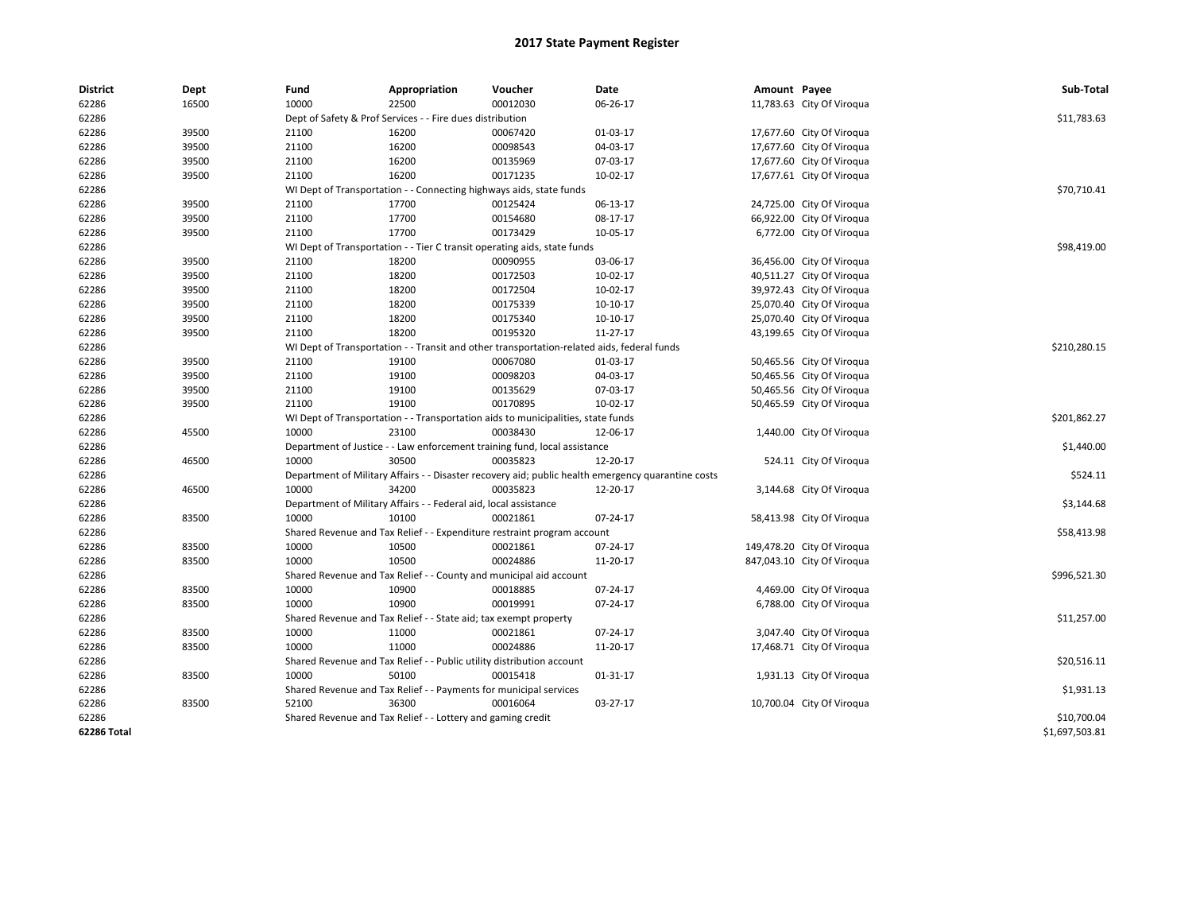| <b>District</b> | Dept  | Fund                                                                                               | Appropriation                                                         | Voucher                                                                          | Date       | Amount Payee |                            | Sub-Total      |
|-----------------|-------|----------------------------------------------------------------------------------------------------|-----------------------------------------------------------------------|----------------------------------------------------------------------------------|------------|--------------|----------------------------|----------------|
| 62286           | 16500 | 10000                                                                                              | 22500                                                                 | 00012030                                                                         | 06-26-17   |              | 11,783.63 City Of Viroqua  |                |
| 62286           |       | Dept of Safety & Prof Services - - Fire dues distribution                                          |                                                                       | \$11,783.63                                                                      |            |              |                            |                |
| 62286           | 39500 | 21100                                                                                              | 16200                                                                 | 00067420                                                                         | 01-03-17   |              | 17,677.60 City Of Viroqua  |                |
| 62286           | 39500 | 21100                                                                                              | 16200                                                                 | 00098543                                                                         | 04-03-17   |              | 17,677.60 City Of Viroqua  |                |
| 62286           | 39500 | 21100                                                                                              | 16200                                                                 | 00135969                                                                         | 07-03-17   |              | 17,677.60 City Of Viroqua  |                |
| 62286           | 39500 | 21100                                                                                              | 16200                                                                 | 00171235                                                                         | 10-02-17   |              | 17,677.61 City Of Viroqua  |                |
| 62286           |       | WI Dept of Transportation - - Connecting highways aids, state funds                                |                                                                       | \$70,710.41                                                                      |            |              |                            |                |
| 62286           | 39500 | 21100                                                                                              | 17700                                                                 | 00125424                                                                         | 06-13-17   |              | 24,725.00 City Of Viroqua  |                |
| 62286           | 39500 | 21100                                                                                              | 17700                                                                 | 00154680                                                                         | 08-17-17   |              | 66,922.00 City Of Viroqua  |                |
| 62286           | 39500 | 21100                                                                                              | 17700                                                                 | 00173429                                                                         | 10-05-17   |              | 6,772.00 City Of Viroqua   |                |
| 62286           |       | WI Dept of Transportation - - Tier C transit operating aids, state funds                           |                                                                       | \$98,419.00                                                                      |            |              |                            |                |
| 62286           | 39500 | 21100                                                                                              | 18200                                                                 | 00090955                                                                         | 03-06-17   |              | 36,456.00 City Of Viroqua  |                |
| 62286           | 39500 | 21100                                                                                              | 18200                                                                 | 00172503                                                                         | 10-02-17   |              | 40,511.27 City Of Viroqua  |                |
| 62286           | 39500 | 21100                                                                                              | 18200                                                                 | 00172504                                                                         | 10-02-17   |              | 39,972.43 City Of Viroqua  |                |
| 62286           | 39500 | 21100                                                                                              | 18200                                                                 | 00175339                                                                         | 10-10-17   |              | 25,070.40 City Of Viroqua  |                |
| 62286           | 39500 | 21100                                                                                              | 18200                                                                 | 00175340                                                                         | 10-10-17   |              | 25,070.40 City Of Viroqua  |                |
| 62286           | 39500 | 21100                                                                                              | 18200                                                                 | 00195320                                                                         | $11-27-17$ |              | 43,199.65 City Of Viroqua  |                |
| 62286           |       | WI Dept of Transportation - - Transit and other transportation-related aids, federal funds         |                                                                       | \$210,280.15                                                                     |            |              |                            |                |
| 62286           | 39500 | 21100                                                                                              | 19100                                                                 | 00067080                                                                         | 01-03-17   |              | 50,465.56 City Of Viroqua  |                |
| 62286           | 39500 | 21100                                                                                              | 19100                                                                 | 00098203                                                                         | 04-03-17   |              | 50,465.56 City Of Viroqua  |                |
| 62286           | 39500 | 21100                                                                                              | 19100                                                                 | 00135629                                                                         | 07-03-17   |              | 50,465.56 City Of Viroqua  |                |
| 62286           | 39500 | 21100                                                                                              | 19100                                                                 | 00170895                                                                         | 10-02-17   |              | 50,465.59 City Of Viroqua  |                |
| 62286           |       |                                                                                                    |                                                                       | WI Dept of Transportation - - Transportation aids to municipalities, state funds |            |              |                            | \$201,862.27   |
| 62286           | 45500 | 10000                                                                                              | 23100                                                                 | 00038430                                                                         | 12-06-17   |              | 1,440.00 City Of Viroqua   |                |
| 62286           |       | Department of Justice - - Law enforcement training fund, local assistance                          |                                                                       | \$1,440.00                                                                       |            |              |                            |                |
| 62286           | 46500 | 10000                                                                                              | 30500                                                                 | 00035823                                                                         | 12-20-17   |              | 524.11 City Of Viroqua     |                |
| 62286           |       | Department of Military Affairs - - Disaster recovery aid; public health emergency quarantine costs |                                                                       | \$524.11                                                                         |            |              |                            |                |
| 62286           | 46500 | 10000                                                                                              | 34200                                                                 | 00035823                                                                         | 12-20-17   |              | 3,144.68 City Of Viroqua   |                |
| 62286           |       |                                                                                                    | Department of Military Affairs - - Federal aid, local assistance      |                                                                                  |            |              |                            | \$3,144.68     |
| 62286           | 83500 | 10000                                                                                              | 10100                                                                 | 00021861                                                                         | 07-24-17   |              | 58,413.98 City Of Viroqua  |                |
| 62286           |       |                                                                                                    |                                                                       | Shared Revenue and Tax Relief - - Expenditure restraint program account          |            |              |                            | \$58,413.98    |
| 62286           | 83500 | 10000                                                                                              | 10500                                                                 | 00021861                                                                         | 07-24-17   |              | 149,478.20 City Of Viroqua |                |
| 62286           | 83500 | 10000                                                                                              | 10500                                                                 | 00024886                                                                         | 11-20-17   |              | 847,043.10 City Of Viroqua |                |
| 62286           |       |                                                                                                    |                                                                       | Shared Revenue and Tax Relief - - County and municipal aid account               |            |              |                            | \$996,521.30   |
| 62286           | 83500 | 10000                                                                                              | 10900                                                                 | 00018885                                                                         | 07-24-17   |              | 4,469.00 City Of Viroqua   |                |
| 62286           | 83500 | 10000                                                                                              | 10900                                                                 | 00019991                                                                         | 07-24-17   |              | 6,788.00 City Of Viroqua   |                |
| 62286           |       | Shared Revenue and Tax Relief - - State aid; tax exempt property                                   |                                                                       | \$11,257.00                                                                      |            |              |                            |                |
| 62286           | 83500 | 10000                                                                                              | 11000                                                                 | 00021861                                                                         | 07-24-17   |              | 3,047.40 City Of Viroqua   |                |
| 62286           | 83500 | 10000                                                                                              | 11000                                                                 | 00024886                                                                         | 11-20-17   |              | 17,468.71 City Of Viroqua  |                |
| 62286           |       |                                                                                                    | Shared Revenue and Tax Relief - - Public utility distribution account |                                                                                  |            |              |                            | \$20,516.11    |
| 62286           | 83500 | 10000                                                                                              | 50100                                                                 | 00015418                                                                         | 01-31-17   |              | 1,931.13 City Of Viroqua   |                |
| 62286           |       |                                                                                                    | Shared Revenue and Tax Relief - - Payments for municipal services     |                                                                                  |            |              |                            | \$1,931.13     |
| 62286           | 83500 | 52100                                                                                              | 36300                                                                 | 00016064                                                                         | 03-27-17   |              | 10,700.04 City Of Viroqua  |                |
| 62286           |       |                                                                                                    | Shared Revenue and Tax Relief - - Lottery and gaming credit           |                                                                                  |            |              |                            | \$10,700.04    |
| 62286 Total     |       |                                                                                                    |                                                                       |                                                                                  |            |              |                            | \$1,697,503.81 |
|                 |       |                                                                                                    |                                                                       |                                                                                  |            |              |                            |                |